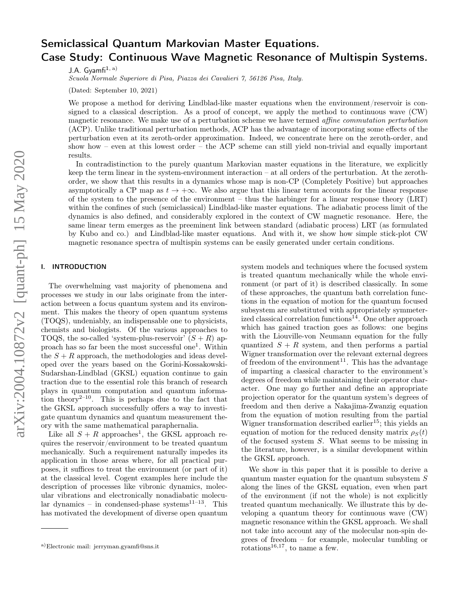# Semiclassical Quantum Markovian Master Equations. Case Study: Continuous Wave Magnetic Resonance of Multispin Systems.

J.A. Gyamfi $1, a$ )

Scuola Normale Superiore di Pisa, Piazza dei Cavalieri 7, 56126 Pisa, Italy.

(Dated: September 10, 2021)

We propose a method for deriving Lindblad-like master equations when the environment/reservoir is consigned to a classical description. As a proof of concept, we apply the method to continuous wave (CW) magnetic resonance. We make use of a perturbation scheme we have termed affine commutation perturbation (ACP). Unlike traditional perturbation methods, ACP has the advantage of incorporating some effects of the perturbation even at its zeroth-order approximation. Indeed, we concentrate here on the zeroth-order, and show how – even at this lowest order – the ACP scheme can still yield non-trivial and equally important results.

In contradistinction to the purely quantum Markovian master equations in the literature, we explicitly keep the term linear in the system-environment interaction – at all orders of the perturbation. At the zerothorder, we show that this results in a dynamics whose map is non-CP (Completely Positive) but approaches asymptotically a CP map as  $t \to +\infty$ . We also argue that this linear term accounts for the linear response of the system to the presence of the environment – thus the harbinger for a linear response theory (LRT) within the confines of such (semiclassical) Lindblad-like master equations. The adiabatic process limit of the dynamics is also defined, and considerably explored in the context of CW magnetic resonance. Here, the same linear term emerges as the preeminent link between standard (adiabatic process) LRT (as formulated by Kubo and co.) and Lindblad-like master equations. And with it, we show how simple stick-plot CW magnetic resonance spectra of multispin systems can be easily generated under certain conditions.

# I. INTRODUCTION

The overwhelming vast majority of phenomena and processes we study in our labs originate from the interaction between a focus quantum system and its environment. This makes the theory of open quantum systems (TOQS), undeniably, an indispensable one to physicists, chemists and biologists. Of the various approaches to TOQS, the so-called 'system-plus-reservoir'  $(S + R)$  approach has so far been the most successful one<sup>1</sup>. Within the  $S + R$  approach, the methodologies and ideas developed over the years based on the Gorini-Kossakowski-Sudarshan-Lindblad (GKSL) equation continue to gain traction due to the essential role this branch of research plays in quantum computation and quantum information theory<sup>2–10</sup>. This is perhaps due to the fact that the GKSL approach successfully offers a way to investigate quantum dynamics and quantum measurement theory with the same mathematical paraphernalia.

Like all  $S + R$  approaches<sup>1</sup>, the GKSL approach requires the reservoir/environment to be treated quantum mechanically. Such a requirement naturally impedes its application in those areas where, for all practical purposes, it suffices to treat the environment (or part of it) at the classical level. Cogent examples here include the description of processes like vibronic dynamics, molecular vibrations and electronically nonadiabatic molecular dynamics – in condensed-phase systems<sup>11–13</sup>. This has motivated the development of diverse open quantum

system models and techniques where the focused system is treated quantum mechanically while the whole environment (or part of it) is described classically. In some of these approaches, the quantum bath correlation functions in the equation of motion for the quantum focused subsystem are substituted with appropriately symmeterized classical correlation functions<sup>14</sup>. One other approach which has gained traction goes as follows: one begins with the Liouville-von Neumann equation for the fully quantized  $S + R$  system, and then performs a partial Wigner transformation over the relevant external degrees of freedom of the environment $^{11}$ . This has the advantage of imparting a classical character to the environment's degrees of freedom while maintaining their operator character. One may go further and define an appropriate projection operator for the quantum system's degrees of freedom and then derive a Nakajima-Zwanzig equation from the equation of motion resulting from the partial Wigner transformation described earlier<sup>15</sup>; this yields an equation of motion for the reduced density matrix  $\rho_S(t)$ of the focused system S. What seems to be missing in the literature, however, is a similar development within the GKSL approach.

We show in this paper that it is possible to derive a quantum master equation for the quantum subsystem S along the lines of the GKSL equation, even when part of the environment (if not the whole) is not explicitly treated quantum mechanically. We illustrate this by developing a quantum theory for continuous wave (CW) magnetic resonance within the GKSL approach. We shall not take into account any of the molecular non-spin degrees of freedom – for example, molecular tumbling or rotations<sup>16,17</sup>, to name a few.

a)Electronic mail: jerryman.gyamfi@sns.it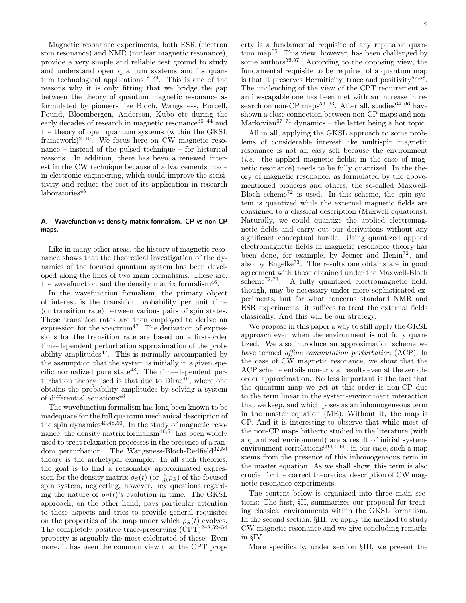Magnetic resonance experiments, both ESR (electron spin resonance) and NMR (nuclear magnetic resonance), provide a very simple and reliable test ground to study and understand open quantum systems and its quantum technological applications<sup>18–29</sup>. This is one of the reasons why it is only fitting that we bridge the gap between the theory of quantum magnetic resonance as formulated by pioneers like Bloch, Wangsness, Purcell, Pound, Bloembergen, Anderson, Kubo etc during the early decades of research in magnetic resonance  $30-44$  and the theory of open quantum systems (within the GKSL framework)<sup>2–10</sup>. We focus here on CW magnetic resonance – instead of the pulsed technique – for historical reasons. In addition, there has been a renewed interest in the CW technique because of advancements made in electronic engineering, which could improve the sensitivity and reduce the cost of its application in research laboratories<sup>45</sup>.

# A. Wavefunction vs density matrix formalism. CP vs non-CP maps.

Like in many other areas, the history of magnetic resonance shows that the theoretical investigation of the dynamics of the focused quantum system has been developed along the lines of two main formalisms. These are: the wavefunction and the density matrix formalism<sup>46</sup>.

In the wavefunction formalism, the primary object of interest is the transition probability per unit time (or transition rate) between various pairs of spin states. These transition rates are then employed to derive an expression for the spectrum<sup>47</sup>. The derivation of expressions for the transition rate are based on a first-order time-dependent perturbation approximation of the probability amplitudes<sup>47</sup>. This is normally accompanied by the assumption that the system is initially in a given specific normalized pure state $48$ . The time-dependent perturbation theory used is that due to  $Dirac<sup>49</sup>$ , where one obtains the probability amplitudes by solving a system of differential equations<sup>48</sup>.

The wavefunction formalism has long been known to be inadequate for the full quantum mechanical description of the spin dynamics $40,48,50$ . In the study of magnetic resonance, the density matrix formalism<sup>46,51</sup> has been widely used to treat relaxation processes in the presence of a random perturbation. The Wangsness-Bloch-Redfield $32,50$ theory is the archetypal example. In all such theories, the goal is to find a reasonably approximated expression for the density matrix  $\rho_S(t)$  (or  $\frac{d}{dt}\rho_S$ ) of the focused spin system, neglecting, however, key questions regarding the nature of  $\rho_S(t)$ 's evolution in time. The GKSL approach, on the other hand, pays particular attention to these aspects and tries to provide general requisites on the properties of the map under which  $\rho_S(t)$  evolves. The completely positive trace-preserving  $(CPT)^{2-8,52-54}$ property is arguably the most celebrated of these. Even more, it has been the common view that the CPT property is a fundamental requisite of any reputable quantum map55. This view, however, has been challenged by some authors $56,57$ . According to the opposing view, the fundamental requisite to be required of a quantum map is that it preserves Hermiticity, trace and positivity<sup>57,58</sup>. The unclenching of the view of the CPT requirement as an inescapable one has been met with an increase in research on non-CP maps<sup>59–63</sup>. After all, studies<sup>64–66</sup> have shown a close connection between non-CP maps and non-Markovian $67-71$  dynamics – the latter being a hot topic.

All in all, applying the GKSL approach to some problems of considerable interest like multispin magnetic resonance is not an easy sell because the environment (*i.e.* the applied magnetic fields, in the case of magnetic resonance) needs to be fully quantized. In the theory of magnetic resonance, as formulated by the abovementioned pioneers and others, the so-called Maxwell-Bloch scheme<sup>72</sup> is used. In this scheme, the spin system is quantized while the external magnetic fields are consigned to a classical description (Maxwell equations). Naturally, we could quantize the applied electromagnetic fields and carry out our derivations without any significant conceptual hurdle. Using quantized applied electromagnetic fields in magnetic resonance theory has been done, for example, by Jeener and  $\text{Henin}^{\text{72}}$ , and also by Engelke<sup>73</sup>. The results one obtains are in good agreement with those obtained under the Maxwell-Bloch  $scheme^{72,73}$ . A fully quantized electromagnetic field, though, may be necessary under more sophisticated experiments, but for what concerns standard NMR and ESR experiments, it suffices to treat the external fields classically. And this will be our strategy.

We propose in this paper a way to still apply the GKSL approach even when the environment is not fully quantized. We also introduce an approximation scheme we have termed affine commutation perturbation (ACP). In the case of CW magnetic resonance, we show that the ACP scheme entails non-trivial results even at the zerothorder approximation. No less important is the fact that the quantum map we get at this order is non-CP due to the term linear in the system-environment interaction that we keep, and which poses as an inhomogeneous term in the master equation (ME). Without it, the map is CP. And it is interesting to observe that while most of the non-CP maps hitherto studied in the literature (with a quantized environment) are a result of initial systemenvironment correlations<sup>59,61–66</sup>, in our case, such a map stems from the presence of this inhomogeneous term in the master equation. As we shall show, this term is also crucial for the correct theoretical description of CW magnetic resonance experiments.

The content below is organized into three main sections: The first, §II, summarizes our proposal for treating classical environments within the GKSL formalism. In the second section, §III, we apply the method to study CW magnetic resonance and we give concluding remarks in §IV.

More specifically, under section §III, we present the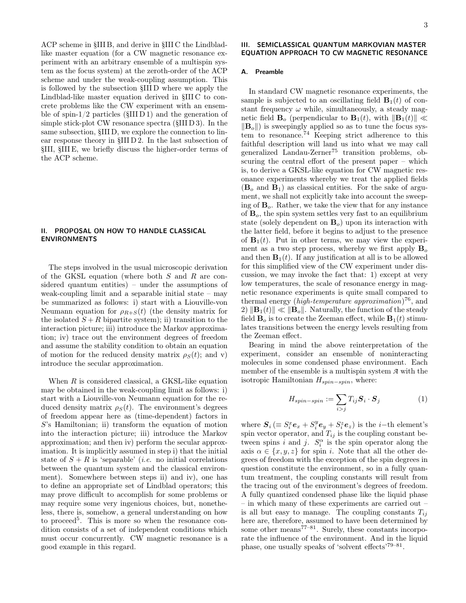ACP scheme in §III B, and derive in §III C the Lindbladlike master equation (for a CW magnetic resonance experiment with an arbitrary ensemble of a multispin system as the focus system) at the zeroth-order of the ACP scheme and under the weak-coupling assumption. This is followed by the subsection §III D where we apply the Lindblad-like master equation derived in §III C to concrete problems like the CW experiment with an ensemble of spin- $1/2$  particles ( $\text{SIII} D 1$ ) and the generation of simple stick-plot CW resonance spectra (§III D 3). In the same subsection, §III D, we explore the connection to linear response theory in §III D 2. In the last subsection of §III, §III E, we briefly discuss the higher-order terms of the ACP scheme.

# II. PROPOSAL ON HOW TO HANDLE CLASSICAL ENVIRONMENTS

The steps involved in the usual microscopic derivation of the GKSL equation (where both S and R are considered quantum entities) – under the assumptions of weak-coupling limit and a separable initial state – may be summarized as follows: i) start with a Liouville-von Neumann equation for  $\rho_{R+S}(t)$  (the density matrix for the isolated  $S + R$  bipartite system); ii) transition to the interaction picture; iii) introduce the Markov approximation; iv) trace out the environment degrees of freedom and assume the stability condition to obtain an equation of motion for the reduced density matrix  $\rho_S(t)$ ; and v) introduce the secular approximation.

When  $R$  is considered classical, a GKSL-like equation may be obtained in the weak-coupling limit as follows: i) start with a Liouville-von Neumann equation for the reduced density matrix  $\rho_S(t)$ . The environment's degrees of freedom appear here as (time-dependent) factors in S's Hamiltonian; ii) transform the equation of motion into the interaction picture; iii) introduce the Markov approximation; and then iv) perform the secular approximation. It is implicitly assumed in step i) that the initial state of  $S + R$  is 'separable' (*i.e.* no initial correlations between the quantum system and the classical environment). Somewhere between steps ii) and iv), one has to define an appropriate set of Lindblad operators; this may prove difficult to accomplish for some problems or may require some very ingenious choices, but, nonetheless, there is, somehow, a general understanding on how to proceed<sup>5</sup>. This is more so when the resonance condition consists of a set of independent conditions which must occur concurrently. CW magnetic resonance is a good example in this regard.

## III. SEMICLASSICAL QUANTUM MARKOVIAN MASTER EQUATION APPROACH TO CW MAGNETIC RESONANCE

#### A. Preamble

In standard CW magnetic resonance experiments, the sample is subjected to an oscillating field  $\mathbf{B}_1(t)$  of constant frequency  $\omega$  while, simultaneously, a steady magnetic field  $\mathbf{B}_o$  (perpendicular to  $\mathbf{B}_1(t)$ , with  $\|\mathbf{B}_1(t)\| \ll$  $\|\mathbf{B}_{o}\|$ ) is sweepingly applied so as to tune the focus system to resonance.<sup>74</sup> Keeping strict adherence to this faithful description will land us into what we may call generalized Landau-Zerner<sup>75</sup> transition problems, obscuring the central effort of the present paper – which is, to derive a GKSL-like equation for CW magnetic resonance experiments whereby we treat the applied fields  $(\mathbf{B}_o \text{ and } \mathbf{B}_1)$  as classical entities. For the sake of argument, we shall not explicitly take into account the sweeping of  $\mathbf{B}_o$ . Rather, we take the view that for any instance of  $B<sub>o</sub>$ , the spin system settles very fast to an equilibrium state (solely dependent on  $B<sub>o</sub>$ ) upon its interaction with the latter field, before it begins to adjust to the presence of  $\mathbf{B}_1(t)$ . Put in other terms, we may view the experiment as a two step process, whereby we first apply  $B_0$ and then  $\mathbf{B}_1(t)$ . If any justification at all is to be allowed for this simplified view of the CW experiment under discussion, we may invoke the fact that: 1) except at very low temperatures, the scale of resonance energy in magnetic resonance experiments is quite small compared to thermal energy (*high-temperature approximation*)<sup>76</sup>, and 2)  $\|\mathbf{B}_1(t)\| \ll \|\mathbf{B}_o\|$ . Naturally, the function of the steady field  $\mathbf{B}_o$  is to create the Zeeman effect, while  $\mathbf{B}_1(t)$  stimulates transitions between the energy levels resulting from the Zeeman effect.

Bearing in mind the above reinterpretation of the experiment, consider an ensemble of noninteracting molecules in some condensed phase environment. Each member of the ensemble is a multispin system *A* with the isotropic Hamiltonian  $H_{spin-spin}$ , where:

$$
H_{spin-spin} := \sum_{i>j} T_{ij} \mathbf{S}_i \cdot \mathbf{S}_j \tag{1}
$$

where  $S_i \ ( \equiv S_i^x \mathbf{e}_x + S_i^y \mathbf{e}_y + S_i^z \mathbf{e}_z )$  is the *i*-th element's spin vector operator, and  $T_{ij}$  is the coupling constant between spins i and j.  $S_i^{\alpha}$  is the spin operator along the axis  $\alpha \in \{x, y, z\}$  for spin i. Note that all the other degrees of freedom with the exception of the spin degrees in question constitute the environment, so in a fully quantum treatment, the coupling constants will result from the tracing out of the environment's degrees of freedom. A fully quantized condensed phase like the liquid phase – in which many of these experiments are carried out – is all but easy to manage. The coupling constants  $T_{ij}$ here are, therefore, assumed to have been determined by some other means $77-81$ . Surely, these constants incorporate the influence of the environment. And in the liquid phase, one usually speaks of 'solvent effects'<sup>79-81</sup>.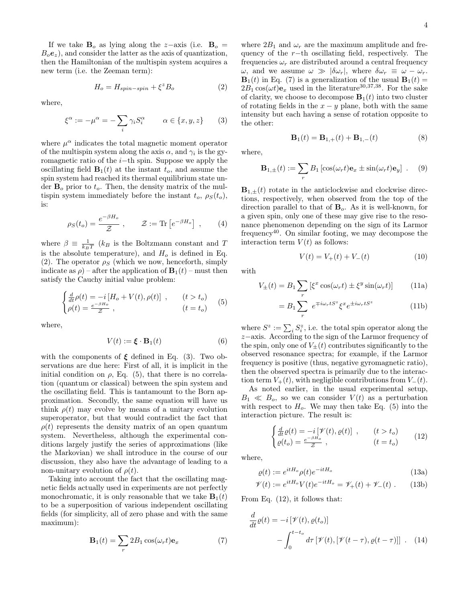If we take  $B_0$  as lying along the z-axis (i.e.  $B_0 =$  $B_0e_z$ , and consider the latter as the axis of quantization, then the Hamiltonian of the multispin system acquires a

$$
H_o = H_{spin-spin} + \xi^z B_o \tag{2}
$$

where,

new term (i.e. the Zeeman term):

$$
\xi^{\alpha} := -\mu^{\alpha} = -\sum_{i} \gamma_{i} S_{i}^{\alpha} \qquad \alpha \in \{x, y, z\} \qquad (3)
$$

where  $\mu^{\alpha}$  indicates the total magnetic moment operator of the multispin system along the axis  $\alpha$ , and  $\gamma_i$  is the gyromagnetic ratio of the i−th spin. Suppose we apply the oscillating field  $\mathbf{B}_1(t)$  at the instant  $t_o$ , and assume the spin system had reached its thermal equilibrium state under  $B<sub>o</sub>$  prior to  $t<sub>o</sub>$ . Then, the density matrix of the multispin system immediately before the instant  $t_o$ ,  $\rho_S(t_o)$ , is:

$$
\rho_S(t_o) = \frac{e^{-\beta H_o}}{\mathcal{Z}}, \qquad \mathcal{Z} := \text{Tr}\left[e^{-\beta H_o}\right], \qquad (4)
$$

where  $\beta \equiv \frac{1}{k_B T}$  ( $k_B$  is the Boltzmann constant and T is the absolute temperature), and  $H_o$  is defined in Eq. (2). The operator  $\rho_S$  (which we now, henceforth, simply indicate as  $\rho$ ) – after the application of  $\mathbf{B}_1(t)$  – must then satisfy the Cauchy initial value problem:

$$
\begin{cases}\n\frac{d}{dt}\rho(t) = -i[H_o + V(t), \rho(t)] , & (t > t_o) \\
\rho(t) = \frac{e^{-\beta H_o}}{\mathcal{Z}} , & (t = t_o)\n\end{cases} \tag{5}
$$

where,

$$
V(t) := \mathbf{\xi} \cdot \mathbf{B}_1(t) \tag{6}
$$

with the components of  $\xi$  defined in Eq. (3). Two observations are due here: First of all, it is implicit in the initial condition on  $\rho$ , Eq. (5), that there is no correlation (quantum or classical) between the spin system and the oscillating field. This is tantamount to the Born approximation. Secondly, the same equation will have us think  $\rho(t)$  may evolve by means of a unitary evolution superoperator, but that would contradict the fact that  $\rho(t)$  represents the density matrix of an open quantum system. Nevertheless, although the experimental conditions largely justify the series of approximations (like the Markovian) we shall introduce in the course of our discussion, they also have the advantage of leading to a non-unitary evolution of  $\rho(t)$ .

Taking into account the fact that the oscillating magnetic fields actually used in experiments are not perfectly monochromatic, it is only reasonable that we take  $\mathbf{B}_1(t)$ to be a superposition of various independent oscillating fields (for simplicity, all of zero phase and with the same maximum):

$$
\mathbf{B}_1(t) = \sum_r 2B_1 \cos(\omega_r t) \mathbf{e}_x \tag{7}
$$

where  $2B_1$  and  $\omega_r$  are the maximum amplitude and frequency of the r−th oscillating field, respectively. The frequencies  $\omega_r$  are distributed around a central frequency  $\omega$ , and we assume  $\omega \gg |\delta \omega_r|$ , where  $\delta \omega_r \equiv \omega - \omega_r$ .  $\mathbf{B}_1(t)$  in Eq. (7) is a generalization of the usual  $\mathbf{B}_1(t)$  =  $2B_1 \cos(\omega t)$ e<sub>x</sub> used in the literature<sup>30,37,38</sup>. For the sake of clarity, we choose to decompose  $\mathbf{B}_1(t)$  into two cluster of rotating fields in the  $x - y$  plane, both with the same intensity but each having a sense of rotation opposite to the other:

$$
\mathbf{B}_1(t) = \mathbf{B}_{1,+}(t) + \mathbf{B}_{1,-}(t)
$$
 (8)

where,

$$
\mathbf{B}_{1,\pm}(t) := \sum_{r} B_1 \left[ \cos(\omega_r t) \mathbf{e}_x \pm \sin(\omega_r t) \mathbf{e}_y \right] . \quad (9)
$$

 $\mathbf{B}_{1,\pm}(t)$  rotate in the anticlockwise and clockwise directions, respectively, when observed from the top of the direction parallel to that of  $B_0$ . As it is well-known, for a given spin, only one of these may give rise to the resonance phenomenon depending on the sign of its Larmor frequency<sup>40</sup>. On similar footing, we may decompose the interaction term  $V(t)$  as follows:

$$
V(t) = V_{+}(t) + V_{-}(t)
$$
\n(10)

with

$$
V_{\pm}(t) = B_1 \sum_{r} \left[ \xi^x \cos(\omega_r t) \pm \xi^y \sin(\omega_r t) \right]
$$
 (11a)

$$
=B_1\sum_{r} e^{\mp i\omega_r t S^z} \xi^x e^{\pm i\omega_r t S^z}
$$
 (11b)

where  $S^z := \sum_i S_i^z$ , i.e. the total spin operator along the z−axis. According to the sign of the Larmor frequency of the spin, only one of  $V_{+}(t)$  contributes significantly to the observed resonance spectra; for example, if the Larmor frequency is positive (thus, negative gyromagnetic ratio), then the observed spectra is primarily due to the interaction term  $V_+(t)$ , with negligible contributions from  $V_-(t)$ .

As noted earlier, in the usual experimental setup,  $B_1 \ll B_o$ , so we can consider  $V(t)$  as a perturbation with respect to  $H<sub>o</sub>$ . We may then take Eq. (5) into the interaction picture. The result is:

$$
\begin{cases}\n\frac{d}{dt}\varrho(t) = -i\left[\mathcal{V}(t), \varrho(t)\right] , & (t > t_o) \\
\varrho(t_o) = \frac{e^{-\beta H_o}}{\mathcal{Z}} , & (t = t_o)\n\end{cases} \tag{12}
$$

where,

$$
\varrho(t) := e^{itH_o} \rho(t) e^{-itH_o} \tag{13a}
$$

$$
\mathcal{V}(t) := e^{itH_o} V(t) e^{-itH_o} = \mathcal{V}_+(t) + \mathcal{V}_-(t) . \qquad (13b)
$$

From Eq. (12), it follows that:

$$
\frac{d}{dt}\varrho(t) = -i\left[\mathcal{V}(t), \varrho(t_o)\right] \n- \int_0^{t-t_o} d\tau \left[\mathcal{V}(t), \left[\mathcal{V}(t-\tau), \varrho(t-\tau)\right]\right] . \tag{14}
$$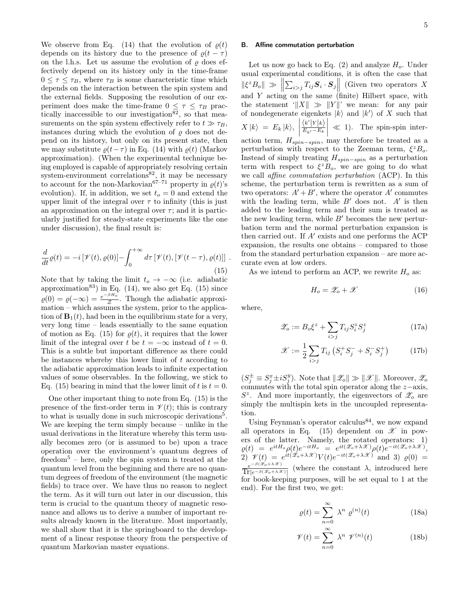We observe from Eq. (14) that the evolution of  $\varrho(t)$ depends on its history due to the presence of  $\rho(t-\tau)$ on the l.h.s. Let us assume the evolution of  $\rho$  does effectively depend on its history only in the time-frame  $0 \leq \tau \leq \tau_B$ , where  $\tau_B$  is some characteristic time which depends on the interaction between the spin system and the external fields. Supposing the resolution of our experiment does make the time-frame  $0 \leq \tau \leq \tau_B$  practically inaccessible to our investigation<sup>82</sup>, so that measurements on the spin system effectively refer to  $t \gg \tau_B$ , instances during which the evolution of  $\rho$  does not depend on its history, but only on its present state, then we may substitute  $\rho(t-\tau)$  in Eq. (14) with  $\rho(t)$  (Markov approximation). (When the experimental technique being employed is capable of appropriately resolving certain system-environment correlations<sup>82</sup>, it may be necessary to account for the non-Markovian<sup>67–71</sup> property in  $\rho(t)$ 's evolution). If, in addition, we set  $t<sub>o</sub> = 0$  and extend the upper limit of the integral over  $\tau$  to infinity (this is just an approximation on the integral over  $\tau$ ; and it is particularly justified for steady-state experiments like the one under discussion), the final result is:

$$
\frac{d}{dt}\varrho(t) = -i\left[\mathcal{V}(t), \varrho(0)\right] - \int_0^{+\infty} d\tau \left[\mathcal{V}(t), \left[\mathcal{V}(t-\tau), \varrho(t)\right]\right].
$$
\n(15)

Note that by taking the limit  $t_o \rightarrow -\infty$  (i.e. adiabatic approximation<sup>83</sup>) in Eq.  $(14)$ , we also get Eq.  $(15)$  since  $\varrho(0) = \varrho(-\infty) = \frac{e^{-\beta H_o}}{\mathcal{Z}}$  $\frac{\partial^2 D}{\partial z}$ . Though the adiabatic approximation – which assumes the system, prior to the application of  $\mathbf{B}_1(t)$ , had been in the equilibrium state for a very, very long time – leads essentially to the same equation of motion as Eq. (15) for  $\rho(t)$ , it requires that the lower limit of the integral over t be  $t = -\infty$  instead of  $t = 0$ . This is a subtle but important difference as there could be instances whereby this lower limit of  $t$  according to the adiabatic approximation leads to infinite expectation values of some observables. In the following, we stick to Eq. (15) bearing in mind that the lower limit of t is  $t = 0$ .

One other important thing to note from Eq. (15) is the presence of the first-order term in  $\mathcal{V}(t)$ ; this is contrary to what is usually done in such microscopic derivations<sup>5</sup>. We are keeping the term simply because – unlike in the usual derivations in the literature whereby this term usually becomes zero (or is assumed to be) upon a trace operation over the environment's quantum degrees of freedom<sup>5</sup> – here, only the spin system is treated at the quantum level from the beginning and there are no quantum degrees of freedom of the environment (the magnetic fields) to trace over. We have thus no reason to neglect the term. As it will turn out later in our discussion, this term is crucial to the quantum theory of magnetic resonance and allows us to derive a number of important results already known in the literature. Most importantly, we shall show that it is the springboard to the development of a linear response theory from the perspective of quantum Markovian master equations.

## B. Affine commutation perturbation

Let us now go back to Eq.  $(2)$  and analyze  $H<sub>o</sub>$ . Under usual experimental conditions, it is often the case that  $\|\xi^z B_o\| \gg \left\|\sum_{i>j} T_{ij} \mathbf{S}_i \cdot \mathbf{S}_j\right\|$  (Given two operators X and Y acting on the same (finite) Hilbert space, with the statement ' $||X|| \gg ||Y||'$  we mean: for any pair of nondegenerate eigenkets  $|k\rangle$  and  $|k'\rangle$  of X such that  $X |k\rangle = E_k |k\rangle,$   $\frac{\langle k' | Y | k \rangle}{E_{k'} - E_k}$  $\vert \ll 1$ ). The spin-spin interaction term,  $H_{spin-spin}$ , may therefore be treated as a perturbation with respect to the Zeeman term,  $\xi^z B_o$ . Instead of simply treating  $H_{spin-spin}$  as a perturbation term with respect to  $\xi^z B_o$ , we are going to do what we call affine commutation perturbation (ACP). In this scheme, the perturbation term is rewritten as a sum of two operators:  $A' + B'$ , where the operator A' commutes with the leading term, while  $B'$  does not.  $A'$  is then added to the leading term and their sum is treated as the new leading term, while  $B'$  becomes the new perturbation term and the normal perturbation expansion is then carried out. If  $A'$  exists and one performs the ACP expansion, the results one obtains – compared to those from the standard perturbation expansion – are more accurate even at low orders.

As we intend to perform an ACP, we rewrite  $H<sub>o</sub>$  as:

$$
H_o = \mathcal{Z}_o + \mathcal{X} \tag{16}
$$

where,

$$
\mathscr{Z}_o := B_o \xi^z + \sum_{i>j} T_{ij} S_i^z S_j^z \tag{17a}
$$

$$
\mathcal{X} := \frac{1}{2} \sum_{i > j} T_{ij} \left( S_i^+ S_j^- + S_i^- S_j^+ \right) \tag{17b}
$$

 $(S_j^{\pm} \equiv S_j^x \pm iS_j^y)$ . Note that  $\|\mathscr{Z}_o\| \gg \|\mathscr{X}\|$ . Moreover,  $\mathscr{Z}_o$ commutes with the total spin operator along the z−axis,  $S^z$ . And more importantly, the eigenvectors of  $\mathscr{Z}_o$  are simply the multispin kets in the uncoupled representation.

Using Feynman's operator calculus<sup>84</sup>, we now expand all operators in Eq. (15) dependent on  $\mathscr X$  in powers of the latter. Namely, the rotated operators: 1)  $\varrho(t) \;=\; e^{itH_o} \rho(t) e^{-itH_o} \;=\; e^{it(\mathscr{Z}_o+\lambda \mathscr{X})} \rho(t) e^{-it(\mathscr{Z}_o+\lambda \mathscr{X})},$ 2)  $\mathscr{V}(t) = e^{it(\mathscr{Z}_o + \lambda \mathscr{X})} V(t) e^{-it(\mathscr{Z}_o + \lambda \mathscr{X})}$  and 3)  $\varrho(0) =$  $\frac{e^{-\beta(z_o+\lambda x)}}{\prod_{[e^{-\beta(x_o+\lambda x)}]}$  (where the constant  $\lambda$ , introduced here  $e^{-\beta(\mathscr{Z}_o+\lambda\mathscr{X})}$ for book-keeping purposes, will be set equal to 1 at the end). For the first two, we get:

$$
\varrho(t) = \sum_{n=0}^{\infty} \lambda^n \varrho^{(n)}(t) \tag{18a}
$$

$$
\mathcal{V}(t) = \sum_{n=0}^{\infty} \lambda^n \ \mathcal{V}^{(n)}(t) \tag{18b}
$$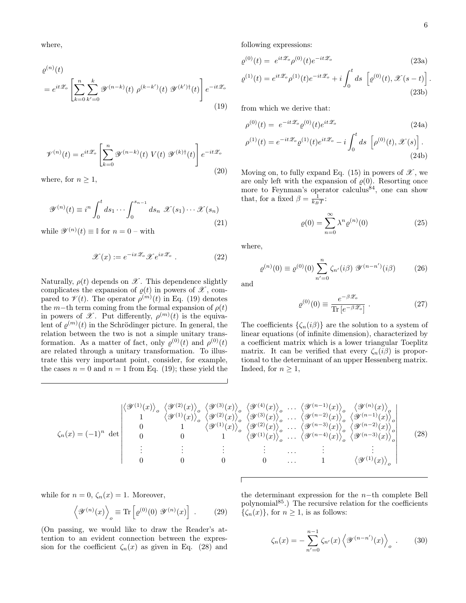where,

$$
\varrho^{(n)}(t)
$$
\n
$$
= e^{it\mathscr{Z}_o} \left[ \sum_{k=0}^n \sum_{k'=0}^k \mathscr{Y}^{(n-k)}(t) \; \rho^{(k-k')}(t) \; \mathscr{Y}^{(k')\dagger}(t) \right] e^{-it\mathscr{Z}_o} \tag{19}
$$

$$
\mathcal{V}^{(n)}(t) = e^{it\mathcal{Z}_o} \left[ \sum_{k=0}^n \mathcal{Y}^{(n-k)}(t) \ V(t) \ \mathcal{Y}^{(k)\dagger}(t) \right] e^{-it\mathcal{Z}_o}
$$
\n(20)

where, for  $n \geq 1$ ,

$$
\mathscr{Y}^{(n)}(t) \equiv i^n \int_0^t ds_1 \cdots \int_0^{s_{n-1}} ds_n \ \mathscr{X}(s_1) \cdots \mathscr{X}(s_n)
$$
\n(21)

while  $\mathscr{Y}^{(n)}(t) \equiv \mathbb{I}$  for  $n = 0$  – with

$$
\mathcal{X}(x) := e^{-ix\mathcal{Z}_o} \mathcal{X} e^{ix\mathcal{Z}_o} . \tag{22}
$$

Naturally,  $\rho(t)$  depends on  $\mathscr X$ . This dependence slightly complicates the expansion of  $\varrho(t)$  in powers of  $\mathscr{X}$ , compared to  $\mathcal{V}(t)$ . The operator  $\rho^{(m)}(t)$  in Eq. (19) denotes the m−th term coming from the formal expansion of  $\rho(t)$ in powers of  $\mathscr X$ . Put differently,  $\rho^{(m)}(t)$  is the equivalent of  $\varrho^{(m)}(t)$  in the Schrödinger picture. In general, the relation between the two is not a simple unitary transformation. As a matter of fact, only  $\varrho^{(0)}(t)$  and  $\rho^{(0)}(t)$ are related through a unitary transformation. To illustrate this very important point, consider, for example, the cases  $n = 0$  and  $n = 1$  from Eq. (19); these yield the following expressions:

$$
\varrho^{(0)}(t) = e^{it\mathcal{Z}_o} \rho^{(0)}(t) e^{-it\mathcal{Z}_o} \tag{23a}
$$

$$
\varrho^{(1)}(t) = e^{it\mathscr{Z}_o} \rho^{(1)}(t) e^{-it\mathscr{Z}_o} + i \int_0^t ds \, \left[ \varrho^{(0)}(t), \mathscr{X}(s-t) \right]. \tag{23b}
$$

from which we derive that:

$$
\rho^{(0)}(t) = e^{-it\mathcal{Z}_o} \varrho^{(0)}(t) e^{it\mathcal{Z}_o} \tag{24a}
$$

$$
\rho^{(1)}(t) = e^{-it\mathscr{Z}_o} \varrho^{(1)}(t) e^{it\mathscr{Z}_o} - i \int_0^t ds \left[ \rho^{(0)}(t), \mathscr{X}(s) \right]. \tag{24b}
$$

Moving on, to fully expand Eq. (15) in powers of  $\mathscr{X}$ , we are only left with the expansion of  $\varrho(0)$ . Resorting once more to Feynman's operator calculus<sup>84</sup>, one can show that, for a fixed  $\beta = \frac{1}{k_B T}$ :

$$
\varrho(0) = \sum_{n=0}^{\infty} \lambda^n \varrho^{(n)}(0) \tag{25}
$$

where,

$$
\varrho^{(n)}(0) \equiv \varrho^{(0)}(0) \sum_{n'=0}^{n} \zeta_{n'}(i\beta) \mathcal{Y}^{(n-n')}(i\beta) \tag{26}
$$

and

$$
\varrho^{(0)}(0) \equiv \frac{e^{-\beta \mathscr{Z}_o}}{\text{Tr}\left[e^{-\beta \mathscr{Z}_o}\right]} \ . \tag{27}
$$

The coefficients  $\{\zeta_n(i\beta)\}\$ are the solution to a system of linear equations (of infinite dimension), characterized by a coefficient matrix which is a lower triangular Toeplitz matrix. It can be verified that every  $\zeta_n(i\beta)$  is proportional to the determinant of an upper Hessenberg matrix. Indeed, for  $n \geq 1$ ,

$$
\zeta_n(x) = (-1)^n \det \begin{pmatrix}\n\langle \mathcal{Y}^{(1)}(x) \rangle_o & \langle \mathcal{Y}^{(2)}(x) \rangle_o & \langle \mathcal{Y}^{(3)}(x) \rangle_o & \langle \mathcal{Y}^{(4)}(x) \rangle_o & \cdots & \langle \mathcal{Y}^{(n-1)}(x) \rangle_o & \langle \mathcal{Y}^{(n)}(x) \rangle_o \\
1 & \langle \mathcal{Y}^{(1)}(x) \rangle_o & \langle \mathcal{Y}^{(2)}(x) \rangle_o & \langle \mathcal{Y}^{(3)}(x) \rangle_o & \cdots & \langle \mathcal{Y}^{(n-2)}(x) \rangle_o & \langle \mathcal{Y}^{(n-1)}(x) \rangle_o \\
0 & 1 & \langle \mathcal{Y}^{(1)}(x) \rangle_o & \langle \mathcal{Y}^{(2)}(x) \rangle_o & \cdots & \langle \mathcal{Y}^{(n-3)}(x) \rangle_o & \langle \mathcal{Y}^{(n-2)}(x) \rangle_o \\
0 & 0 & 1 & \langle \mathcal{Y}^{(1)}(x) \rangle_o & \cdots & \langle \mathcal{Y}^{(n-4)}(x) \rangle_o & \langle \mathcal{Y}^{(n-3)}(x) \rangle_o \\
\vdots & \vdots & \vdots & \ddots & \vdots & \vdots \\
0 & 0 & 0 & \cdots & 1 & \langle \mathcal{Y}^{(1)}(x) \rangle_o\n\end{pmatrix}
$$
\n(28)

while for  $n = 0$ ,  $\zeta_n(x) = 1$ . Moreover,

$$
\langle \mathcal{V}^{(n)}(x) \rangle_{o} \equiv \text{Tr} \left[ \varrho^{(0)}(0) \ \mathcal{V}^{(n)}(x) \right] \ . \tag{29}
$$

(On passing, we would like to draw the Reader's attention to an evident connection between the expression for the coefficient  $\zeta_n(x)$  as given in Eq. (28) and the determinant expression for the  $n$ −th complete Bell polynomial<sup>85</sup>.) The recursive relation for the coefficients  $\{\zeta_n(x)\}\,$  for  $n \geq 1$ , is as follows:

$$
\zeta_n(x) = -\sum_{n'=0}^{n-1} \zeta_{n'}(x) \left\langle \mathcal{Y}^{(n-n')}(x) \right\rangle_o \,. \tag{30}
$$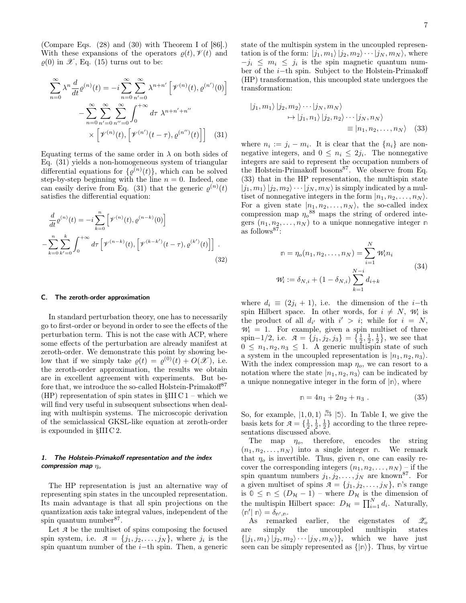(Compare Eqs. (28) and (30) with Theorem I of [86].) With these expansions of the operators  $\rho(t)$ ,  $\mathcal{V}(t)$  and  $\rho(0)$  in  $\mathscr{X}$ , Eq. (15) turns out to be:

$$
\sum_{n=0}^{\infty} \lambda^n \frac{d}{dt} \varrho^{(n)}(t) = -i \sum_{n=0}^{\infty} \sum_{n'=0}^{\infty} \lambda^{n+n'} \left[ \mathcal{V}^{(n)}(t), \varrho^{(n')}(0) \right]
$$

$$
- \sum_{n=0}^{\infty} \sum_{n'=0}^{\infty} \sum_{n''=0}^{\infty} \int_{0}^{+\infty} d\tau \ \lambda^{n+n'+n''}
$$

$$
\times \left[ \mathcal{V}^{(n)}(t), \left[ \mathcal{V}^{(n')}(t-\tau), \varrho^{(n'')}(t) \right] \right] \tag{31}
$$

Equating terms of the same order in  $\lambda$  on both sides of Eq. (31) yields a non-homogeneous system of triangular differential equations for  $\{\varrho^{(n)}(t)\}\,$ , which can be solved step-by-step beginning with the line  $n = 0$ . Indeed, one can easily derive from Eq. (31) that the generic  $\varrho^{(n)}(t)$ satisfies the differential equation:

$$
\frac{d}{dt}\varrho^{(n)}(t) = -i\sum_{k=0}^{n} \left[ \mathcal{V}^{(n)}(t), \varrho^{(n-k)}(0) \right]
$$

$$
-\sum_{k=0}^{n} \sum_{k'=0}^{k} \int_{0}^{+\infty} d\tau \left[ \mathcal{V}^{(n-k)}(t), \left[ \mathcal{V}^{(k-k')}(t-\tau), \varrho^{(k')}(t) \right] \right].
$$
\n(32)

#### C. The zeroth-order approximation

In standard perturbation theory, one has to necessarily go to first-order or beyond in order to see the effects of the perturbation term. This is not the case with ACP, where some effects of the perturbation are already manifest at zeroth-order. We demonstrate this point by showing below that if we simply take  $\varrho(t) = \varrho^{(0)}(t) + O(\mathcal{X})$ , i.e. the zeroth-order approximation, the results we obtain are in excellent agreement with experiments. But before that, we introduce the so-called Holstein-Primakoff<sup>87</sup> (HP) representation of spin states in  $$III C 1$  – which we will find very useful in subsequent subsections when dealing with multispin systems. The microscopic derivation of the semiclassical GKSL-like equation at zeroth-order is expounded in §III C 2.

## 1. The Holstein-Primakoff representation and the index compression map  $\eta_o$

The HP representation is just an alternative way of representing spin states in the uncoupled representation. Its main advantage is that all spin projections on the quantization axis take integral values, independent of the spin quantum number<sup>87</sup>.

Let *A* be the multiset of spins composing the focused spin system, i.e.  $\mathcal{A} = \{j_1, j_2, \ldots, j_N\}$ , where  $j_i$  is the spin quantum number of the  $i$ −th spin. Then, a generic state of the multispin system in the uncoupled representation is of the form:  $|j_1, m_1\rangle |j_2, m_2\rangle \cdots |j_N, m_N\rangle$ , where  $-j_i \leq m_i \leq j_i$  is the spin magnetic quantum number of the i−th spin. Subject to the Holstein-Primakoff (HP) transformation, this uncoupled state undergoes the transformation:

$$
|j_1, m_1\rangle |j_2, m_2\rangle \cdots |j_N, m_N\rangle
$$
  
\n
$$
\rightarrow |j_1, n_1\rangle |j_2, n_2\rangle \cdots |j_N, n_N\rangle
$$
  
\n
$$
\equiv |n_1, n_2, \dots, n_N\rangle \quad (33)
$$

where  $n_i := j_i - m_i$ . It is clear that the  $\{n_i\}$  are nonnegative integers, and  $0 \leq n_i \leq 2j_i$ . The nonnegative integers are said to represent the occupation numbers of the Holstein-Primakoff bosons<sup>87</sup>. We observe from Eq. (33) that in the HP representation, the multispin state  $|j_1, m_1\rangle |j_2, m_2\rangle \cdots |j_N, m_N\rangle$  is simply indicated by a multiset of nonnegative integers in the form  $|n_1, n_2, \ldots, n_N\rangle$ . For a given state  $|n_1, n_2, \ldots, n_N\rangle$ , the so-called index compression map  $\eta_o^{88}$  maps the string of ordered integers  $(n_1, n_2, \ldots, n_N)$  to a unique nonnegative integer  $\mathbb{R}$ as follows<sup>87</sup>:

$$
\mathbb{n} = \eta_o(n_1, n_2, \dots, n_N) = \sum_{i=1}^N \mathcal{W}_i n_i
$$
  

$$
\mathcal{W}_i := \delta_{N,i} + (1 - \delta_{N,i}) \sum_{k=1}^{N-i} d_{i+k}
$$
 (34)

where  $d_i \equiv (2j_i + 1)$ , i.e. the dimension of the i–th spin Hilbert space. In other words, for  $i \neq N$ ,  $W_i$  is the product of all  $d_{i'}$  with  $i' > i$ ; while for  $i = N$ ,  $W_i = 1$ . For example, given a spin multiset of three spin–1/2, i.e.  $\mathcal{A} = \{j_1, j_2, j_3\} = \{\frac{1}{2}, \frac{1}{2}, \frac{1}{2}\},\$  we see that  $0 \leq n_1, n_2, n_3 \leq 1$ . A generic multispin state of such a system in the uncoupled representation is  $|n_1, n_2, n_3\rangle$ . With the index compression map  $\eta_o$ , we can resort to a notation where the state  $|n_1, n_2, n_3\rangle$  can be indicated by a unique nonnegative integer in the form of  $|\mathbf{n}\rangle$ , where

$$
n = 4n_1 + 2n_2 + n_3 . \t\t(35)
$$

So, for example,  $|1, 0, 1\rangle \stackrel{\eta_o}{\mapsto} |5\rangle$ . In Table I, we give the basis kets for  $\mathcal{A} = \{\frac{1}{2}, \frac{1}{2}, \frac{1}{2}\}\$ according to the three representations discussed above.

The map  $\eta_o$ , therefore, encodes the string  $(n_1, n_2, \ldots, n_N)$  into a single integer **n**. We remark that  $\eta_o$  is invertible. Thus, given  $n$ , one can easily recover the corresponding integers  $(n_1, n_2, \ldots, n_N)$  – if the spin quantum numbers  $j_1, j_2, \ldots, j_N$  are known<sup>87</sup>. For a given multiset of spins  $A = \{j_1, j_2, \ldots, j_N\}$ ,  $\mathbb{R}^3$  range is  $0 \leq n \leq (D_{\mathcal{H}} - 1)$  – where  $D_{\mathcal{H}}$  is the dimension of the multispin Hilbert space:  $D_{\mathcal{H}} = \prod_{i=1}^{N} d_i$ . Naturally,  $\langle \mathbb{n}' | \mathbb{n} \rangle = \delta_{\mathbb{n}',\mathbb{n}}.$ 

As remarked earlier, the eigenstates of  $\mathscr{Z}_{\alpha}$ are simply the uncoupled multispin states  $\{|j_1, m_1\rangle |j_2, m_2\rangle \cdots |j_N, m_N\rangle\},\$  which we have just seen can be simply represented as  $\{|\mathbf{n}\rangle\}$ . Thus, by virtue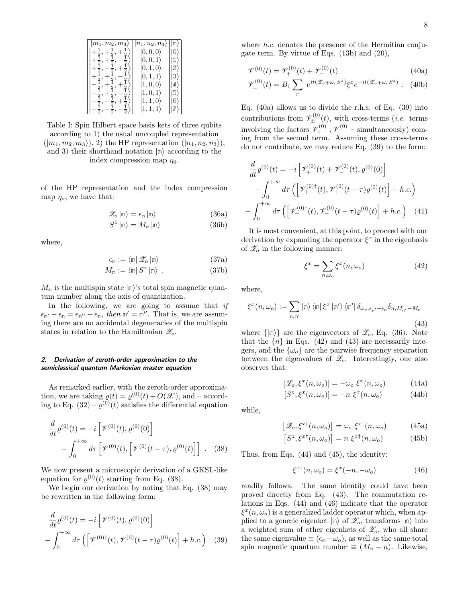| $m_1, m_2, m_3$ | $n_1, n_2, n_3$   |              |
|-----------------|-------------------|--------------|
|                 | $ 0,0,0\rangle$   |              |
|                 | $ 0,0,1\rangle$   | $1^{\prime}$ |
|                 | $ 0,1,0\rangle$   | 2            |
|                 | $ 0,1,1\rangle$   | B,           |
|                 | $ 1,0,0\rangle$   |              |
|                 | $ 1, 0, 1\rangle$ | 5            |
|                 | $ 1,1,0\rangle$   |              |
|                 | $ 1, 1, 1\rangle$ |              |

Table I: Spin Hilbert space basis kets of three qubits according to 1) the usual uncoupled representation  $(|m_1, m_2, m_3\rangle),$  2) the HP representation  $(|n_1, n_2, n_3\rangle),$ and 3) their shorthand notation  $|\mathbf{n}\rangle$  according to the index compression map  $\eta_0$ .

of the HP representation and the index compression map  $\eta_o$ , we have that:

$$
\mathscr{Z}_{o}|\mathbb{n}\rangle = \epsilon_{\mathbb{n}}|\mathbb{n}\rangle \tag{36a}
$$

$$
S^{z} \left| \mathbb{n} \right\rangle = M_{\mathbb{n}} \left| \mathbb{n} \right\rangle \tag{36b}
$$

where,

$$
\epsilon_{\mathsf{n}} := \langle \mathsf{n} | \mathscr{Z}_o | \mathsf{n} \rangle \tag{37a}
$$

$$
M_{\mathbb{n}} := \langle \mathbb{n} | S^z | \mathbb{n} \rangle \tag{37b}
$$

 $M_{\rm m}$  is the multispin state  $|{\rm m}\rangle$ 's total spin magnetic quantum number along the axis of quantization.

In the following, we are going to assume that  $if$  $\epsilon_{\mathsf{n}'} - \epsilon_{\mathsf{n}} = \epsilon_{\mathsf{n}''} - \epsilon_{\mathsf{n}}$ , then  $\mathsf{n}' = \mathsf{n}''$ . That is, we are assuming there are no accidental degeneracies of the multispin states in relation to the Hamiltonian  $\mathscr{Z}_o$ .

# 2. Derivation of zeroth-order approximation to the semiclassical quantum Markovian master equation

As remarked earlier, with the zeroth-order approximation, we are taking  $\varrho(t) = \varrho^{(0)}(t) + O(\mathcal{X})$ , and - according to Eq.  $(32) - \varrho^{(0)}(t)$  satisfies the differential equation

$$
\frac{d}{dt}\varrho^{(0)}(t) = -i\left[\mathcal{V}^{(0)}(t), \varrho^{(0)}(0)\right] \n- \int_0^{+\infty} d\tau \left[\mathcal{V}^{(0)}(t), \left[\mathcal{V}^{(0)}(t-\tau), \varrho^{(0)}(t)\right]\right] .
$$
\n(38)

We now present a microscopic derivation of a GKSL-like equation for  $\varrho^{(0)}(t)$  starting from Eq. (38).

We begin our derivation by noting that Eq. (38) may be rewritten in the following form:

$$
\frac{d}{dt}\varrho^{(0)}(t) = -i\left[\mathcal{V}^{(0)}(t), \varrho^{(0)}(0)\right] \n- \int_0^{+\infty} d\tau \left(\left[\mathcal{V}^{(0)\dagger}(t), \mathcal{V}^{(0)}(t-\tau)\varrho^{(0)}(t)\right] + h.c.\right) \tag{39}
$$

where h.c. denotes the presence of the Hermitian conjugate term. By virtue of Eqs. (13b) and (20),

$$
\mathcal{V}^{(0)}(t) = \mathcal{V}_+^{(0)}(t) + \mathcal{V}_-^{(0)}(t)
$$
\n(40a)

$$
\mathscr{V}_{\pm}^{(0)}(t) = B_1 \sum_r e^{it(\mathscr{Z}_o \mp \omega_r S^z)} \xi^x e^{-it(\mathscr{Z}_o \mp \omega_r S^z)} . \quad (40b)
$$

Eq. (40a) allows us to divide the r.h.s. of Eq. (39) into contributions from  $\mathscr{V}_{\pm}^{(0)}(t)$ , with cross-terms (*i.e.* terms involving the factors  $\mathscr{V}_{+}^{(0)}$ ,  $\mathscr{V}_{-}^{(0)}$  – simultaneously) com-<br>ing from the second term. Assuming these cross-terms do not contribute, we may reduce Eq. (39) to the form:

$$
\frac{d}{dt}\varrho^{(0)}(t) = -i\left[\mathcal{V}_{+}^{(0)}(t) + \mathcal{V}_{-}^{(0)}(t), \varrho^{(0)}(0)\right] \n- \int_{0}^{+\infty} d\tau \left(\left[\mathcal{V}_{+}^{(0)\dagger}(t), \mathcal{V}_{+}^{(0)}(t-\tau)\varrho^{(0)}(t)\right] + h.c.\right) \n- \int_{0}^{+\infty} d\tau \left(\left[\mathcal{V}_{-}^{(0)\dagger}(t), \mathcal{V}_{-}^{(0)}(t-\tau)\varrho^{(0)}(t)\right] + h.c.\right) \tag{41}
$$

It is most convenient, at this point, to proceed with our derivation by expanding the operator  $\xi^x$  in the eigenbasis of  $\mathscr{Z}_o$  in the following manner:

$$
\xi^x = \sum_{n,\omega_o} \xi^x(n,\omega_o) \tag{42}
$$

where,

$$
\xi^{x}(n,\omega_{o}):=\sum_{\mathbf{m},\mathbf{m'}}|\mathbf{m}\rangle\langle\mathbf{m}|\,\xi^{x}\left|\mathbf{m'}\right\rangle\langle\mathbf{m'}|\,\delta_{\omega_{o},\epsilon_{\mathbf{n'}}-\epsilon_{\mathbf{n}}}\delta_{n,M_{\mathbf{n'}}-M_{\mathbf{n}}}
$$
\n(43)

where  $\{|\mathbf{n}\rangle\}$  are the eigenvectors of  $\mathscr{Z}_o$ , Eq. (36). Note that the  $\{n\}$  in Eqs. (42) and (43) are necessarily integers, and the  $\{\omega_o\}$  are the pairwise frequency separation between the eigenvalues of  $\mathscr{Z}_o$ . Interestingly, one also observes that:

$$
[\mathscr{Z}_o, \xi^x(n, \omega_o)] = -\omega_o \xi^x(n, \omega_o) \tag{44a}
$$

$$
[S^z, \xi^x(n, \omega_o)] = -n \xi^x(n, \omega_o) \tag{44b}
$$

while,

$$
\mathscr{Z}_o, \xi^{x\dagger}(n, \omega_o) = \omega_o \xi^{x\dagger}(n, \omega_o) \tag{45a}
$$

$$
[S^z, \xi^{x\dagger}(n, \omega_o)] = n \xi^{x\dagger}(n, \omega_o) \tag{45b}
$$

Thus, from Eqs. (44) and (45), the identity:

 $\overline{a}$ 

$$
\xi^{x\dagger}(n,\omega_o) = \xi^x(-n,-\omega_o) \tag{46}
$$

readily follows. The same identity could have been proved directly from Eq. (43). The commutation relations in Eqs. (44) and (46) indicate that the operator  $\xi^x(n,\omega_o)$  is a generalized ladder operator which, when applied to a generic eigenket  $|\mathbf{n}\rangle$  of  $\mathscr{Z}_o$ , transforms  $|\mathbf{n}\rangle$  into a weighted sum of other eigenkets of  $\mathscr{Z}_o$ , who all share the same eigenvalue  $\equiv (\epsilon_{\rm m}-\omega_o)$ , as well as the same total spin magnetic quantum number  $\equiv (M_{\rm m} - n)$ . Likewise,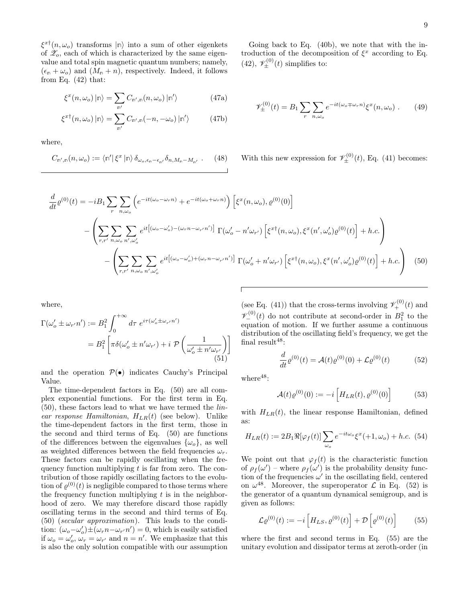$\xi^{x\dagger}(n,\omega_o)$  transforms  $|\n\eta\rangle$  into a sum of other eigenkets of  $\mathscr{Z}_o$ , each of which is characterized by the same eigenvalue and total spin magnetic quantum numbers; namely,  $(\epsilon_{\rm m} + \omega_o)$  and  $(M_{\rm m} + n)$ , respectively. Indeed, it follows from Eq.  $(42)$  that:

$$
\xi^{x}(n,\omega_{o})\left|\mathbf{m}\right\rangle =\sum_{\mathbf{m}'}C_{\mathbf{m}',\mathbf{m}}(n,\omega_{o})\left|\mathbf{m}'\right\rangle \tag{47a}
$$

$$
\xi^{x\dagger}(n,\omega_o) \left| \mathbf{m} \right\rangle = \sum_{\mathbf{m}'} C_{\mathbf{m}',\mathbf{m}}(-n,-\omega_o) \left| \mathbf{m}' \right\rangle \tag{47b}
$$

where,

$$
C_{\mathbb{n}',\mathbb{n}}(n,\omega_o) := \langle \mathbb{n}' | \xi^x | \mathbb{n} \rangle \, \delta_{\omega_o,\epsilon_{\mathbb{n}}-\epsilon_{\mathbb{n}'}} \delta_{n,M_{\mathbb{n}}-M_{\mathbb{n}'}} . \tag{48}
$$

Going back to Eq. (40b), we note that with the introduction of the decomposition of  $\xi^x$  according to Eq. (42),  $\mathscr{V}_{\pm}^{(0)}(t)$  simplifies to:

$$
\mathscr{V}_{\pm}^{(0)}(t) = B_1 \sum_{r} \sum_{n,\omega_o} e^{-it(\omega_o \mp \omega_r n)} \xi^x(n,\omega_o) \ . \tag{49}
$$

With this new expression for  $\mathscr{V}_{\pm}^{(0)}(t)$ , Eq. (41) becomes:

$$
\frac{d}{dt}\varrho^{(0)}(t) = -iB_1 \sum_{r} \sum_{n,\omega_o} \left( e^{-it(\omega_o - \omega_r n)} + e^{-it(\omega_o + \omega_r n)} \right) \left[ \xi^x(n,\omega_o), \varrho^{(0)}(0) \right]
$$
\n
$$
- \left( \sum_{r,r'} \sum_{n,\omega_o} \sum_{n',\omega_o'} e^{it\left[ (\omega_o - \omega_o') - (\omega_r n - \omega_{r'} n') \right]} \Gamma(\omega_o' - n'\omega_{r'}) \left[ \xi^{xt}(n,\omega_o), \xi^x(n',\omega_o')\varrho^{(0)}(t) \right] + h.c. \right)
$$
\n
$$
- \left( \sum_{r,r'} \sum_{n,\omega_o} \sum_{n',\omega_o'} e^{it\left[ (\omega_o - \omega_o') + (\omega_r n - \omega_{r'} n') \right]} \Gamma(\omega_o' + n'\omega_{r'}) \left[ \xi^{xt}(n,\omega_o), \xi^x(n',\omega_o')\varrho^{(0)}(t) \right] + h.c. \right) \tag{50}
$$

where,

$$
\Gamma(\omega_o' \pm \omega_{r'} n') := B_1^2 \int_0^{+\infty} d\tau \ e^{i\tau(\omega_o' \pm \omega_{r'} n')}
$$

$$
= B_1^2 \left[ \pi \delta(\omega_o' \pm n'\omega_{r'}) + i \ \mathcal{P}\left(\frac{1}{\omega_o' \pm n'\omega_{r'}}\right) \right]
$$
(51)

and the operation  $\mathcal{P}(\bullet)$  indicates Cauchy's Principal Value.

The time-dependent factors in Eq. (50) are all complex exponential functions. For the first term in Eq. (50), these factors lead to what we have termed the linear response Hamiltonian,  $H_{LR}(t)$  (see below). Unlike the time-dependent factors in the first term, those in the second and third terms of Eq. (50) are functions of the differences between the eigenvalues  $\{\omega_o\}$ , as well as weighted differences between the field frequencies  $\omega_r$ . These factors can be rapidly oscillating when the frequency function multiplying  $t$  is far from zero. The contribution of those rapidly oscillating factors to the evolution of  $\varrho^{(0)}(t)$  is negligible compared to those terms where the frequency function multiplying  $t$  is in the neighborhood of zero. We may therefore discard those rapidly oscillating terms in the second and third terms of Eq. (50) (secular approximation). This leads to the condition:  $(\omega_o - \omega'_o) \pm (\omega_r n - \omega_{r'} n') = 0$ , which is easily satisfied if  $\omega_o = \omega'_o$ ,  $\omega_r = \omega_{r'}$  and  $n = n'$ . We emphasize that this is also the only solution compatible with our assumption

(see Eq. (41)) that the cross-terms involving  $\mathscr{V}_+^{(0)}(t)$  and  $\mathscr{V}^{(0)}_{-}(t)$  do not contribute at second-order in  $B_1^2$  to the equation of motion. If we further assume a continuous distribution of the oscillating field's frequency, we get the final result<sup>48</sup>:

$$
\frac{d}{dt}\rho^{(0)}(t) = \mathcal{A}(t)\rho^{(0)}(0) + \mathcal{L}\rho^{(0)}(t) \tag{52}
$$

where $48$ :

$$
\mathcal{A}(t)\varrho^{(0)}(0) := -i \left[ H_{LR}(t), \varrho^{(0)}(0) \right] \tag{53}
$$

with  $H_{LR}(t)$ , the linear response Hamiltonian, defined as:

$$
H_{LR}(t) := 2B_1 \Re[\varphi_f(t)] \sum_{\omega_o} e^{-it\omega_o} \xi^x(+1, \omega_o) + h.c. \tag{54}
$$

We point out that  $\varphi_f(t)$  is the characteristic function of  $\rho_f(\omega')$  – where  $\rho_f(\omega')$  is the probability density function of the frequencies  $\omega'$  in the oscillating field, centered on  $\omega^{48}$ . Moreover, the superoperator  $\mathcal L$  in Eq. (52) is the generator of a quantum dynamical semigroup, and is given as follows:

$$
\mathcal{L}\varrho^{(0)}(t) := -i \left[ H_{LS}, \varrho^{(0)}(t) \right] + \mathcal{D} \left[ \varrho^{(0)}(t) \right] \tag{55}
$$

where the first and second terms in Eq. (55) are the unitary evolution and dissipator terms at zeroth-order (in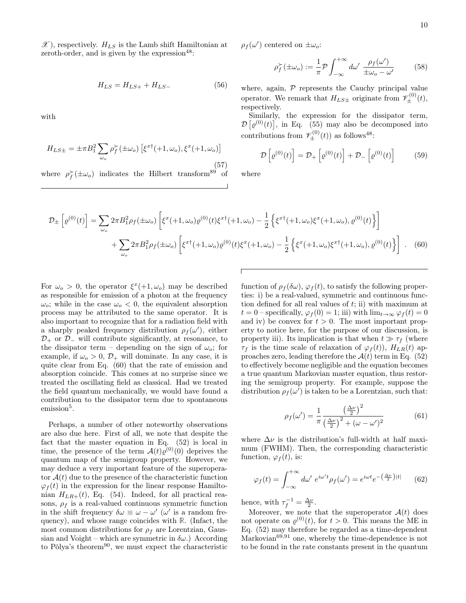10

 $\mathscr{X}$ ), respectively.  $H_{LS}$  is the Lamb shift Hamiltonian at zeroth-order, and is given by the expression  $48$ :

$$
H_{LS} = H_{LS+} + H_{LS-} \tag{56}
$$

with

$$
H_{LS\pm} = \pm \pi B_1^2 \sum_{\omega_o} \rho_f^{\succ} (\pm \omega_o) \left[ \xi^{x\dagger} (+1, \omega_o), \xi^x (+1, \omega_o) \right]
$$
\n(57)

where  $\rho_f^{\succ}(\pm\omega_o)$  indicates the Hilbert transform<sup>89</sup> of

 $\rho_f(\omega')$  centered on  $\pm \omega_o$ :

$$
\rho_f^{\succ}(\pm \omega_o) := \frac{1}{\pi} \mathcal{P} \int_{-\infty}^{+\infty} d\omega' \frac{\rho_f(\omega')}{\pm \omega_o - \omega'} \tag{58}
$$

where, again,  $P$  represents the Cauchy principal value operator. We remark that  $H_{LS\pm}$  originate from  $\mathscr{V}_{\pm}^{(0)}(t)$ , respectively.

Similarly, the expression for the dissipator term,  $\mathcal{D}\left[\varrho^{(0)}(t)\right]$ , in Eq. (55) may also be decomposed into contributions from  $\mathscr{V}^{(0)}_{\pm}(t)$  as follows<sup>48</sup>:

$$
\mathcal{D}\left[\varrho^{(0)}(t)\right] = \mathcal{D}_{+}\left[\varrho^{(0)}(t)\right] + \mathcal{D}_{-}\left[\varrho^{(0)}(t)\right] \tag{59}
$$

where

$$
\mathcal{D}_{\pm} \left[ \varrho^{(0)}(t) \right] = \sum_{\omega_o} 2\pi B_1^2 \rho_f(\pm \omega_o) \left[ \xi^x(+1,\omega_o) \varrho^{(0)}(t) \xi^{x\dagger}(+1,\omega_o) - \frac{1}{2} \left\{ \xi^x{}^{\dagger}(+1,\omega_o) \xi^x(+1,\omega_o), \varrho^{(0)}(t) \right\} \right] \n+ \sum_{\omega_o} 2\pi B_1^2 \rho_f(\pm \omega_o) \left[ \xi^{x\dagger}(+1,\omega_o) \varrho^{(0)}(t) \xi^x(+1,\omega_o) - \frac{1}{2} \left\{ \xi^x(+1,\omega_o) \xi^{x\dagger}(+1,\omega_o), \varrho^{(0)}(t) \right\} \right].
$$
\n(60)

For  $\omega_o > 0$ , the operator  $\xi^x(+1,\omega_o)$  may be described as responsible for emission of a photon at the frequency  $\omega_o$ ; while in the case  $\omega_o < 0$ , the equivalent absorption process may be attributed to the same operator. It is also important to recognize that for a radiation field with a sharply peaked frequency distribution  $\rho_f(\omega')$ , either  $\mathcal{D}_+$  or  $\mathcal{D}_-$  will contribute significantly, at resonance, to the dissipator term – depending on the sign of  $\omega_o$ ; for example, if  $\omega_o > 0$ ,  $\mathcal{D}_+$  will dominate. In any case, it is quite clear from Eq. (60) that the rate of emission and absorption coincide. This comes at no surprise since we treated the oscillating field as classical. Had we treated the field quantum mechanically, we would have found a contribution to the dissipator term due to spontaneous emission<sup>5</sup>.

Perhaps, a number of other noteworthy observations are also due here. First of all, we note that despite the fact that the master equation in Eq. (52) is local in time, the presence of the term  $\mathcal{A}(t)\varrho^{(0)}(0)$  deprives the quantum map of the semigroup property. However, we may deduce a very important feature of the superoperator  $A(t)$  due to the presence of the characteristic function  $\varphi_f(t)$  in the expression for the linear response Hamiltonian  $H_{LR+}(t)$ , Eq. (54). Indeed, for all practical reasons,  $\rho_f$  is a real-valued continuous symmetric function in the shift frequency  $\delta \omega \equiv \omega - \omega'$  ( $\omega'$  is a random frequency), and whose range coincides with **R**. (Infact, the most common distributions for  $\rho_f$  are Lorentzian, Gaussian and Voight – which are symmetric in  $\delta\omega$ .) According to Pòlya's theorem<sup>90</sup>, we must expect the characteristic

function of  $\rho_f(\delta\omega)$ ,  $\varphi_f(t)$ , to satisfy the following properties: i) be a real-valued, symmetric and continuous function defined for all real values of  $t$ ; ii) with maximum at  $t = 0$  – specifically,  $\varphi_f(0) = 1$ ; iii) with  $\lim_{t\to\infty} \varphi_f(t) = 0$ and iv) be convex for  $t > 0$ . The most important property to notice here, for the purpose of our discussion, is property iii). Its implication is that when  $t \gg \tau_f$  (where  $\tau_f$  is the time scale of relaxation of  $\varphi_f(t)$ ,  $H_{LR}(t)$  approaches zero, leading therefore the  $\mathcal{A}(t)$  term in Eq. (52) to effectively become negligible and the equation becomes a true quantum Markovian master equation, thus restoring the semigroup property. For example, suppose the distribution  $\rho_f(\omega')$  is taken to be a Lorentzian, such that:

$$
\rho_f(\omega') = \frac{1}{\pi} \frac{\left(\frac{\Delta \nu}{2}\right)^2}{\left(\frac{\Delta \nu}{2}\right)^2 + (\omega - \omega')^2}
$$
(61)

where  $\Delta \nu$  is the distribution's full-width at half maximum (FWHM). Then, the corresponding characteristic function,  $\varphi_f(t)$ , is:

$$
\varphi_f(t) = \int_{-\infty}^{+\infty} d\omega' \ e^{i\omega' t} \rho_f(\omega') = e^{i\omega t} e^{-\left(\frac{\Delta \nu}{2}\right)|t|} \qquad (62)
$$

hence, with  $\tau_f^{-1} = \frac{\Delta \nu}{2}$ .

Moreover, we note that the superoperator  $\mathcal{A}(t)$  does not operate on  $\varrho^{(0)}(t)$ , for  $t > 0$ . This means the ME in Eq. (52) may therefore be regarded as a time-dependent Markovian $69,91$  one, whereby the time-dependence is not to be found in the rate constants present in the quantum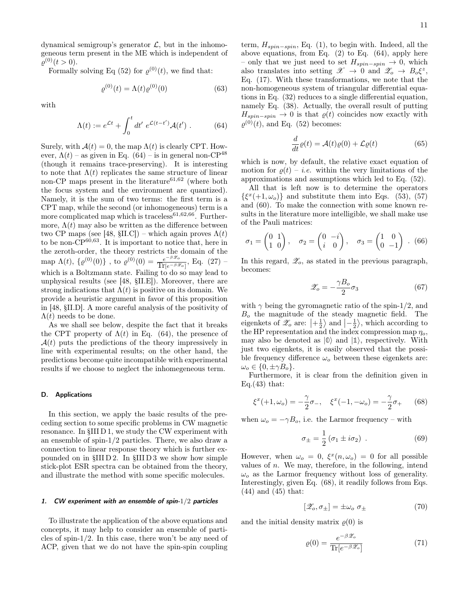dynamical semigroup's generator  $\mathcal{L}$ , but in the inhomogeneous term present in the ME which is independent of  $\varrho^{(0)}(t>0).$ 

Formally solving Eq (52) for  $\varrho^{(0)}(t)$ , we find that:

$$
\varrho^{(0)}(t) = \Lambda(t)\varrho^{(0)}(0) \tag{63}
$$

with

$$
\Lambda(t) := e^{\mathcal{L}t} + \int_0^t dt' e^{\mathcal{L}(t-t')} \mathcal{A}(t') . \tag{64}
$$

Surely, with  $A(t) = 0$ , the map  $\Lambda(t)$  is clearly CPT. However,  $\Lambda(t)$  – as given in Eq. (64) – is in general non-CP<sup>48</sup> (though it remains trace-preserving). It is interesting to note that  $\Lambda(t)$  replicates the same structure of linear non-CP maps present in the literature<sup>61,62</sup> (where both the focus system and the environment are quantized). Namely, it is the sum of two terms: the first term is a CPT map, while the second (or inhomogeneous) term is a more complicated map which is traceless<sup>61,62,66</sup>. Furthermore,  $\Lambda(t)$  may also be written as the difference between two CP maps (see [48, §II.C]) – which again proves  $\Lambda(t)$ to be non- $\dot{CP}^{60,63}$ . It is important to notice that, here in the zeroth-order, the theory restricts the domain of the map  $\Lambda(t),\,\{\varrho^{(0)}(0)\}$  , to  $\varrho^{(0)}(0)=\frac{e^{-\beta\mathscr{Z}_o}}{\text{Tr}[e^{-\beta\mathscr{Z}_o}]}$  $\frac{e^{-\beta \omega_o}}{\text{Tr}[e^{-\beta \mathscr{Z}_o}]}, \text{ Eq. (27)}$ which is a Boltzmann state. Failing to do so may lead to unphysical results (see [48, §II.E]). Moreover, there are strong indications that  $\Lambda(t)$  is positive on its domain. We provide a heuristic argument in favor of this proposition in [48, §II.D]. A more careful analysis of the positivity of  $\Lambda(t)$  needs to be done.

As we shall see below, despite the fact that it breaks the CPT property of  $\Lambda(t)$  in Eq. (64), the presence of  $A(t)$  puts the predictions of the theory impressively in line with experimental results; on the other hand, the predictions become quite incompatible with experimental results if we choose to neglect the inhomegeneous term.

#### D. Applications

In this section, we apply the basic results of the preceding section to some specific problems in CW magnetic resonance. In §III D 1, we study the CW experiment with an ensemble of spin-1/2 particles. There, we also draw a connection to linear response theory which is further expounded on in §III D 2. In §III D 3 we show how simple stick-plot ESR spectra can be obtained from the theory, and illustrate the method with some specific molecules.

## 1. CW experiment with an ensemble of spin-1/2 particles

To illustrate the application of the above equations and concepts, it may help to consider an ensemble of particles of spin-1/2. In this case, there won't be any need of ACP, given that we do not have the spin-spin coupling

term,  $H_{spin-spin}$ , Eq. (1), to begin with. Indeed, all the above equations, from Eq.  $(2)$  to Eq.  $(64)$ , apply here – only that we just need to set  $H_{spin-spin}$  → 0, which also translates into setting  $\mathscr{X} \to 0$  and  $\mathscr{Z}_o \to B_o \xi^z$ , Eq. (17). With these transformations, we note that the non-homogeneous system of triangular differential equations in Eq. (32) reduces to a single differential equation, namely Eq. (38). Actually, the overall result of putting  $H_{spin-spin} \rightarrow 0$  is that  $\varrho(t)$  coincides now exactly with  $\varrho^{(0)}(t)$ , and Eq. (52) becomes:

$$
\frac{d}{dt}\varrho(t) = \mathcal{A}(t)\varrho(0) + \mathcal{L}\varrho(t)
$$
\n(65)

which is now, by default, the relative exact equation of motion for  $\rho(t) - i.e.$  within the very limitations of the approximations and assumptions which led to Eq. (52).

All that is left now is to determine the operators  $\{\xi^x(+1,\omega_o)\}\$  and substitute them into Eqs. (53), (57) and (60). To make the connection with some known results in the literature more intelligible, we shall make use of the Pauli matrices:

$$
\sigma_1 = \begin{pmatrix} 0 & 1 \\ 1 & 0 \end{pmatrix}, \quad \sigma_2 = \begin{pmatrix} 0 & -i \\ i & 0 \end{pmatrix}, \quad \sigma_3 = \begin{pmatrix} 1 & 0 \\ 0 & -1 \end{pmatrix} . \tag{66}
$$

In this regard,  $\mathscr{Z}_o$ , as stated in the previous paragraph, becomes:

$$
\mathscr{Z}_o = -\frac{\gamma B_o}{2} \sigma_3 \tag{67}
$$

with  $\gamma$  being the gyromagnetic ratio of the spin-1/2, and  $B<sub>o</sub>$  the magnitude of the steady magnetic field. The eigenkets of  $\mathscr{Z}_o$  are:  $\left|+\frac{1}{2}\right>$  and  $\left|-\frac{1}{2}\right>$ , which according to the HP representation and the index compression map  $\eta_o$ , may also be denoted as  $|0\rangle$  and  $|1\rangle$ , respectively. With just two eigenkets, it is easily observed that the possible frequency difference  $\omega_o$  between these eigenkets are:  $\omega_o \in \{0, \pm \gamma B_o\}.$ 

Furthermore, it is clear from the definition given in Eq. $(43)$  that:

$$
\xi^{x}(+1,\omega_{o}) = -\frac{\gamma}{2}\sigma_{-}, \quad \xi^{x}(-1,-\omega_{o}) = -\frac{\gamma}{2}\sigma_{+} \qquad (68)
$$

when  $\omega_o = -\gamma B_o$ , i.e. the Larmor frequency – with

$$
\sigma_{\pm} = \frac{1}{2} \left( \sigma_1 \pm i \sigma_2 \right) . \tag{69}
$$

However, when  $\omega_o = 0$ ,  $\xi^x(n, \omega_o) = 0$  for all possible values of  $n$ . We may, therefore, in the following, intend  $\omega_0$  as the Larmor frequency without loss of generality. Interestingly, given Eq. (68), it readily follows from Eqs. (44) and (45) that:

$$
[\mathscr{Z}_o, \sigma_{\pm}] = \pm \omega_o \; \sigma_{\pm} \tag{70}
$$

and the initial density matrix  $\rho(0)$  is

$$
\varrho(0) = \frac{e^{-\beta \mathcal{Z}_o}}{\text{Tr}[e^{-\beta \mathcal{Z}_o}]}\tag{71}
$$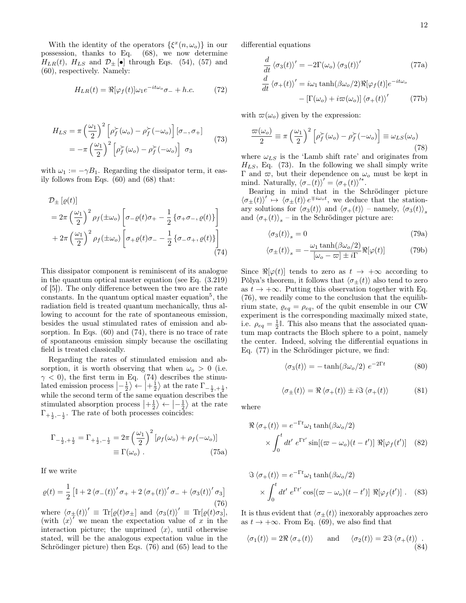With the identity of the operators  $\{\xi^x(n,\omega_o)\}\$ in our possession, thanks to Eq. (68), we now determine  $H_{LR}(t)$ ,  $H_{LS}$  and  $\mathcal{D}_{\pm}$  [•] through Eqs. (54), (57) and (60), respectively. Namely:

$$
H_{LR}(t) = \Re[\varphi_f(t)]\omega_1 e^{-it\omega_o}\sigma_- + h.c.
$$
 (72)

$$
H_{LS} = \pi \left(\frac{\omega_1}{2}\right)^2 \left[\rho_f^{\succ}(\omega_o) - \rho_f^{\succ}(-\omega_o)\right] \left[\sigma_-, \sigma_+\right] = -\pi \left(\frac{\omega_1}{2}\right)^2 \left[\rho_f^{\succ}(\omega_o) - \rho_f^{\succ}(-\omega_o)\right] \sigma_3
$$
(73)

with  $\omega_1 := -\gamma B_1$ . Regarding the dissipator term, it easily follows from Eqs. (60) and (68) that:

$$
\mathcal{D}_{\pm} \left[ \varrho(t) \right] \n= 2\pi \left( \frac{\omega_1}{2} \right)^2 \rho_f(\pm \omega_o) \left[ \sigma_{-\varrho}(t) \sigma_{+} - \frac{1}{2} \left\{ \sigma_{+} \sigma_{-}, \varrho(t) \right\} \right] \n+ 2\pi \left( \frac{\omega_1}{2} \right)^2 \rho_f(\pm \omega_o) \left[ \sigma_{+} \varrho(t) \sigma_{-} - \frac{1}{2} \left\{ \sigma_{-} \sigma_{+}, \varrho(t) \right\} \right] \n\tag{74}
$$

This dissipator component is reminiscent of its analogue in the quantum optical master equation (see Eq. (3.219) of [5]). The only difference between the two are the rate constants. In the quantum optical master equation<sup>5</sup>, the radiation field is treated quantum mechanically, thus allowing to account for the rate of spontaneous emission, besides the usual stimulated rates of emission and absorption. In Eqs. (60) and (74), there is no trace of rate of spontaneous emission simply because the oscillating field is treated classically.

Regarding the rates of stimulated emission and absorption, it is worth observing that when  $\omega_o > 0$  (i.e.  $\gamma$  < 0), the first term in Eq. (74) describes the stimulated emission process  $\left|-\frac{1}{2}\right\rangle \leftarrow \left|+\frac{1}{2}\right\rangle$  at the rate  $\Gamma_{-\frac{1}{2},+\frac{1}{2}}$ , while the second term of the same equation describes the stimulated absorption process  $\left|+\frac{1}{2}\right\rangle \leftarrow \left|-\frac{1}{2}\right\rangle$  at the rate  $\Gamma_{+\frac{1}{2},-\frac{1}{2}}$ . The rate of both processes coincides:

$$
\Gamma_{-\frac{1}{2},+\frac{1}{2}} = \Gamma_{+\frac{1}{2},-\frac{1}{2}} = 2\pi \left(\frac{\omega_1}{2}\right)^2 [\rho_f(\omega_o) + \rho_f(-\omega_o)]
$$
  

$$
\equiv \Gamma(\omega_o) .
$$
 (75a)

If we write

$$
\varrho(t) = \frac{1}{2} \left[ \mathbb{I} + 2 \left\langle \sigma_{-}(t) \right\rangle' \sigma_{+} + 2 \left\langle \sigma_{+}(t) \right\rangle' \sigma_{-} + \left\langle \sigma_{3}(t) \right\rangle' \sigma_{3} \right]
$$
\n(76)

where  $\langle \sigma_{\pm}(t) \rangle' \equiv \text{Tr}[\varrho(t)\sigma_{\pm}]$  and  $\langle \sigma_3(t) \rangle' \equiv \text{Tr}[\varrho(t)\sigma_3],$ (with  $\langle x \rangle'$  we mean the expectation value of x in the interaction picture; the unprimed  $\langle x \rangle$ , until otherwise stated, will be the analogous expectation value in the Schrödinger picture) then Eqs. (76) and (65) lead to the differential equations

$$
\frac{d}{dt} \langle \sigma_3(t) \rangle' = -2\Gamma(\omega_o) \langle \sigma_3(t) \rangle' \qquad (77a)
$$
\n
$$
\frac{d}{dt} \langle \sigma_+(t) \rangle' = i\omega_1 \tanh(\beta \omega_o/2) \Re[\varphi_f(t)] e^{-it\omega_o}
$$
\n
$$
- \left[ \Gamma(\omega_o) + i\varpi(\omega_o) \right] \langle \sigma_+(t) \rangle' \qquad (77b)
$$

with  $\varpi(\omega_o)$  given by the expression:

$$
\frac{\varpi(\omega_o)}{2} \equiv \pi \left(\frac{\omega_1}{2}\right)^2 \left[\rho_f^{\succ}(\omega_o) - \rho_f^{\succ}(-\omega_o)\right] \equiv \omega_{LS}(\omega_o)
$$
\n(78)

where  $\omega_{LS}$  is the 'Lamb shift rate' and originates from  $H_{LS}$ , Eq. (73). In the following we shall simply write Γ and  $\varpi$ , but their dependence on  $\omega$ <sub>o</sub> must be kept in mind. Naturally,  $\langle \sigma_-(t) \rangle' = \langle \sigma_+(t) \rangle'^*$ .

Bearing in mind that in the Schrödinger picture  $\langle \sigma_{\pm}(t) \rangle' \mapsto \langle \sigma_{\pm}(t) \rangle e^{\mp i \omega_o t}$ , we deduce that the stationary solutions for  $\langle \sigma_3(t) \rangle$  and  $\langle \sigma_+(t) \rangle$  – namely,  $\langle \sigma_3(t) \rangle_s$ and  $\langle \sigma_+(t) \rangle_s$  – in the Schrödinger picture are:

$$
\langle \sigma_3(t) \rangle_s = 0 \tag{79a}
$$

$$
\langle \sigma_{\pm}(t) \rangle_s = -\frac{\omega_1 \tanh(\beta \omega_o/2)}{[\omega_o - \varpi] \pm i\Gamma} \Re[\varphi(t)] \tag{79b}
$$

Since  $\Re[\varphi(t)]$  tends to zero as  $t \to +\infty$  according to Pòlya's theorem, it follows that  $\langle \sigma_{\pm}(t) \rangle$  also tend to zero as  $t \to +\infty$ . Putting this observation together with Eq. (76), we readily come to the conclusion that the equilibrium state,  $\varrho_{eq} = \rho_{eq}$ , of the qubit ensemble in our CW experiment is the corresponding maximally mixed state, i.e.  $\rho_{eq} = \frac{1}{2} \mathbb{I}$ . This also means that the associated quantum map contracts the Bloch sphere to a point, namely the center. Indeed, solving the differential equations in Eq. (77) in the Schrödinger picture, we find:

$$
\langle \sigma_3(t) \rangle = -\tanh(\beta \omega_o/2) e^{-2\Gamma t} \tag{80}
$$

$$
\langle \sigma_{\pm}(t) \rangle = \Re \langle \sigma_{+}(t) \rangle \pm i \Im \langle \sigma_{+}(t) \rangle \tag{81}
$$

where

$$
\Re \langle \sigma_+(t) \rangle = e^{-\Gamma t} \omega_1 \tanh(\beta \omega_0/2)
$$

$$
\times \int_0^t dt' e^{\Gamma t'} \sin[(\varpi - \omega_0)(t - t')] \Re[\varphi_f(t')] \quad (82)
$$

$$
\Im \langle \sigma_+(t) \rangle = e^{-\Gamma t} \omega_1 \tanh(\beta \omega_0/2)
$$
  
 
$$
\times \int_0^t dt' e^{\Gamma t'} \cos[(\varpi - \omega_0)(t - t')] \Re[\varphi_f(t')] . \quad (83)
$$

It is thus evident that  $\langle \sigma_{\pm}(t) \rangle$  inexorably approaches zero as  $t \to +\infty$ . From Eq. (69), we also find that

$$
\langle \sigma_1(t) \rangle = 2\Re \langle \sigma_+(t) \rangle \quad \text{and} \quad \langle \sigma_2(t) \rangle = 2\Im \langle \sigma_+(t) \rangle . \tag{84}
$$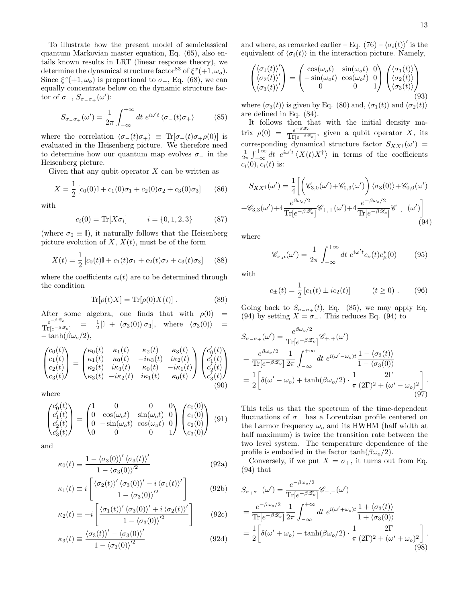To illustrate how the present model of semiclassical quantum Markovian master equation, Eq. (65), also entails known results in LRT (linear response theory), we determine the dynamical structure factor<sup>83</sup> of  $\xi^x(+1,\omega_o)$ . Since  $\xi^x(+1,\omega_o)$  is proportional to  $\sigma_-\$ , Eq. (68), we can equally concentrate below on the dynamic structure factor of  $\sigma_-, S_{\sigma_-\sigma_+}(\omega')$ :

$$
S_{\sigma_{-}\sigma_{+}}(\omega') = \frac{1}{2\pi} \int_{-\infty}^{+\infty} dt \ e^{i\omega' t} \langle \sigma_{-}(t)\sigma_{+} \rangle \tag{85}
$$

where the correlation  $\langle \sigma_-(t) \sigma_+\rangle \equiv \text{Tr}[\sigma_-(t) \sigma_+\rho(0)]$  is evaluated in the Heisenberg picture. We therefore need to determine how our quantum map evolves  $\sigma_$  in the Heisenberg picture.

Given that any qubit operator  $X$  can be written as

$$
X = \frac{1}{2} [c_0(0) \mathbb{I} + c_1(0) \sigma_1 + c_2(0) \sigma_2 + c_3(0) \sigma_3]
$$
 (86)

with

$$
c_i(0) = \text{Tr}[X\sigma_i] \qquad i = \{0, 1, 2, 3\} \tag{87}
$$

(where  $\sigma_0 \equiv \mathbb{I}$ ), it naturally follows that the Heisenberg picture evolution of  $X, X(t)$ , must be of the form

$$
X(t) = \frac{1}{2} \left[ c_0(t) \mathbb{I} + c_1(t) \sigma_1 + c_2(t) \sigma_2 + c_3(t) \sigma_3 \right] \tag{88}
$$

where the coefficients  $c_i(t)$  are to be determined through the condition

$$
\text{Tr}[\rho(t)X] = \text{Tr}[\rho(0)X(t)]. \qquad (89)
$$

After some algebra, one finds that with  $\rho(0)$  =  $e^{-\beta \mathscr{Z}_o}$  $\overline{\text{Tr}[e^{-\beta \mathscr{Z}_o}]}$  $= \frac{1}{2} [\mathbb{I} + \langle \sigma_3(0) \rangle \sigma_3], \text{ where } \langle \sigma_3(0) \rangle =$  $-\tanh(\beta\omega_o/2)$ ,

$$
\begin{pmatrix} c_0(t) \\ c_1(t) \\ c_2(t) \\ c_3(t) \end{pmatrix} = \begin{pmatrix} \kappa_0(t) & \kappa_1(t) & \kappa_2(t) & \kappa_3(t) \\ \kappa_1(t) & \kappa_0(t) & -i\kappa_3(t) & i\kappa_2(t) \\ \kappa_2(t) & i\kappa_3(t) & \kappa_0(t) & -i\kappa_1(t) \\ \kappa_3(t) & -i\kappa_2(t) & i\kappa_1(t) & \kappa_0(t) \end{pmatrix} \begin{pmatrix} c'_0(t) \\ c'_1(t) \\ c'_2(t) \\ c'_3(t) \end{pmatrix}
$$
(90)

where

$$
\begin{pmatrix} c'_0(t) \\ c'_1(t) \\ c'_2(t) \\ c'_3(t) \end{pmatrix} = \begin{pmatrix} 1 & 0 & 0 & 0 \\ 0 & \cos(\omega_o t) & \sin(\omega_o t) & 0 \\ 0 & -\sin(\omega_o t) & \cos(\omega_o t) & 0 \\ 0 & 0 & 0 & 1 \end{pmatrix} \begin{pmatrix} c_0(0) \\ c_1(0) \\ c_2(0) \\ c_3(0) \end{pmatrix}
$$
(91)

and

$$
\kappa_0(t) \equiv \frac{1 - \langle \sigma_3(0) \rangle' \langle \sigma_3(t) \rangle'}{1 - \langle \sigma_3(0) \rangle'^2}
$$
(92a)

$$
\kappa_1(t) \equiv i \left[ \frac{\langle \sigma_2(t) \rangle' \langle \sigma_3(0) \rangle' - i \langle \sigma_1(t) \rangle'}{1 - \langle \sigma_3(0) \rangle'^2} \right]
$$
(92b)

$$
\kappa_2(t) \equiv -i \left[ \frac{\langle \sigma_1(t) \rangle' \langle \sigma_3(0) \rangle' + i \langle \sigma_2(t) \rangle'}{1 - \langle \sigma_3(0) \rangle'^2} \right]
$$
(92c)

$$
\kappa_3(t) \equiv \frac{\langle \sigma_3(t) \rangle' - \langle \sigma_3(0) \rangle'}{1 - \langle \sigma_3(0) \rangle'^2}
$$
(92d)

and where, as remarked earlier – Eq.  $(76) - \langle \sigma_i(t) \rangle'$  is the equivalent of  $\langle \sigma_i(t) \rangle$  in the interaction picture. Namely,

$$
\begin{pmatrix}\n\langle \sigma_1(t) \rangle' \\
\langle \sigma_2(t) \rangle'\n\end{pmatrix} = \begin{pmatrix}\n\cos(\omega_o t) & \sin(\omega_o t) & 0 \\
-\sin(\omega_o t) & \cos(\omega_o t) & 0 \\
0 & 0 & 1\n\end{pmatrix} \begin{pmatrix}\n\langle \sigma_1(t) \rangle \\
\langle \sigma_2(t) \rangle \\
\langle \sigma_3(t) \rangle\n\end{pmatrix}
$$
\n(93)

where  $\langle \sigma_3(t) \rangle$  is given by Eq. (80) and,  $\langle \sigma_1(t) \rangle$  and  $\langle \sigma_2(t) \rangle$ are defined in Eq. (84).

It follows then that with the initial density matrix  $\rho(0) = \frac{e^{-\beta \mathscr{Z}_o}}{\text{Tr}(\epsilon - \beta \mathscr{Z})}$  $\frac{e^{-\beta \omega} \omega}{\text{Tr}[e^{-\beta \mathscr{L}_o}]}$ , given a qubit operator X, its corresponding dynamical structure factor  $S_{XX^{\dagger}}(\omega') =$  $\frac{1}{2\pi} \int_{-\infty}^{+\infty} dt \, e^{i\omega' t} \langle X(t) X^{\dagger} \rangle$  in terms of the coefficients  $c_i(0), c_i(t)$  is:

$$
S_{XX^{\dagger}}(\omega') = \frac{1}{4} \left[ \left( \mathcal{C}_{3,0}(\omega') + \mathcal{C}_{0,3}(\omega') \right) \langle \sigma_3(0) \rangle + \mathcal{C}_{0,0}(\omega') + \mathcal{C}_{3,3}(\omega') + 4 \frac{e^{\beta \omega_o/2}}{\text{Tr}[e^{-\beta \mathcal{Z}_o}]} \mathcal{C}_{+,+}(\omega') + 4 \frac{e^{-\beta \omega_o/2}}{\text{Tr}[e^{-\beta \mathcal{Z}_o}]} \mathcal{C}_{-, -}(\omega') \right]
$$
\n(94)

where

$$
\mathscr{C}_{\nu,\mu}(\omega') = \frac{1}{2\pi} \int_{-\infty}^{+\infty} dt \ e^{i\omega' t} c_{\nu}(t) c_{\mu}^*(0) \tag{95}
$$

with

$$
c_{\pm}(t) = \frac{1}{2} [c_1(t) \pm ic_2(t)] \qquad (t \ge 0) \ . \qquad (96)
$$

Going back to  $S_{\sigma-\sigma+}(t)$ , Eq. (85), we may apply Eq. (94) by setting  $X = \sigma_-\$ . This reduces Eq. (94) to

$$
S_{\sigma_{-\sigma_{+}}}(\omega') = \frac{e^{\beta\omega_{o}/2}}{\text{Tr}[e^{-\beta \mathscr{Z}_{o}]}} \mathscr{C}_{+,+}(\omega')
$$
  
= 
$$
\frac{e^{\beta\omega_{o}/2}}{\text{Tr}[e^{-\beta \mathscr{Z}_{o}]}} \frac{1}{2\pi} \int_{-\infty}^{+\infty} dt \ e^{i(\omega' - \omega_{o})t} \frac{1 - \langle \sigma_{3}(t) \rangle}{1 - \langle \sigma_{3}(0) \rangle}
$$
  
= 
$$
\frac{1}{2} \left[ \delta(\omega' - \omega_{o}) + \tanh(\beta\omega_{o}/2) \cdot \frac{1}{\pi} \frac{2\Gamma}{(2\Gamma)^{2} + (\omega' - \omega_{o})^{2}} \right].
$$
  
(97)

This tells us that the spectrum of the time-dependent fluctuations of  $\sigma_-\,$  has a Lorentzian profile centered on the Larmor frequency  $\omega_o$  and its HWHM (half width at half maximum) is twice the transition rate between the two level system. The temperature dependence of the profile is embodied in the factor tanh( $\beta \omega_o/2$ ).

Conversely, if we put  $X = \sigma_+$ , it turns out from Eq. (94) that

$$
S_{\sigma_{+}\sigma_{-}}(\omega') = \frac{e^{-\beta\omega_{o}/2}}{\text{Tr}[e^{-\beta\mathscr{Z}_{o}]}}\mathscr{C}_{-,-}(\omega')
$$
  
= 
$$
\frac{e^{-\beta\omega_{o}/2}}{\text{Tr}[e^{-\beta\mathscr{Z}_{o}]}}\frac{1}{2\pi}\int_{-\infty}^{+\infty} dt \ e^{i(\omega'+\omega_{o})t}\frac{1+\langle\sigma_{3}(t)\rangle}{1+\langle\sigma_{3}(0)\rangle}
$$
  
= 
$$
\frac{1}{2}\left[\delta(\omega'+\omega_{o})-\tanh(\beta\omega_{o}/2)\cdot\frac{1}{\pi}\frac{2\Gamma}{(2\Gamma)^{2}+(\omega'+\omega_{o})^{2}}\right].
$$
(98)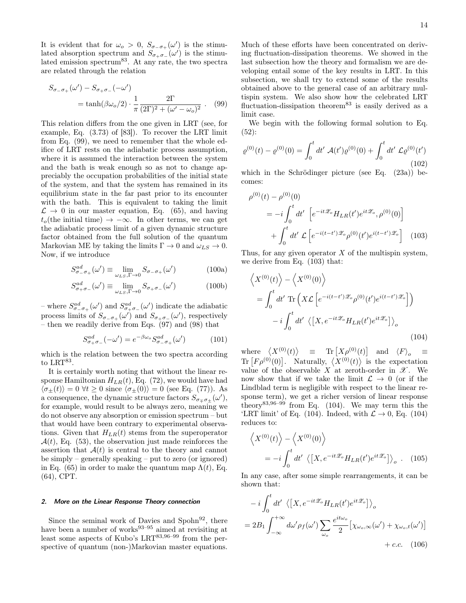It is evident that for  $\omega_o > 0$ ,  $S_{\sigma_{-\sigma_{+}}}(\omega')$  is the stimulated absorption spectrum and  $S_{\sigma_+\sigma_-}(\omega')$  is the stimulated emission spectrum $83$ . At any rate, the two spectra are related through the relation

$$
S_{\sigma-\sigma+}(\omega') - S_{\sigma+\sigma-}(-\omega')
$$
  
= tanh $(\beta\omega_o/2) \cdot \frac{1}{\pi} \frac{2\Gamma}{(2\Gamma)^2 + (\omega' - \omega_o)^2}$ . (99)

This relation differs from the one given in LRT (see, for example, Eq. (3.73) of [83]). To recover the LRT limit from Eq. (99), we need to remember that the whole edifice of LRT rests on the adiabatic process assumption, where it is assumed the interaction between the system and the bath is weak enough so as not to change appreciably the occupation probabilities of the initial state of the system, and that the system has remained in its equilibrium state in the far past prior to its encounter with the bath. This is equivalent to taking the limit  $\mathcal{L} \rightarrow 0$  in our master equation, Eq. (65), and having  $t_o$ (the initial time)  $\rightarrow -\infty$ . In other terms, we can get the adiabatic process limit of a given dynamic structure factor obtained from the full solution of the quantum Markovian ME by taking the limits  $\Gamma \to 0$  and  $\omega_{LS} \to 0$ . Now, if we introduce

$$
S_{\sigma-\sigma+}^{ad}(\omega') \equiv \lim_{\omega_{LS}, \Gamma \to 0} S_{\sigma-\sigma+}(\omega') \tag{100a}
$$

$$
S_{\sigma+\sigma-}^{ad}(\omega') \equiv \lim_{\omega_{LS}, \Gamma \to 0} S_{\sigma+\sigma-}(\omega') \tag{100b}
$$

– where  $S^{ad}_{\sigma_-\sigma_+}(\omega')$  and  $S^{ad}_{\sigma_+\sigma_-}(\omega')$  indicate the adiabatic process limits of  $S_{\sigma_-\sigma_+}(\omega')$  and  $S_{\sigma_+\sigma_-}(\omega')$ , respectively – then we readily derive from Eqs. (97) and (98) that

$$
S_{\sigma+\sigma-}^{ad}(-\omega') = e^{-\beta\omega_o} S_{\sigma-\sigma+}^{ad}(\omega') \tag{101}
$$

which is the relation between the two spectra according to  $LRT^{83}$ .

It is certainly worth noting that without the linear response Hamiltonian  $H_{LR}(t)$ , Eq. (72), we would have had  $\langle \sigma_{\pm}(t) \rangle = 0 \ \forall t \geq 0 \ \text{since} \ \langle \sigma_{\pm}(0) \rangle = 0 \ \text{(see Eq. (77))}.$  As a consequence, the dynamic structure factors  $S_{\sigma_{\mp}\sigma_{\pm}}(\omega')$ , for example, would result to be always zero, meaning we do not observe any absorption or emission spectrum – but that would have been contrary to experimental observations. Given that  $H_{LR}(t)$  stems from the superoperator  $\mathcal{A}(t)$ , Eq. (53), the observation just made reinforces the assertion that  $A(t)$  is central to the theory and cannot be simply – generally speaking – put to zero (or ignored) in Eq. (65) in order to make the quantum map  $\Lambda(t)$ , Eq. (64), CPT.

#### 2. More on the Linear Response Theory connection

Since the seminal work of Davies and Spohn $92$ , there have been a number of works<sup>93–95</sup> aimed at revisiting at least some aspects of Kubo's LRT $^{83,96-99}$  from the perspective of quantum (non-)Markovian master equations.

Much of these efforts have been concentrated on deriving fluctuation-dissipation theorems. We showed in the last subsection how the theory and formalism we are developing entail some of the key results in LRT. In this subsection, we shall try to extend some of the results obtained above to the general case of an arbitrary multispin system. We also show how the celebrated LRT fluctuation-dissipation theorem<sup>83</sup> is easily derived as a limit case.

We begin with the following formal solution to Eq. (52):

$$
\varrho^{(0)}(t) - \varrho^{(0)}(0) = \int_0^t dt' \, \mathcal{A}(t') \varrho^{(0)}(0) + \int_0^t dt' \, \mathcal{L}\varrho^{(0)}(t')
$$
\n(102)

which in the Schrödinger picture (see Eq. (23a)) becomes:

$$
\rho^{(0)}(t) - \rho^{(0)}(0) \n= -i \int_0^t dt' \left[ e^{-it\mathscr{L}_o} H_{LR}(t') e^{it\mathscr{L}_o}, \rho^{(0)}(0) \right] \n+ \int_0^t dt' \mathcal{L} \left[ e^{-i(t-t')\mathscr{L}_o} \rho^{(0)}(t') e^{i(t-t')\mathscr{L}_o} \right]
$$
\n(103)

Thus, for any given operator  $X$  of the multispin system, we derive from Eq. (103) that:

$$
\langle X^{(0)}(t) \rangle - \langle X^{(0)}(0) \rangle
$$
  
=  $\int_0^t dt' \text{ Tr} \left( X \mathcal{L} \left[ e^{-i(t-t')\mathcal{Z}_o} \rho^{(0)}(t') e^{i(t-t')\mathcal{Z}_o} \right] \right)$   
-  $i \int_0^t dt' \langle [X, e^{-it\mathcal{Z}_o} H_{LR}(t') e^{it\mathcal{Z}_o}] \rangle_o$  (104)

where  $\langle X^{(0)}(t) \rangle$  = Tr  $[X \rho^{(0)}(t)]$  and  $\langle F \rangle$  $\equiv$ Tr  $[F\rho^{(0)}(0)]$ . Naturally,  $\langle X^{(0)}(t) \rangle$  is the expectation value of the observable  $X$  at zeroth-order in  $\mathscr X$ . We now show that if we take the limit  $\mathcal{L} \rightarrow 0$  (or if the Lindblad term is negligible with respect to the linear response term), we get a richer version of linear response theory<sup>83,96–99</sup> from Eq.  $(104)$ . We may term this the 'LRT limit' of Eq. (104). Indeed, with  $\mathcal{L} \to 0$ , Eq. (104) reduces to:

$$
\langle X^{(0)}(t) \rangle - \langle X^{(0)}(0) \rangle
$$
  
=  $-i \int_0^t dt' \langle [X, e^{-it\mathscr{L}_o} H_{LR}(t') e^{it\mathscr{L}_o}] \rangle_o$ . (105)

In any case, after some simple rearrangements, it can be shown that:

$$
-i\int_0^t dt' \langle [X, e^{-it\mathscr{L}_o} H_{LR}(t')e^{it\mathscr{L}_o}] \rangle_o
$$
  
=  $2B_1 \int_{-\infty}^{+\infty} d\omega' \rho_f(\omega') \sum_{\omega_o} \frac{e^{it\omega_o}}{2} [\chi_{\omega_o,\infty}(\omega') + \chi_{\omega_o,t}(\omega')]$   
+ *c.c.* (106)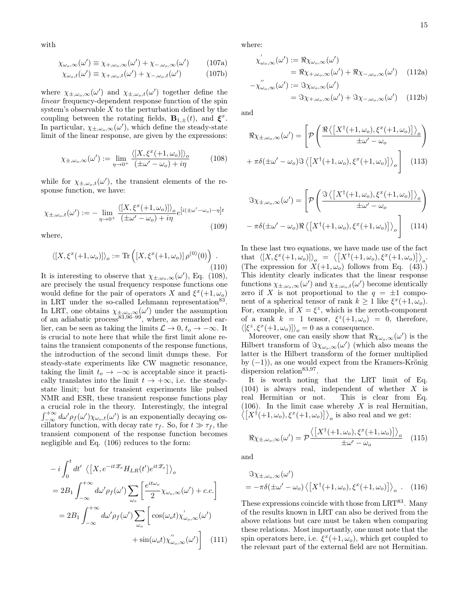with

$$
\chi_{\omega_o,\infty}(\omega') \equiv \chi_{+,\omega_o,\infty}(\omega') + \chi_{-,\omega_o,\infty}(\omega') \qquad (107a)
$$

$$
\chi_{\omega_o,t}(\omega') \equiv \chi_{+,\omega_o,t}(\omega') + \chi_{-,\omega_o,t}(\omega') \tag{107b}
$$

where  $\chi_{\pm,\omega_o,\infty}(\omega')$  and  $\chi_{\pm,\omega_o,t}(\omega')$  together define the linear frequency-dependent response function of the spin system's observable  $X$  to the perturbation defined by the coupling between the rotating fields,  $\mathbf{B}_{1,\pm}(t)$ , and  $\xi^x$ . In particular,  $\chi_{\pm,\omega_o,\infty}(\omega')$ , which define the steady-state limit of the linear response, are given by the expressions:

$$
\chi_{\pm,\omega_o,\infty}(\omega') := \lim_{\eta \to 0^+} \frac{\langle [X, \xi^x(+1,\omega_o)] \rangle_o}{(\pm \omega' - \omega_o) + i\eta} \tag{108}
$$

while for  $\chi_{\pm,\omega_o,t}(\omega')$ , the transient elements of the response function, we have:

$$
\chi_{\pm,\omega_o,t}(\omega') := -\lim_{\eta \to 0^+} \frac{\langle [X, \xi^x(+1,\omega_o)] \rangle_o}{(\pm \omega' - \omega_o) + i\eta} e^{[i(\pm \omega' - \omega_o) - \eta]t}
$$
\n(109)

where,

$$
\langle [X, \xi^x(+1,\omega_o)] \rangle_o := \text{Tr}\left( [X, \xi^x(+1,\omega_o)] \rho^{(0)}(0) \right) . \tag{110}
$$

It is interesting to observe that  $\chi_{\pm,\omega_o,\infty}(\omega')$ , Eq. (108), are precisely the usual frequency response functions one would define for the pair of operators X and  $\xi^x(+1,\omega_o)$ in LRT under the so-called Lehmann representation<sup>83</sup>. In LRT, one obtains  $\chi_{\pm,\omega_o,\infty}(\omega')$  under the assumption of an adiabatic process  $83,96-99$ , where, as remarked earlier, can be seen as taking the limits  $\mathcal{L} \to 0$ ,  $t_o \to -\infty$ . It is crucial to note here that while the first limit alone retains the transient components of the response functions, the introduction of the second limit dumps these. For steady-state experiments like CW magnetic resonance, taking the limit  $t_o \rightarrow -\infty$  is acceptable since it practically translates into the limit  $t \to +\infty$ , i.e. the steadystate limit; but for transient experiments like pulsed NMR and ESR, these transient response functions play a crucial role in the theory. Interestingly, the integral  $\int_{-\infty}^{+\infty} d\omega' \rho_f(\omega') \chi_{\omega_o,t}(\omega')$  is an exponentially decaying oscillatory function, with decay rate  $\tau_f$ . So, for  $t \gg \tau_f$ , the transient component of the response function becomes negligible and Eq. (106) reduces to the form:

$$
-i\int_0^t dt' \langle [X, e^{-it\mathscr{L}_o} H_{LR}(t')e^{it\mathscr{L}_o}] \rangle_o
$$
  

$$
= 2B_1 \int_{-\infty}^{+\infty} d\omega' \rho_f(\omega') \sum_{\omega_o} \left[ \frac{e^{it\omega_o}}{2} \chi_{\omega_o, \infty}(\omega') + c.c. \right]
$$
  

$$
= 2B_1 \int_{-\infty}^{+\infty} d\omega' \rho_f(\omega') \sum_{\omega_o} \left[ \cos(\omega_o t) \chi'_{\omega_o, \infty}(\omega') + \sin(\omega_o t) \chi''_{\omega_o, \infty}(\omega') \right] \quad (111)
$$

where:

$$
\chi'_{\omega_o,\infty}(\omega') := \Re \chi_{\omega_o,\infty}(\omega')
$$
  
=  $\Re \chi_{+,\omega_o,\infty}(\omega') + \Re \chi_{-,\omega_o,\infty}(\omega')$  (112a)

$$
-\chi''_{\omega_o,\infty}(\omega') := \Im \chi_{\omega_o,\infty}(\omega')
$$
  
=  $\Im \chi_{+,\omega_o,\infty}(\omega') + \Im \chi_{-,\omega_o,\infty}(\omega')$  (112b)

and

$$
\Re \chi_{\pm,\omega_o,\infty}(\omega') = \left[ \mathcal{P} \left( \frac{\Re \left\langle \left[ X^{\dagger}(+1,\omega_o), \xi^x(+1,\omega_o) \right] \right\rangle_o}{\pm \omega' - \omega_o} \right) \right. \\ \left. + \pi \delta(\pm \omega' - \omega_o) \Im \left\langle \left[ X^{\dagger}(+1,\omega_o), \xi^x(+1,\omega_o) \right] \right\rangle_o \right] \right] \tag{113}
$$

$$
\Im \chi_{\pm,\omega_o,\infty}(\omega') = \left[ \mathcal{P} \left( \frac{\Im \left\langle \left[ X^{\dagger}(+1,\omega_o), \xi^x(+1,\omega_o) \right] \right\rangle_o}{\pm \omega' - \omega_o} \right) \right. \\ \left. - \pi \delta(\pm \omega' - \omega_o) \Re \left\langle \left[ X^{\dagger}(+1,\omega_o), \xi^x(+1,\omega_o) \right] \right\rangle_o \right] \right] \tag{114}
$$

In these last two equations, we have made use of the fact that  $\langle [X, \xi^x(+1, \omega_o)] \rangle_o = \langle [X^{\dagger}(+1, \omega_o), \xi^x(+1, \omega_o)] \rangle_o.$ (The expression for  $X(+1,\omega_o)$  follows from Eq. (43).) This identity clearly indicates that the linear response functions  $\chi_{\pm,\omega_o,\infty}(\omega')$  and  $\chi_{\pm,\omega_o,t}(\omega')$  become identically zero if X is not proportional to the  $q = \pm 1$  component of a spherical tensor of rank  $k \geq 1$  like  $\xi^x(+1,\omega_o)$ . For, example, if  $X = \xi^z$ , which is the zeroth-component of a rank  $k = 1$  tensor,  $\xi^z (+1, \omega_o) = 0$ , therefore,  $\langle [\xi^z, \xi^x(+1,\omega_o)] \rangle_o = 0$  as a consequence.

Moreover, one can easily show that  $\Re\chi_{\omega_o,\infty}(\omega')$  is the Hilbert transform of  $\Im \chi_{\omega_o,\infty}(\omega')$  (which also means the latter is the Hilbert transform of the former multiplied by  $(-1)$ , as one would expect from the Kramers-Krönig dispersion relation<sup>83,97</sup>.

It is worth noting that the LRT limit of Eq. (104) is always real, independent of whether X is real Hermitian or not. This is clear from Eq.  $(106)$ . In the limit case whereby X is real Hermitian,  $\langle [X^{\dagger}(+1,\omega_o), \xi^x(+1,\omega_o)] \rangle_o$  is also real and we get:

$$
\Re \chi_{\pm,\omega_o,\infty}(\omega') = \mathcal{P} \frac{\langle \left[ X^\dagger(+1,\omega_o), \xi^x(+1,\omega_o) \right] \rangle_o}{\pm \omega' - \omega_o} \tag{115}
$$

and

$$
\Im \chi_{\pm,\omega_o,\infty}(\omega')
$$
  
=  $-\pi \delta(\pm \omega' - \omega_o) \langle [X^{\dagger}(+1,\omega_o), \xi^x(+1,\omega_o)] \rangle_o$ . (116)

These expressions coincide with those from  $LRT^{83}$ . Many of the results known in LRT can also be derived from the above relations but care must be taken when comparing these relations. Most importantly, one must note that the spin operators here, i.e.  $\xi^x(+1,\omega_o)$ , which get coupled to the relevant part of the external field are not Hermitian.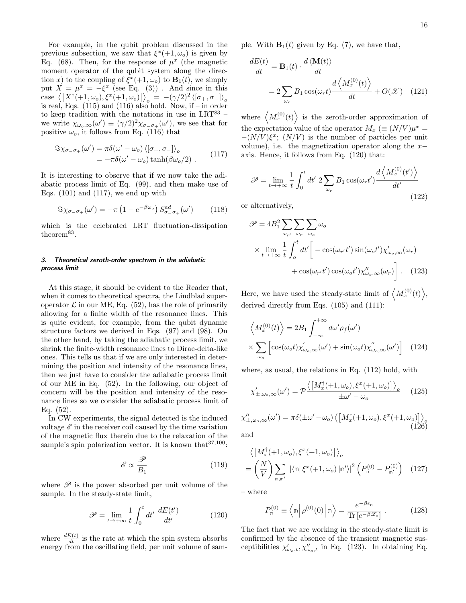16

For example, in the qubit problem discussed in the previous subsection, we saw that  $\xi^x(+1,\omega_o)$  is given by Eq. (68). Then, for the response of  $\mu^x$  (the magnetic moment operator of the qubit system along the direction x) to the coupling of  $\xi^x(+1,\omega_o)$  to  $\mathbf{B}_1(t)$ , we simply put  $X = \mu^x = -\xi^x$  (see Eq. (3)). And since in this case  $\langle \left[ X^{\dagger}(+1,\omega_o), \xi^x(+1,\omega_o) \right] \rangle_o = -(\gamma/2)^2 \langle [\sigma_+, \sigma_-] \rangle_o$ <br>is real, Eqs. (115) and (116) also hold. Now, if – in order to keep tradition with the notations in use in  $LRT^{83}$  – we write  $\chi_{\omega_o,\infty}(\omega') \equiv (\gamma/2)^2 \chi_{\sigma_{-\sigma_{+}}}(\omega')$ , we see that for positive  $\omega_o$ , it follows from Eq. (116) that

$$
\Im \chi_{\sigma_- \sigma_+}(\omega') = \pi \delta(\omega' - \omega_o) \langle [\sigma_+, \sigma_-] \rangle_o
$$
  
=  $-\pi \delta(\omega' - \omega_o) \tanh(\beta \omega_o/2)$ . (117)

It is interesting to observe that if we now take the adiabatic process limit of Eq. (99), and then make use of Eqs.  $(101)$  and  $(117)$ , we end up with

$$
\Im \chi_{\sigma_- \sigma_+}(\omega') = -\pi \left(1 - e^{-\beta \omega_o}\right) S_{\sigma_- \sigma_+}^{ad}(\omega') \tag{118}
$$

which is the celebrated LRT fluctuation-dissipation  $theorem<sup>83</sup>$ .

## 3. Theoretical zeroth-order spectrum in the adiabatic process limit

At this stage, it should be evident to the Reader that, when it comes to theoretical spectra, the Lindblad superoperator  $\mathcal L$  in our ME, Eq. (52), has the role of primarily allowing for a finite width of the resonance lines. This is quite evident, for example, from the qubit dynamic structure factors we derived in Eqs. (97) and (98). On the other hand, by taking the adiabatic process limit, we shrink the finite-width resonance lines to Dirac-delta-like ones. This tells us that if we are only interested in determining the position and intensity of the resonance lines, then we just have to consider the adiabatic process limit of our ME in Eq. (52). In the following, our object of concern will be the position and intensity of the resonance lines so we consider the adiabatic process limit of Eq. (52).

In CW experiments, the signal detected is the induced voltage  $\mathscr E$  in the receiver coil caused by the time variation of the magnetic flux therein due to the relaxation of the sample's spin polarization vector. It is known that  $37,100$ :

$$
\mathscr{E} \propto \frac{\mathscr{P}}{B_1} \tag{119}
$$

where  $\mathscr P$  is the power absorbed per unit volume of the sample. In the steady-state limit,

$$
\mathscr{P} = \lim_{t \to +\infty} \frac{1}{t} \int_0^t dt' \; \frac{dE(t')}{dt'} \tag{120}
$$

where  $\frac{dE(t)}{dt}$  is the rate at which the spin system absorbs energy from the oscillating field, per unit volume of sample. With  $\mathbf{B}_1(t)$  given by Eq. (7), we have that,

$$
\frac{dE(t)}{dt} = \mathbf{B}_1(t) \cdot \frac{d \langle \mathbf{M}(t) \rangle}{dt}
$$

$$
= 2 \sum_{\omega_r} B_1 \cos(\omega_r t) \frac{d \langle M_x^{(0)}(t) \rangle}{dt} + O(\mathcal{X}) \quad (121)
$$

where  $\langle M_x^{(0)}(t) \rangle$  is the zeroth-order approximation of the expectation value of the operator  $M_x \equiv (N/V)\mu^x =$  $-(N/V)\xi^x$ ;  $(N/V)$  is the number of particles per unit volume), i.e. the magnetization operator along the  $x$ axis. Hence, it follows from Eq. (120) that:

$$
\mathscr{P} = \lim_{t \to +\infty} \frac{1}{t} \int_0^t dt' \ 2 \sum_{\omega_r} B_1 \cos(\omega_r t') \frac{d \left\langle M_x^{(0)}(t') \right\rangle}{dt'}
$$
\n(122)

or alternatively,

$$
\mathscr{P} = 4B_1^2 \sum_{\omega_{r'}} \sum_{\omega_r} \sum_{\omega_o} \omega_o
$$
  
 
$$
\times \lim_{t \to +\infty} \frac{1}{t} \int_o^t dt' \left[ -\cos(\omega_{r'}t')\sin(\omega_o t') \chi'_{\omega_o,\infty}(\omega_r) + \cos(\omega_{r'}t')\cos(\omega_o t') \chi''_{\omega_o,\infty}(\omega_r) \right]. \quad (123)
$$

Here, we have used the steady-state limit of  $\langle M_x^{(0)}(t) \rangle$ , derived directly from Eqs.  $(105)$  and  $(111)$ :

$$
\left\langle M_x^{(0)}(t) \right\rangle = 2B_1 \int_{-\infty}^{+\infty} d\omega' \rho_f(\omega')
$$

$$
\times \sum_{\omega_o} \left[ \cos(\omega_o t) \chi'_{\omega_o, \infty}(\omega') + \sin(\omega_o t) \chi''_{\omega_o, \infty}(\omega') \right] \quad (124)
$$

where, as usual, the relations in Eq. (112) hold, with

$$
\chi'_{\pm,\omega_o,\infty}(\omega') = \mathcal{P} \frac{\langle \left[ M_x^{\dagger}(+1,\omega_o), \xi^x(+1,\omega_o) \right] \rangle_o}{\pm \omega' - \omega_o} \tag{125}
$$

$$
\chi''_{\pm,\omega_o,\infty}(\omega') = \pi \delta(\pm \omega' - \omega_o) \left\langle \left[ M_x^{\dagger}(+1,\omega_o), \xi^x(+1,\omega_o) \right] \right\rangle_o
$$
\nand

\n
$$
(126)
$$

and

$$
\langle \left[ M_x^{\dagger}(+1,\omega_o), \xi^x(+1,\omega_o) \right] \rangle_o
$$
  
= 
$$
\left( \frac{N}{V} \right) \sum_{\mathbf{n}, \mathbf{n}'} |\langle \mathbf{n} | \xi^x(+1,\omega_o) | \mathbf{n}' \rangle|^2 \left( P_{\mathbf{n}}^{(0)} - P_{\mathbf{n}'}^{(0)} \right)
$$
 (127)

– where

$$
P_{\mathsf{n}}^{(0)} \equiv \left\langle \mathsf{n} \, \middle| \, \rho^{(0)}(0) \, \middle| \mathsf{n} \right\rangle = \frac{e^{-\beta \epsilon_{\mathsf{n}}}}{\text{Tr}\left[e^{-\beta \mathscr{Z}_o}\right]} \; . \tag{128}
$$

The fact that we are working in the steady-state limit is confirmed by the absence of the transient magnetic susceptibilities  $\chi'_{\omega_o,t}, \chi''_{\omega_o,t}$  in Eq. (123). In obtaining Eq.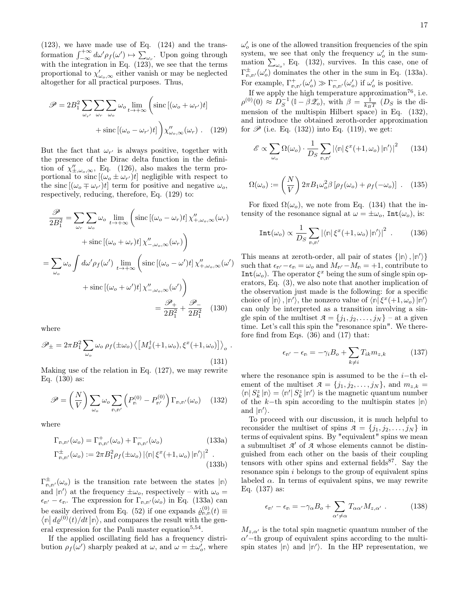(123), we have made use of Eq. (124) and the transformation  $\int_{-\infty}^{+\infty} d\omega' \rho_f(\omega') \mapsto \sum_{\omega_r}$ . Upon going through with the integration in Eq. (123), we see that the terms proportional to  $\chi'_{\omega_o,\infty}$  either vanish or may be neglected altogether for all practical purposes. Thus,

$$
\mathscr{P} = 2B_1^2 \sum_{\omega_{r'}} \sum_{\omega_r} \sum_{\omega_o} \omega_o \lim_{t \to +\infty} \left( \text{sinc} \left[ (\omega_o + \omega_{r'}) t \right] + \text{sinc} \left[ (\omega_o - \omega_{r'}) t \right] \right) \chi''_{\omega_o, \infty}(\omega_r) \quad . \quad (129)
$$

But the fact that  $\omega_{r'}$  is always positive, together with the presence of the Dirac delta function in the definition of  $\chi''_{\pm,\omega_o,\infty}$ , Eq. (126), also makes the term proportional to sinc  $[(\omega_o \pm \omega_{r'})t]$  negligible with respect to the sinc  $[(\omega_o \mp \omega_{r'})t]$  term for positive and negative  $\omega_o$ , respectively, reducing, therefore, Eq. (129) to:

$$
\frac{\mathscr{P}}{2B_1^2} = \sum_{\omega_r} \sum_{\omega_o} \omega_o \lim_{t \to +\infty} \left( \text{sinc} \left[ (\omega_o - \omega_r) t \right] \chi''_{+,\omega_o,\infty} (\omega_r) \right)
$$

$$
+ \text{sinc} \left[ (\omega_o + \omega_r) t \right] \chi''_{-,\omega_o,\infty} (\omega_r) \right)
$$

$$
= \sum_{\omega_o} \omega_o \int d\omega' \rho_f(\omega') \lim_{t \to +\infty} \left( \text{sinc} \left[ (\omega_o - \omega') t \right] \chi''_{+,\omega_o,\infty} (\omega') \right)
$$

$$
+ \text{sinc} \left[ (\omega_o + \omega') t \right] \chi''_{-,\omega_o,\infty} (\omega') \right)
$$

$$
= \frac{\mathscr{P}_+}{2B_1^2} + \frac{\mathscr{P}_-}{2B_1^2} \quad (130)
$$

where

$$
\mathscr{P}_{\pm} = 2\pi B_1^2 \sum_{\omega_o} \omega_o \rho_f(\pm \omega_o) \left\langle \left[ M_x^{\dagger}(+1,\omega_o), \xi^x(+1,\omega_o) \right] \right\rangle_o.
$$
\n(131)

Making use of the relation in Eq. (127), we may rewrite Eq. (130) as:

$$
\mathscr{P} = \left(\frac{N}{V}\right) \sum_{\omega_o} \omega_o \sum_{\mathbf{n}, \mathbf{n}'} \left(P_{\mathbf{n}}^{(0)} - P_{\mathbf{n}'}^{(0)}\right) \Gamma_{\mathbf{n}, \mathbf{n}'}(\omega_o) \quad (132)
$$

where

$$
\Gamma_{\mathbf{m},\mathbf{m}'}(\omega_o) = \Gamma_{\mathbf{m},\mathbf{m}'}^+(\omega_o) + \Gamma_{\mathbf{m},\mathbf{m}'}^-(\omega_o)
$$
\n(133a)  
\n
$$
\Gamma_{\mathbf{m},\mathbf{m}'}^{\pm}(\omega_o) := 2\pi B_1^2 \rho_f(\pm \omega_o) \left| \langle \mathbf{m} | \xi^x(+1,\omega_o) | \mathbf{m}' \rangle \right|^2.
$$
\n(133b)

 $\Gamma^{\pm}_{\mathsf{n},\mathsf{n}'}(\omega_o)$  is the transition rate between the states  $|\mathsf{n}\rangle$ and  $|\n\rangle$  at the frequency  $\pm \omega_o$ , respectively – with  $\omega_o =$  $\epsilon_{\mathbb{n}'} - \epsilon_{\mathbb{n}}$ . The expression for  $\Gamma_{\mathbb{n},\mathbb{n}'}(\omega_o)$  in Eq. (133a) can be easily derived from Eq. (52) if one expands  $\dot{\varrho}_{n,n}^{(0)}(t) \equiv$  $\langle \ln | d\rho^{(0)}(t)/dt | \ln \rangle$ , and compares the result with the general expression for the Pauli master equation<sup>5,54</sup>.

If the applied oscillating field has a frequency distribution  $\rho_f(\omega')$  sharply peaked at  $\omega$ , and  $\omega = \pm \omega_o'$ , where  $\omega'_{o}$  is one of the allowed transition frequencies of the spin system, we see that only the frequency  $\omega'_{o}$  in the summation  $\sum_{\omega_o}$ , Eq. (132), survives. In this case, one of  $\Gamma^{\pm}_{\mathsf{n},\mathsf{n}'}(\omega_o')$  dominates the other in the sum in Eq. (133a). For example,  $\Gamma^+_{\mathsf{n},\mathsf{n}'}(\omega_o') \gg \Gamma^-_{\mathsf{n},\mathsf{n}'}(\omega_o')$  if  $\omega_o'$  is positive.

If we apply the high temperature approximation<sup>76</sup>, i.e.  $\rho^{(0)}(0) \approx D_S^{-1} (1 - \beta \mathscr{Z}_o)$ , with  $\beta = \frac{1}{k_B T} (D_S$  is the dimension of the multispin Hilbert space) in Eq. (132), and introduce the obtained zeroth-order approximation for  $\mathscr{P}$  (i.e. Eq. (132)) into Eq. (119), we get:

$$
\mathscr{E} \propto \sum_{\omega_o} \Omega(\omega_o) \cdot \frac{1}{D_S} \sum_{\mathbf{m}, \mathbf{m'}} |\langle \mathbf{m} | \xi^x(+1, \omega_o) | \mathbf{m'} \rangle|^2 \qquad (134)
$$

$$
\Omega(\omega_o) := \left(\frac{N}{V}\right) 2\pi B_1 \omega_o^2 \beta \left[\rho_f(\omega_o) + \rho_f(-\omega_o)\right] \ . \tag{135}
$$

For fixed  $\Omega(\omega_o)$ , we note from Eq. (134) that the intensity of the resonance signal at  $\omega = \pm \omega_o$ , Int $(\omega_o)$ , is:

$$
\text{Int}(\omega_o) \propto \frac{1}{D_S} \sum_{\mathfrak{m}, \mathfrak{m}'} |\langle \mathfrak{m} | \xi^x(+1, \omega_o) | \mathfrak{m}' \rangle|^2 . \tag{136}
$$

This means at zeroth-order, all pair of states  $\{|\mathbb{n}\rangle, |\mathbb{n}'\rangle\}$ such that  $\epsilon_{\mathsf{n}'}-\epsilon_{\mathsf{n}}=\omega_o$  and  $M_{\mathsf{n}'}-M_{\mathsf{n}}=+1$ , contribute to  $Int(\omega_o)$ . The operator  $\xi^x$  being the sum of single spin operators, Eq. (3), we also note that another implication of the observation just made is the following: for a specific choice of  $|\mathbb{n}\rangle$ ,  $|\mathbb{n}'\rangle$ , the nonzero value of  $\langle \mathbb{n} | \xi^x(+1,\omega_o) | \mathbb{n}'\rangle$ can only be interpreted as a transition involving a single spin of the multiset  $A = \{j_1, j_2, \ldots, j_N\}$  – at a given time. Let's call this spin the "resonance spin". We therefore find from Eqs. (36) and (17) that:

$$
\epsilon_{\mathsf{n}'} - \epsilon_{\mathsf{n}} = -\gamma_i B_o + \sum_{k \neq i} T_{ik} m_{z,k} \tag{137}
$$

where the resonance spin is assumed to be the  $i$ -th element of the multiset  $A = \{j_1, j_2, \ldots, j_N\}$ , and  $m_{z,k} =$  $\langle \mathbb{n} | \, S_k^z \, | \mathbb{n} \rangle = \langle \mathbb{n}' | \, S_k^z \, | \mathbb{n}' \rangle$  is the magnetic quantum number of the k−th spin according to the multispin states |**n**i and  $|\mathbb{n}'\rangle$ .

To proceed with our discussion, it is much helpful to reconsider the multiset of spins  $A = \{j_1, j_2, \ldots, j_N\}$  in terms of equivalent spins. By "equivalent" spins we mean a submultiset  $A'$  of  $A$  whose elements cannot be distinguished from each other on the basis of their coupling tensors with other spins and external fields<sup>87</sup>. Say the resonance spin i belongs to the group of equivalent spins labeled  $\alpha$ . In terms of equivalent spins, we may rewrite Eq. (137) as:

$$
\epsilon_{\mathbf{n}'} - \epsilon_{\mathbf{n}} = -\gamma_{\alpha} B_o + \sum_{\alpha' \neq \alpha} T_{\alpha \alpha'} M_{z, \alpha'} . \qquad (138)
$$

 $M_{z,\alpha'}$  is the total spin magnetic quantum number of the  $\alpha'$  – th group of equivalent spins according to the multispin states  $|\n\rangle$  and  $|\n\rangle$ . In the HP representation, we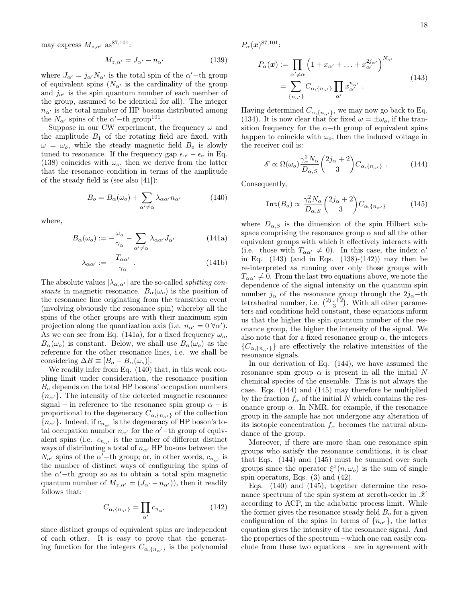may express  $M_{z,\alpha'}$  as<sup>87,101</sup>:

$$
M_{z,\alpha'} = J_{\alpha'} - n_{\alpha'}
$$
 (139)

where  $J_{\alpha'} = j_{\alpha'} N_{\alpha'}$  is the total spin of the  $\alpha'$ -th group of equivalent spins  $(N_{\alpha}$  is the cardinality of the group and  $j_{\alpha}$  is the spin quantum number of each member of the group, assumed to be identical for all). The integer  $n_{\alpha}$  is the total number of HP bosons distributed among the  $N_{\alpha}$  spins of the  $\alpha'$ -th group<sup>101</sup>.

Suppose in our CW experiment, the frequency  $\omega$  and the amplitude  $B_1$  of the rotating field are fixed, with  $\omega = \omega_o$ , while the steady magnetic field  $B_o$  is slowly tuned to resonance. If the frequency gap  $\epsilon_{\mathsf{n}'} - \epsilon_{\mathsf{n}}$  in Eq. (138) coincides with  $\omega_o$ , then we derive from the latter that the resonance condition in terms of the amplitude of the steady field is (see also [41]):

$$
B_o = B_{\alpha}(\omega_o) + \sum_{\alpha' \neq \alpha} \lambda_{\alpha \alpha'} n_{\alpha'} \tag{140}
$$

where,

$$
B_{\alpha}(\omega_o) := -\frac{\omega_o}{\gamma_{\alpha}} - \sum_{\alpha' \neq \alpha} \lambda_{\alpha \alpha'} J_{\alpha'} \tag{141a}
$$

$$
\lambda_{\alpha\alpha'} := -\frac{T_{\alpha\alpha'}}{\gamma_{\alpha}} . \tag{141b}
$$

The absolute values  $|\lambda_{\alpha,\alpha'}|$  are the so-called *splitting con*stants in magnetic resonance.  $B_{\alpha}(\omega_o)$  is the position of the resonance line originating from the transition event (involving obviously the resonance spin) whereby all the spins of the other groups are with their maximum spin projection along the quantization axis (i.e.  $n_{\alpha'} = 0 \ \forall \alpha'$ ). As we can see from Eq. (141a), for a fixed frequency  $\omega_o$ ,  $B_{\alpha}(\omega_o)$  is constant. Below, we shall use  $B_{\alpha}(\omega_o)$  as the reference for the other resonance lines, i.e. we shall be considering  $\Delta B \equiv [B_o - B_\alpha(\omega_o)].$ 

We readily infer from Eq. (140) that, in this weak coupling limit under consideration, the resonance position  $B<sub>o</sub>$  depends on the total HP bosons' occupation numbers  ${n_{\alpha'}}$ . The intensity of the detected magnetic resonance signal – in reference to the resonance spin group  $\alpha$  – is proportional to the degeneracy  $C_{\alpha,\{n_{\alpha'}\}}$  of the collection  ${n_{\alpha'}}$ . Indeed, if  $c_{n_{\alpha'}}$  is the degeneracy of HP boson's total occupation number  $n_{\alpha}$  for the  $\alpha'$ -th group of equivalent spins (i.e.  $c_{n_{\alpha'}}$  is the number of different distinct ways of distributing a total of  $n_{\alpha}$  HP bosons between the  $N_{\alpha}$  spins of the  $\alpha'$ -th group; or, in other words,  $c_{n_{\alpha'}}$  is the number of distinct ways of configuring the spins of the  $\alpha'$ -th group so as to obtain a total spin magnetic quantum number of  $M_{z,\alpha'} = (J_{\alpha'} - n_{\alpha'}),$  then it readily follows that:

$$
C_{\alpha,\{n_{\alpha'}\}} = \prod_{\alpha'} c_{n_{\alpha'}} \tag{142}
$$

since distinct groups of equivalent spins are independent of each other. It is easy to prove that the generating function for the integers  $C_{\alpha,\{n_{\alpha'}\}}$  is the polynomial  $P_\alpha(\bm{x})^{87,101}$ :

$$
P_{\alpha}(\boldsymbol{x}) := \prod_{\alpha' \neq \alpha} \left( 1 + x_{\alpha'} + \ldots + x_{\alpha'}^{2j_{\alpha'}} \right)^{N_{\alpha'}}
$$
  
= 
$$
\sum_{\{n_{\alpha'}\}} C_{\alpha, \{n_{\alpha'}\}} \prod_{\alpha'} x_{\alpha'}^{n_{\alpha'}} . \tag{143}
$$

Having determined  $C_{\alpha,\{n_{\alpha'}\}}$ , we may now go back to Eq. (134). It is now clear that for fixed  $\omega = \pm \omega_o$ , if the transition frequency for the  $\alpha$ −th group of equivalent spins happen to coincide with  $\omega_o$ , then the induced voltage in the receiver coil is:

$$
\mathscr{E} \propto \Omega(\omega_o) \frac{\gamma_\alpha^2 N_\alpha}{D_{\alpha,S}} \binom{2j_\alpha+2}{3} C_{\alpha,\{n_{\alpha'}\}} . \tag{144}
$$

Consequently,

$$
\text{Int}(B_o) \propto \frac{\gamma_\alpha^2 N_\alpha}{D_{\alpha,S}} \binom{2j_\alpha+2}{3} C_{\alpha,\{n_{\alpha'}\}} \tag{145}
$$

where  $D_{\alpha,S}$  is the dimension of the spin Hilbert subspace comprising the resonance group  $\alpha$  and all the other equivalent groups with which it effectively interacts with (i.e. those with  $T_{\alpha\alpha'} \neq 0$ ). In this case, the index  $\alpha'$ in Eq. (143) (and in Eqs. (138)-(142)) may then be re-interpreted as running over only those groups with  $T_{\alpha\alpha'} \neq 0$ . From the last two equations above, we note the dependence of the signal intensity on the quantum spin number  $j_{\alpha}$  of the resonance group through the  $2j_{\alpha}$ −th tetrahedral number, i.e.  $\binom{2j_{\alpha}+2}{3}$ . With all other parameters and conditions held constant, these equations inform us that the higher the spin quantum number of the resonance group, the higher the intensity of the signal. We also note that for a fixed resonance group  $\alpha$ , the integers  ${C_{\alpha,\lbrace n_{\alpha'}\rbrace}}$  are effectively the relative intensities of the resonance signals.

In our derivation of Eq. (144), we have assumed the resonance spin group  $\alpha$  is present in all the initial N chemical species of the ensemble. This is not always the case. Eqs. (144) and (145) may therefore be multiplied by the fraction  $f_\alpha$  of the initial N which contains the resonance group  $\alpha$ . In NMR, for example, if the resonance group in the sample has not undergone any alteration of its isotopic concentration  $f_{\alpha}$  becomes the natural abundance of the group.

Moreover, if there are more than one resonance spin groups who satisfy the resonance conditions, it is clear that Eqs. (144) and (145) must be summed over such groups since the operator  $\xi^x(n,\omega_o)$  is the sum of single spin operators, Eqs. (3) and (42).

Eqs. (140) and (145), together determine the resonance spectrum of the spin system at zeroth-order in  $\mathscr X$ according to ACP, in the adiabatic process limit. While the former gives the resonance steady field  $B<sub>o</sub>$  for a given configuration of the spins in terms of  $\{n_{\alpha'}\}$ , the latter equation gives the intensity of the resonance signal. And the properties of the spectrum – which one can easily conclude from these two equations – are in agreement with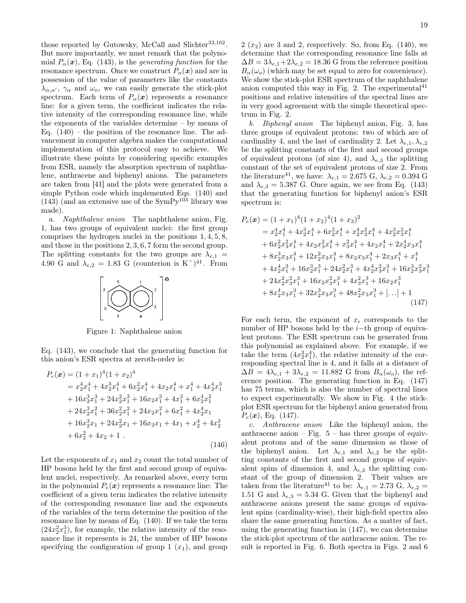those reported by Gutowsky, McCall and Slichter<sup>33,102</sup>. But more importantly, we must remark that the polynomial  $P_{\alpha}(\boldsymbol{x})$ , Eq. (143), is the *generating function* for the resonance spectrum. Once we construct  $P_{\alpha}(\boldsymbol{x})$  and are in possession of the value of parameters like the constants  $\lambda_{\alpha,\alpha'}$ ,  $\gamma_{\alpha}$  and  $\omega_o$ , we can easily generate the stick-plot spectrum. Each term of  $P_{\alpha}(\boldsymbol{x})$  represents a resonance line: for a given term, the coefficient indicates the relative intensity of the corresponding resonance line, while the exponents of the variables determine – by means of Eq.  $(140)$  – the position of the resonance line. The advancement in computer algebra makes the computational implementation of this protocol easy to achieve. We illustrate these points by considering specific examples from ESR, namely the absorption spectrum of naphthalene, anthracene and biphenyl anions. The parameters are taken from [41] and the plots were generated from a simple Python code which implemented Eqs. (140) and (143) (and an extensive use of the  $\text{SymPy}^{103}$  library was made).

a. Naphthalene anion The naphthalene anion, Fig. 1, has two groups of equivalent nuclei: the first group comprises the hydrogen nuclei in the positions 1, 4, 5, 8, and those in the positions 2, 3, 6, 7 form the second group. The splitting constants for the two groups are  $\lambda_{e,1}$  = 4.90 G and  $\lambda_{e,2} = 1.83$  G (counterion is K<sup>+</sup>)<sup>41</sup>. From



Figure 1: Naphthalene anion

Eq. (143), we conclude that the generating function for this anion's ESR spectra at zeroth-order is:

$$
P_e(\mathbf{x}) = (1+x_1)^4 (1+x_2)^4
$$
  
=  $x_2^4 x_1^4 + 4x_2^3 x_1^4 + 6x_2^2 x_1^4 + 4x_2 x_1^4 + x_1^4 + 4x_2^4 x_1^3$   
+  $16x_2^3 x_1^3 + 24x_2^2 x_1^3 + 16x_2 x_1^3 + 4x_1^3 + 6x_2^4 x_1^2$   
+  $24x_2^3 x_1^2 + 36x_2^2 x_1^2 + 24x_2 x_1^2 + 6x_1^2 + 4x_2^4 x_1$   
+  $16x_2^3 x_1 + 24x_2^2 x_1 + 16x_2 x_1 + 4x_1 + x_2^4 + 4x_2^3$   
+  $6x_2^2 + 4x_2 + 1$ . (146)

Let the exponents of  $x_1$  and  $x_2$  count the total number of HP bosons held by the first and second group of equivalent nuclei, respectively. As remarked above, every term in the polynomial  $P_e(x)$  represents a resonance line: The coefficient of a given term indicates the relative intensity of the corresponding resonance line and the exponents of the variables of the term determine the position of the resonance line by means of Eq. (140). If we take the term  $(24x_2^2x_1^3)$ , for example, the relative intensity of the resonance line it represents is 24, the number of HP bosons specifying the configuration of group 1  $(x_1)$ , and group

 $2(x_2)$  are 3 and 2, respectively. So, from Eq. (140), we determine that the corresponding resonance line falls at  $\Delta B = 3\lambda_{e,1} + 2\lambda_{e,2} = 18.36$  G from the reference position  $B_{\alpha}(\omega_o)$  (which may be set equal to zero for convenience). We show the stick-plot ESR spectrum of the naphthalene anion computed this way in Fig. 2. The experimental positions and relative intensities of the spectral lines are in very good agreement with the simple theoretical spectrum in Fig. 2.

b. Biphenyl anion The biphenyl anion, Fig. 3, has three groups of equivalent protons: two of which are of cardinality 4, and the last of cardinality 2. Let  $\lambda_{e,1}, \lambda_{e,2}$ be the splitting constants of the first and second groups of equivalent protons (of size 4), and  $\lambda_{e,3}$  the splitting constant of the set of equivalent protons of size 2. From the literature<sup>41</sup>, we have:  $\lambda_{e,1} = 2.675 \text{ G}, \lambda_{e,2} = 0.394 \text{ G}$ and  $\lambda_{e,3} = 5.387$  G. Once again, we see from Eq. (143) that the generating function for biphenyl anion's ESR spectrum is:

$$
P_e(\mathbf{x}) = (1+x_1)^4 (1+x_2)^4 (1+x_3)^2
$$
  
=  $x_2^4 x_1^4 + 4x_2^3 x_1^4 + 6x_2^2 x_1^4 + x_2^4 x_3^2 x_1^4 + 4x_2^3 x_3^2 x_1^4$   
+  $6x_2^2 x_3^2 x_1^4 + 4x_2 x_3^2 x_1^4 + x_3^2 x_1^4 + 4x_2 x_1^4 + 2x_2^4 x_3 x_1^4$   
+  $8x_2^3 x_3 x_1^4 + 12x_2^2 x_3 x_1^4 + 8x_2 x_3 x_1^4 + 2x_3 x_1^4 + x_1^4$   
+  $4x_2^4 x_1^3 + 16x_2^3 x_1^3 + 24x_2^2 x_1^3 + 4x_2^4 x_3^2 x_1^3 + 16x_2^3 x_3^2 x_1^3$   
+  $24x_2^2 x_3^2 x_1^3 + 16x_2 x_3^2 x_1^3 + 4x_3^2 x_1^3 + 16x_2 x_1^3$   
+  $8x_2^4 x_3 x_1^3 + 32x_2^3 x_3 x_1^3 + 48x_2^2 x_3 x_1^3 + [\dots] + 1$   
(147)

For each term, the exponent of  $x_i$  corresponds to the number of HP bosons held by the  $i$ -th group of equivalent protons. The ESR spectrum can be generated from this polynomial as explained above. For example, if we take the term  $(4x_2^3x_1^4)$ , the relative intensity of the corresponding spectral line is 4, and it falls at a distance of  $\Delta B = 4\lambda_{e,1} + 3\lambda_{e,2} = 11.882$  G from  $B_\alpha(\omega_o)$ , the reference position. The generating function in Eq. (147) has 75 terms, which is also the number of spectral lines to expect experimentally. We show in Fig. 4 the stickplot ESR spectrum for the biphenyl anion generated from  $P_e(x)$ , Eq. (147).

c. Anthracene anion Like the biphenyl anion, the anthracene anion – Fig. – has three groups of equivalent protons and of the same dimension as those of the biphenyl anion. Let  $\lambda_{e,1}$  and  $\lambda_{e,2}$  be the splitting constants of the first and second groups of equivalent spins of dimension 4, and  $\lambda_{e,3}$  the splitting constant of the group of dimension 2. Their values are taken from the literature<sup>41</sup> to be:  $\lambda_{e,1} = 2.73 \text{ G}, \lambda_{e,2} =$ 1.51 G and  $\lambda_{e,3} = 5.34$  G. Given that the biphenyl and anthracene anions present the same groups of equivalent spins (cardinality-wise), their high-field spectra also share the same generating function. As a matter of fact, using the generating function in (147), we can determine the stick-plot spectrum of the anthracene anion. The result is reported in Fig. 6. Both spectra in Figs. 2 and 6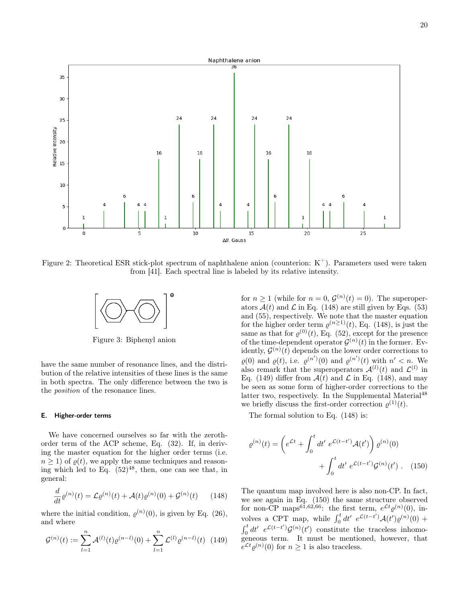

Figure 2: Theoretical ESR stick-plot spectrum of naphthalene anion (counterion:  $K^+$ ). Parameters used were taken from [41]. Each spectral line is labeled by its relative intensity.



Figure 3: Biphenyl anion

have the same number of resonance lines, and the distribution of the relative intensities of these lines is the same in both spectra. The only difference between the two is the position of the resonance lines.

#### E. Higher-order terms

We have concerned ourselves so far with the zerothorder term of the ACP scheme, Eq. (32). If, in deriving the master equation for the higher order terms (i.e.  $n \geq 1$ ) of  $\rho(t)$ , we apply the same techniques and reasoning which led to Eq.  $(52)^{48}$ , then, one can see that, in general:

$$
\frac{d}{dt}\rho^{(n)}(t) = \mathcal{L}\rho^{(n)}(t) + \mathcal{A}(t)\rho^{(n)}(0) + \mathcal{G}^{(n)}(t) \tag{148}
$$

where the initial condition,  $\varrho^{(n)}(0)$ , is given by Eq. (26), and where

$$
\mathcal{G}^{(n)}(t) := \sum_{l=1}^{n} \mathcal{A}^{(l)}(t) \varrho^{(n-l)}(0) + \sum_{l=1}^{n} \mathcal{L}^{(l)} \varrho^{(n-l)}(t) \tag{149}
$$

for  $n \ge 1$  (while for  $n = 0$ ,  $\mathcal{G}^{(n)}(t) = 0$ ). The superoperators  $\mathcal{A}(t)$  and  $\mathcal{L}$  in Eq. (148) are still given by Eqs. (53) and (55), respectively. We note that the master equation for the higher order term  $\varrho^{(n\geq 1)}(t)$ , Eq. (148), is just the same as that for  $\varrho^{(0)}(t)$ , Eq. (52), except for the presence of the time-dependent operator  $\mathcal{G}^{(n)}(t)$  in the former. Evidently,  $\mathcal{G}^{(n)}(t)$  depends on the lower order corrections to  $\varrho(0)$  and  $\varrho(t)$ , i.e.  $\varrho^{(n')}(0)$  and  $\varrho^{(n')}(t)$  with  $n' < n$ . We also remark that the superoperators  $\mathcal{A}^{(l)}(t)$  and  $\mathcal{L}^{(l)}$  in Eq. (149) differ from  $A(t)$  and  $\mathcal L$  in Eq. (148), and may be seen as some form of higher-order corrections to the latter two, respectively. In the Supplemental Material<sup>48</sup> we briefly discuss the first-order correction  $\varrho^{(1)}(t)$ .

The formal solution to Eq. (148) is:

$$
\varrho^{(n)}(t) = \left( e^{\mathcal{L}t} + \int_0^t dt' \ e^{\mathcal{L}(t-t')} \mathcal{A}(t') \right) \varrho^{(n)}(0) \n+ \int_0^t dt' \ e^{\mathcal{L}(t-t')} \mathcal{G}^{(n)}(t') . \quad (150)
$$

The quantum map involved here is also non-CP. In fact, we see again in Eq. (150) the same structure observed for non-CP maps<sup>61,62,66</sup>: the first term,  $e^{\mathcal{L}t} \varrho^{(n)}(0)$ , involves a CPT map, while  $\int_0^t dt' e^{\mathcal{L}(t-t')} \mathcal{A}(t') \varrho^{(n)}(0)$  +  $\int_0^t dt' e^{\mathcal{L}(t-t')} \mathcal{G}^{(n)}(t')$  constitute the traceless inhomogeneous term. It must be mentioned, however, that  $e^{\mathcal{L}t} \varrho^{(n)}(0)$  for  $n \geq 1$  is also traceless.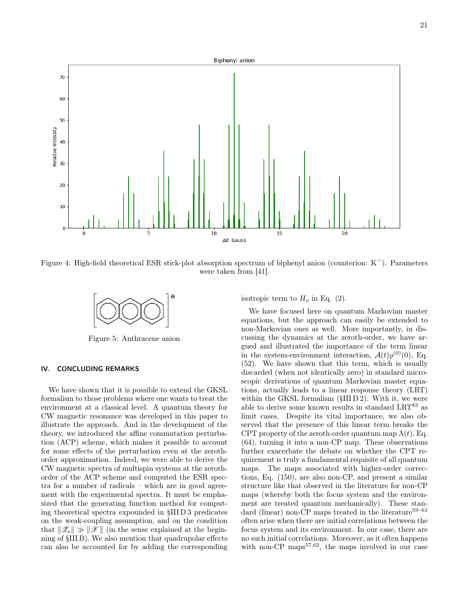

Figure 4: High-field theoretical ESR stick-plot absorption spectrum of biphenyl anion (counterion:  $K^+$ ). Parameters were taken from [41].



Figure 5: Anthracene anion

# IV. CONCLUDING REMARKS

We have shown that it is possible to extend the GKSL formalism to those problems where one wants to treat the environment at a classical level. A quantum theory for CW magnetic resonance was developed in this paper to illustrate the approach. And in the development of the theory, we introduced the affine commutation perturbation (ACP) scheme, which makes it possible to account for some effects of the perturbation even at the zerothorder approximation. Indeed, we were able to derive the CW magnetic spectra of multispin systems at the zerothorder of the ACP scheme and computed the ESR spectra for a number of radicals – which are in good agreement with the experimental spectra. It must be emphasized that the generating function method for computing theoretical spectra expounded in §III D 3 predicates on the weak-coupling assumption, and on the condition that  $\|\mathscr{Z}_{o}\| \gg \|\mathscr{X}\|$  (in the sense explained at the beginning of §III B). We also mention that quadrupolar effects can also be accounted for by adding the corresponding isotropic term to  $H_o$  in Eq. (2).

We have focused here on quantum Markovian master equations, but the approach can easily be extended to non-Markovian ones as well. More importantly, in discussing the dynamics at the zeroth-order, we have argued and illustrated the importance of the term linear in the system-environment interaction,  $\mathcal{A}(t)\varrho^{(0)}(0)$ , Eq. (52). We have shown that this term, which is usually discarded (when not identically zero) in standard microscopic derivations of quantum Markovian master equations, actually leads to a linear response theory (LRT) within the GKSL formalism  $(SIII D 2)$ . With it, we were able to derive some known results in standard  $LRT^{83}$  as limit cases. Despite its vital importance, we also observed that the presence of this linear term breaks the CPT property of the zeroth-order quantum map  $\Lambda(t)$ , Eq. (64), turning it into a non-CP map. These observations further exacerbate the debate on whether the CPT requirement is truly a fundamental requisite of all quantum maps. The maps associated with higher-order corrections, Eq. (150), are also non-CP, and present a similar structure like that observed in the literature for non-CP maps (whereby both the focus system and the environment are treated quantum mechanically). These standard (linear) non-CP maps treated in the literature<sup>59–63</sup> often arise when there are initial correlations between the focus system and its environment. In our case, there are no such initial correlations. Moreover, as it often happens with non-CP maps $57,62$ , the maps involved in our case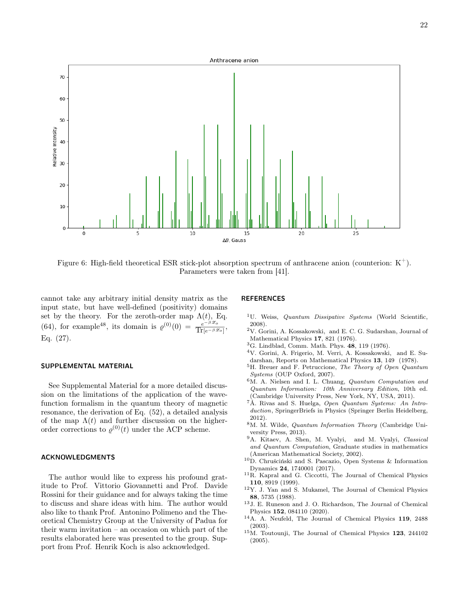

Figure 6: High-field theoretical ESR stick-plot absorption spectrum of anthracene anion (counterion:  $K^+$ ). Parameters were taken from [41].

cannot take any arbitrary initial density matrix as the input state, but have well-defined (positivity) domains set by the theory. For the zeroth-order map  $\Lambda(t)$ , Eq. (64), for example<sup>48</sup>, its domain is  $\varrho^{(0)}(0) = \frac{e^{-\beta \mathscr{Z}_o}}{\text{Tr}(-\beta \mathscr{Z})}$  $\frac{e^{-\beta x_o}}{\text{Tr}[e^{-\beta x_o}]},$ Eq. (27).

#### SUPPLEMENTAL MATERIAL

See Supplemental Material for a more detailed discussion on the limitations of the application of the wavefunction formalism in the quantum theory of magnetic resonance, the derivation of Eq. (52), a detailed analysis of the map  $\Lambda(t)$  and further discussion on the higherorder corrections to  $\varrho^{(0)}(t)$  under the ACP scheme.

#### ACKNOWLEDGMENTS

The author would like to express his profound gratitude to Prof. Vittorio Giovannetti and Prof. Davide Rossini for their guidance and for always taking the time to discuss and share ideas with him. The author would also like to thank Prof. Antonino Polimeno and the Theoretical Chemistry Group at the University of Padua for their warm invitation – an occasion on which part of the results elaborated here was presented to the group. Support from Prof. Henrik Koch is also acknowledged.

#### REFERENCES

- <sup>1</sup>U. Weiss, *Quantum Dissipative Systems* (World Scientific, 2008).
- $^{2} \rm V.$  Gorini, A. Kossakowski, and E. C. G. Sudarshan, Journal of Mathematical Physics 17, 821 (1976).
- <sup>3</sup>G. Lindblad, Comm. Math. Phys. 48, 119 (1976).
- <sup>4</sup>V. Gorini, A. Frigerio, M. Verri, A. Kossakowski, and E. Sudarshan, Reports on Mathematical Physics 13, 149 (1978).
- <sup>5</sup>H. Breuer and F. Petruccione, The Theory of Open Quantum Systems (OUP Oxford, 2007).
- <sup>6</sup>M. A. Nielsen and I. L. Chuang, Quantum Computation and Quantum Information: 10th Anniversary Edition, 10th ed. (Cambridge University Press, New York, NY, USA, 2011).
- <sup>7</sup>Á. Rivas and S. Huelga, Open Quantum Systems: An Introduction, SpringerBriefs in Physics (Springer Berlin Heidelberg, 2012).
- <sup>8</sup>M. M. Wilde, Quantum Information Theory (Cambridge University Press, 2013).
- <sup>9</sup>A. Kitaev, A. Shen, M. Vyalyi, and M. Vyalyi, Classical and Quantum Computation, Graduate studies in mathematics (American Mathematical Society, 2002).
- <sup>10</sup>D. Chruściński and S. Pascazio, Open Systems & Information Dynamics 24, 1740001 (2017).
- <sup>11</sup>R. Kapral and G. Ciccotti, The Journal of Chemical Physics 110, 8919 (1999).
- <sup>12</sup>Y. J. Yan and S. Mukamel, The Journal of Chemical Physics 88, 5735 (1988).
- <sup>13</sup>J. E. Runeson and J. O. Richardson, The Journal of Chemical Physics 152, 084110 (2020).
- <sup>14</sup>A. A. Neufeld, The Journal of Chemical Physics 119, 2488 (2003).
- <sup>15</sup>M. Toutounji, The Journal of Chemical Physics 123, 244102 (2005).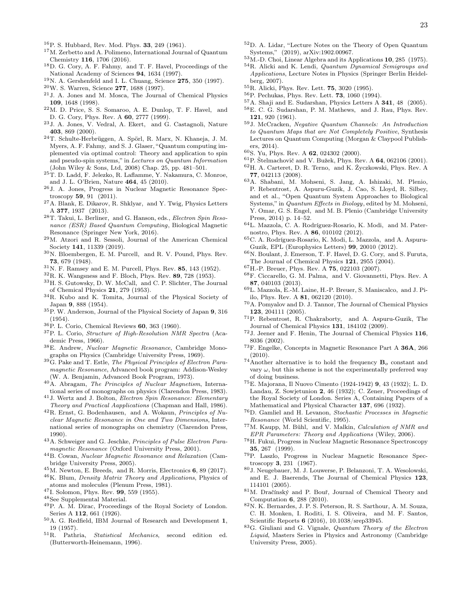- <sup>16</sup>P. S. Hubbard, Rev. Mod. Phys. 33, 249 (1961).
- <sup>17</sup>M. Zerbetto and A. Polimeno, International Journal of Quantum Chemistry 116, 1706 (2016).
- <sup>18</sup>D. G. Cory, A. F. Fahmy, and T. F. Havel, Proceedings of the National Academy of Sciences 94, 1634 (1997).
- $^{19}{\rm N.}$  A. Gershenfeld and I. L. Chuang, Science  ${\bf 275},$   $350$  (1997).
- $20$ W. S. Warren, Science 277, 1688 (1997).
- <sup>21</sup>J. A. Jones and M. Mosca, The Journal of Chemical Physics 109, 1648 (1998).
- <sup>22</sup>M. D. Price, S. S. Somaroo, A. E. Dunlop, T. F. Havel, and D. G. Cory, Phys. Rev. A 60, 2777 (1999).
- <sup>23</sup>J. A. Jones, V. Vedral, A. Ekert, and G. Castagnoli, Nature 403, 869 (2000).
- <sup>24</sup>T. Schulte-Herbrüggen, A. Spörl, R. Marx, N. Khaneja, J. M. Myers, A. F. Fahmy, and S. J. Glaser, "Quantum computing implemented via optimal control: Theory and application to spin and pseudo-spin systems," in Lectures on Quantum Information (John Wiley & Sons, Ltd, 2008) Chap. 25, pp. 481–501.
- <sup>25</sup>T. D. Ladd, F. Jelezko, R. Laflamme, Y. Nakamura, C. Monroe, and J. L. O'Brien, Nature 464, 45 (2010).
- <sup>26</sup>J. A. Jones, Progress in Nuclear Magnetic Resonance Spectroscopy 59, 91 (2011).
- <sup>27</sup>A. Blank, E. Dikarov, R. Shklyar, and Y. Twig, Physics Letters A 377, 1937 (2013).
- $^{28}{\rm T}.$  Takui, L. Berliner,  $% ^{26}{\rm T}.$  Takui, L. Berliner, and G. Hanson, eds.,  $Electron$   $Spin$   $Reso$ nance (ESR) Based Quantum Computing, Biological Magnetic Resonance (Springer New York, 2016).
- <sup>29</sup>M. Atzori and R. Sessoli, Journal of the American Chemical Society 141, 11339 (2019).
- <sup>30</sup>N. Bloembergen, E. M. Purcell, and R. V. Pound, Phys. Rev. 73, 679 (1948).
- $31$ N. F. Ramsey and E. M. Purcell, Phys. Rev. 85, 143 (1952).
- $32R$ . K. Wangsness and F. Bloch, Phys. Rev. 89, 728 (1953).
- <sup>33</sup>H. S. Gutowsky, D. W. McCall, and C. P. Slichter, The Journal of Chemical Physics 21, 279 (1953).
- <sup>34</sup>R. Kubo and K. Tomita, Journal of the Physical Society of Japan 9, 888 (1954).
- <sup>35</sup>P. W. Anderson, Journal of the Physical Society of Japan 9, 316 (1954).
- $36\text{ P}$ . L. Corio, Chemical Reviews 60, 363 (1960).
- <sup>37</sup>P. L. Corio, Structure of High-Resolution NMR Spectra (Academic Press, 1966).
- <sup>38</sup>E. Andrew, Nuclear Magnetic Resonance, Cambridge Monographs on Physics (Cambridge University Press, 1969).
- <sup>39</sup>G. Pake and T. Estle, The Physical Principles of Electron Paramagnetic Resonance, Advanced book program: Addison-Wesley (W. A. Benjamin, Advanced Book Program, 1973).
- <sup>40</sup>A. Abragam, The Principles of Nuclear Magnetism, International series of monographs on physics (Clarendon Press, 1983).
- <sup>41</sup>J. Wertz and J. Bolton, Electron Spin Resonance: Elementary Theory and Practical Aapplications (Chapman and Hall, 1986).
- $^{42}$ R. Ernst, G. Bodenhausen, and A. Wokaun, *Principles of Nu*clear Magnetic Resonance in One and Two Dimensions, International series of monographs on chemistry (Clarendon Press, 1990).
- <sup>43</sup>A. Schweiger and G. Jeschke, Principles of Pulse Electron Paramagnetic Resonance (Oxford University Press, 2001).
- <sup>44</sup>B. Cowan, Nuclear Magnetic Resonance and Relaxation (Cambridge University Press, 2005).
- $^{45}$ M. Newton, E. Breeds, and R. Morris, Electronics 6, 89 (2017).
- <sup>46</sup>K. Blum, Density Matrix Theory and Applications, Physics of atoms and molecules (Plenum Press, 1981).
- <sup>47</sup>I. Solomon, Phys. Rev. 99, 559 (1955).
- <sup>48</sup>See Supplemental Material.
- <sup>49</sup>P. A. M. Dirac, Proceedings of the Royal Society of London. Series A 112, 661 (1926).
- <sup>50</sup>A. G. Redfield, IBM Journal of Research and Development 1, 19 (1957).
- <sup>51</sup>R. Pathria, Statistical Mechanics, second edition ed. (Butterworth-Heinemann, 1996).
- <sup>52</sup>D. A. Lidar, "Lecture Notes on the Theory of Open Quantum Systems," (2019), arXiv:1902.00967.
- $^{53}$  M.-D. Choi, Linear Algebra and its Applications 10, 285 (1975). <sup>54</sup>R. Alicki and K. Lendi, Quantum Dynamical Semigroups and Applications, Lecture Notes in Physics (Springer Berlin Heidelberg, 2007).
- <sup>55</sup>R. Alicki, Phys. Rev. Lett. 75, 3020 (1995).
- <sup>56</sup>P. Pechukas, Phys. Rev. Lett. 73, 1060 (1994).
- <sup>57</sup>A. Shaji and E. Sudarshan, Physics Letters A 341, 48 (2005).
- <sup>58</sup>E. C. G. Sudarshan, P. M. Mathews, and J. Rau, Phys. Rev. 121, 920 (1961).
- <sup>59</sup>J. McCracken, Negative Quantum Channels: An Introduction to Quantum Maps that are Not Completely Positive, Synthesis Lectures on Quantum Computing (Morgan & Claypool Publishers, 2014).
- <sup>60</sup>S. Yu, Phys. Rev. A 62, 024302 (2000).
- $^{61}{\rm P}$ Štelmachovič and V. Bužek, Phys. Rev. A ${\bf 64},$  062106 (2001). <sup>62</sup>H. A. Carteret, D. R. Terno, and K. Życzkowski, Phys. Rev. A 77, 042113 (2008).
- <sup>63</sup>A. Shabani, M. Mohseni, S. Jang, A. Ishizaki, M. Plenio, P. Rebentrost, A. Aspuru-Guzik, J. Cao, S. Lloyd, R. Silbey, and et al., "Open Quantum System Approaches to Biological Systems," in Quantum Effects in Biology, edited by M. Mohseni, Y. Omar, G. S. Engel, and M. B. Plenio (Cambridge University Press, 2014) p. 14–52.
- <sup>64</sup>L. Mazzola, C. A. Rodríguez-Rosario, K. Modi, and M. Paternostro, Phys. Rev. A 86, 010102 (2012).
- <sup>65</sup>C. A. Rodríguez-Rosario, K. Modi, L. Mazzola, and A. Aspuru-Guzik, EPL (Europhysics Letters) 99, 20010 (2012).
- <sup>66</sup>N. Boulant, J. Emerson, T. F. Havel, D. G. Cory, and S. Furuta, The Journal of Chemical Physics 121, 2955 (2004).
- $^{67}{\rm H}$ -P. Breuer, Phys. Rev. A  ${\bf 75},$  022103 (2007).
- <sup>68</sup>F. Ciccarello, G. M. Palma, and V. Giovannetti, Phys. Rev. A 87, 040103 (2013).
- <sup>69</sup>L. Mazzola, E.-M. Laine, H.-P. Breuer, S. Maniscalco, and J. Piilo, Phys. Rev. A 81, 062120 (2010).
- <sup>70</sup>A. Pomyalov and D. J. Tannor, The Journal of Chemical Physics 123, 204111 (2005).
- <sup>71</sup>P. Rebentrost, R. Chakraborty, and A. Aspuru-Guzik, The Journal of Chemical Physics 131, 184102 (2009).
- <sup>72</sup>J. Jeener and F. Henin, The Journal of Chemical Physics 116, 8036 (2002).
- <sup>73</sup>F. Engelke, Concepts in Magnetic Resonance Part A 36A, 266 (2010).
- $^{74}$ Another alternative is to hold the frequency  $B_0$  constant and vary  $\omega$ , but this scheme is not the experimentally preferred way of doing business.
- <sup>75</sup>E. Majorana, Il Nuovo Cimento (1924-1942) 9, 43 (1932); L. D. Landau, Z. Sowjetunion 2, 46 (1932); C. Zener, Proceedings of the Royal Society of London. Series A, Containing Papers of a Mathematical and Physical Character 137, 696 (1932).
- <sup>76</sup>D. Gamliel and H. Levanon, Stochastic Processes in Magnetic Resonance (World Scientific, 1995).
- <sup>77</sup>M. Kaupp, M. Bühl, and V. Malkin, Calculation of NMR and EPR Parameters: Theory and Applications (Wiley, 2006).
- <sup>78</sup>H. Fukui, Progress in Nuclear Magnetic Resonance Spectroscopy 35, 267 (1999).
- <sup>79</sup>P. Laszlo, Progress in Nuclear Magnetic Resonance Spectroscopy 3, 231 (1967).
- <sup>80</sup>J. Neugebauer, M. J. Louwerse, P. Belanzoni, T. A. Wesolowski, and E. J. Baerends, The Journal of Chemical Physics 123, 114101 (2005).
- <sup>81</sup>M. Dračínský and P. Bouř, Journal of Chemical Theory and Computation 6, 288 (2010).
- <sup>82</sup>N. K. Bernardes, J. P. S. Peterson, R. S. Sarthour, A. M. Souza, C. H. Monken, I. Roditi, I. S. Oliveira, and M. F. Santos, Scientific Reports 6 (2016), 10.1038/srep33945.
- <sup>83</sup>G. Giuliani and G. Vignale, Quantum Theory of the Electron Liquid, Masters Series in Physics and Astronomy (Cambridge University Press, 2005).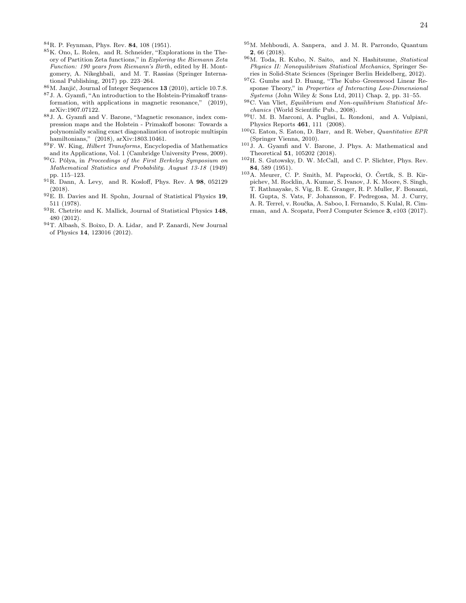<sup>84</sup>R. P. Feynman, Phys. Rev. 84, 108 (1951).

- <sup>85</sup>K. Ono, L. Rolen, and R. Schneider, "Explorations in the Theory of Partition Zeta functions," in Exploring the Riemann Zeta Function: 190 years from Riemann's Birth, edited by H. Montgomery, A. Nikeghbali, and M. T. Rassias (Springer International Publishing, 2017) pp. 223–264.
- <sup>86</sup>M. Janjić, Journal of Integer Sequences 13 (2010), article 10.7.8.
- $^{87}{\rm J}$  . A. Gyamfi, "An introduction to the Holstein-Primakoff transformation, with applications in magnetic resonance," (2019), arXiv:1907.07122.
- <sup>88</sup>J. A. Gyamfi and V. Barone, "Magnetic resonance, index compression maps and the Holstein - Primakoff bosons: Towards a polynomially scaling exact diagonalization of isotropic multispin hamiltonians," (2018), arXiv:1803.10461.
- <sup>89</sup>F. W. King, Hilbert Transforms, Encyclopedia of Mathematics and its Applications, Vol. 1 (Cambridge University Press, 2009).
- $90G.$  Pólya, in Proceedings of the First Berkeley Symposium on Mathematical Statistics and Probability. August 13-18 (1949) pp. 115–123.
- <sup>91</sup>R. Dann, A. Levy, and R. Kosloff, Phys. Rev. A 98, 052129 (2018).
- <sup>92</sup>E. B. Davies and H. Spohn, Journal of Statistical Physics 19, 511 (1978).
- <sup>93</sup>R. Chetrite and K. Mallick, Journal of Statistical Physics 148, 480 (2012).
- <sup>94</sup>T. Albash, S. Boixo, D. A. Lidar, and P. Zanardi, New Journal of Physics 14, 123016 (2012).
- $^{95}\mathrm{M}.$  Mehboudi, A. Sanpera, $\,$  and J. M. R. Parrondo, Quantum 2, 66 (2018).
- $^{96}\mathrm{M}.$  Toda, R. Kubo, N. Saito, and N. Hashitsume, Statistical Physics II: Nonequilibrium Statistical Mechanics, Springer Series in Solid-State Sciences (Springer Berlin Heidelberg, 2012).
- <sup>97</sup>G. Gumbs and D. Huang, "The Kubo–Greenwood Linear Response Theory," in Properties of Interacting Low-Dimensional Systems (John Wiley & Sons Ltd, 2011) Chap. 2, pp. 31–55.
- <sup>98</sup>C. Van Vliet, Equilibrium and Non-equilibrium Statistical Mechanics (World Scientific Pub., 2008).
- <sup>99</sup>U. M. B. Marconi, A. Puglisi, L. Rondoni, and A. Vulpiani, Physics Reports 461, 111 (2008).
- $^{100}\mathrm{G}$  .Eaton, S. Eaton, D. Barr, and R. Weber, Quantitative EPR (Springer Vienna, 2010).
- <sup>101</sup>J. A. Gyamfi and V. Barone, J. Phys. A: Mathematical and Theoretical 51, 105202 (2018).
- <sup>102</sup>H. S. Gutowsky, D. W. McCall, and C. P. Slichter, Phys. Rev. 84, 589 (1951).
- <sup>103</sup>A. Meurer, C. P. Smith, M. Paprocki, O. Čertík, S. B. Kirpichev, M. Rocklin, A. Kumar, S. Ivanov, J. K. Moore, S. Singh, T. Rathnayake, S. Vig, B. E. Granger, R. P. Muller, F. Bonazzi, H. Gupta, S. Vats, F. Johansson, F. Pedregosa, M. J. Curry, A. R. Terrel, v. Roučka, A. Saboo, I. Fernando, S. Kulal, R. Cimrman, and A. Scopatz, PeerJ Computer Science 3, e103 (2017).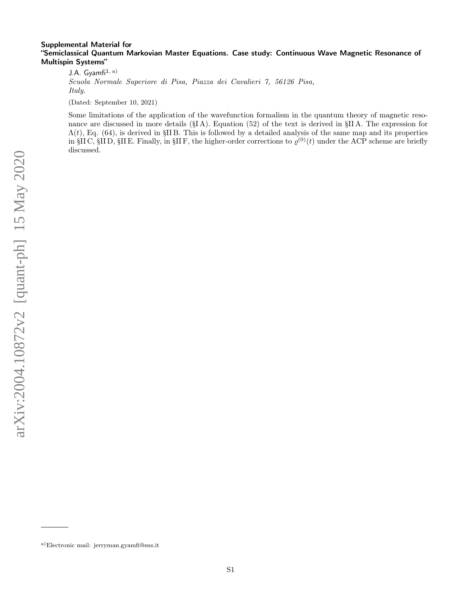# Supplemental Material for "Semiclassical Quantum Markovian Master Equations. Case study: Continuous Wave Magnetic Resonance of Multispin Systems"

J.A. Gyamfi $1, a)$ Scuola Normale Superiore di Pisa, Piazza dei Cavalieri 7, 56126 Pisa, Italy.

(Dated: September 10, 2021)

Some limitations of the application of the wavefunction formalism in the quantum theory of magnetic resonance are discussed in more details (§I A). Equation (52) of the text is derived in §II A. The expression for  $\Lambda(t)$ , Eq. (64), is derived in §IIB. This is followed by a detailed analysis of the same map and its properties in §II C, §II D, §II E. Finally, in §II F, the higher-order corrections to  $\varrho^{(0)}(t)$  under the ACP scheme are briefly discussed.

a)Electronic mail: jerryman.gyamfi@sns.it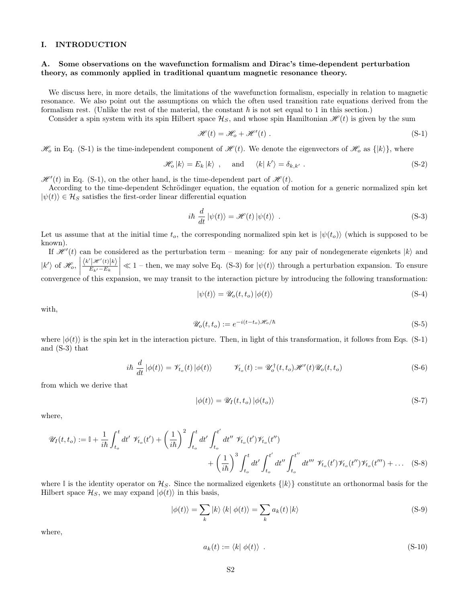# I. INTRODUCTION

# A. Some observations on the wavefunction formalism and Dirac's time-dependent perturbation theory, as commonly applied in traditional quantum magnetic resonance theory.

We discuss here, in more details, the limitations of the wavefunction formalism, especially in relation to magnetic resonance. We also point out the assumptions on which the often used transition rate equations derived from the formalism rest. (Unlike the rest of the material, the constant  $\hbar$  is not set equal to 1 in this section.)

Consider a spin system with its spin Hilbert space  $\mathcal{H}_S$ , and whose spin Hamiltonian  $\mathcal{H}(t)$  is given by the sum

$$
\mathcal{H}(t) = \mathcal{H}_o + \mathcal{H}'(t) \tag{S-1}
$$

 $\mathcal{H}_o$  in Eq. (S-1) is the time-independent component of  $\mathcal{H}(t)$ . We denote the eigenvectors of  $\mathcal{H}_o$  as  $\{|k\rangle\}$ , where

$$
\mathcal{H}_o |k\rangle = E_k |k\rangle \text{ , and } \langle k|k'\rangle = \delta_{k,k'} . \tag{S-2}
$$

 $\mathscr{H}'(t)$  in Eq. (S-1), on the other hand, is the time-dependent part of  $\mathscr{H}(t)$ .

According to the time-dependent Schrödinger equation, the equation of motion for a generic normalized spin ket  $|\psi(t)\rangle \in \mathcal{H}_S$  satisfies the first-order linear differential equation

$$
i\hbar \frac{d}{dt} |\psi(t)\rangle = \mathcal{H}(t) |\psi(t)\rangle . \tag{S-3}
$$

Let us assume that at the initial time  $t_o$ , the corresponding normalized spin ket is  $|\psi(t_o)\rangle$  (which is supposed to be known).

If  $\mathcal{H}'(t)$  can be considered as the perturbation term – meaning: for any pair of nondegenerate eigenkets  $|k\rangle$  and  $|k'\rangle$  of  $\mathscr{H}_o$ ,  $\frac{\langle k'|\mathcal{H}'(t)|k\rangle}{E_{k'}-E_k}$  $\leq 1$  – then, we may solve Eq. (S-3) for  $|\psi(t)\rangle$  through a perturbation expansion. To ensure convergence of this expansion, we may transit to the interaction picture by introducing the following transformation:

$$
|\psi(t)\rangle = \mathscr{U}_o(t, t_o) |\phi(t)\rangle
$$
 (S-4)

with,

$$
\mathcal{U}_o(t, t_o) := e^{-i(t - t_o)\mathcal{H}_o/\hbar}
$$
\n(S-5)

where  $|\phi(t)\rangle$  is the spin ket in the interaction picture. Then, in light of this transformation, it follows from Eqs. (S-1) and (S-3) that

$$
i\hbar \frac{d}{dt} |\phi(t)\rangle = \mathscr{V}_{t_o}(t) |\phi(t)\rangle \qquad \mathscr{V}_{t_o}(t) := \mathscr{U}_o^{\dagger}(t, t_o) \mathscr{H}'(t) \mathscr{U}_o(t, t_o)
$$
\n(S-6)

from which we derive that

$$
|\phi(t)\rangle = \mathscr{U}_I(t, t_o) |\phi(t_o)\rangle \tag{S-7}
$$

where,

$$
\mathscr{U}_{I}(t,t_{o}) := \mathbb{I} + \frac{1}{i\hbar} \int_{t_{o}}^{t} dt' \ \mathscr{V}_{t_{o}}(t') + \left(\frac{1}{i\hbar}\right)^{2} \int_{t_{o}}^{t} dt' \int_{t_{o}}^{t'} dt'' \ \mathscr{V}_{t_{o}}(t') \mathscr{V}_{t_{o}}(t'')
$$

$$
+ \left(\frac{1}{i\hbar}\right)^{3} \int_{t_{o}}^{t} dt' \int_{t_{o}}^{t'} dt'' \int_{t_{o}}^{t''} dt''' \ \mathscr{V}_{t_{o}}(t') \mathscr{V}_{t_{o}}(t'') \mathscr{V}_{t_{o}}(t''') + \dots \quad (S-8)
$$

where I is the identity operator on  $\mathcal{H}_S$ . Since the normalized eigenkets  $\{|k\rangle\}$  constitute an orthonormal basis for the Hilbert space  $\mathcal{H}_S$ , we may expand  $|\phi(t)\rangle$  in this basis,

$$
|\phi(t)\rangle = \sum_{k} |k\rangle \langle k| \phi(t)\rangle = \sum_{k} a_{k}(t) |k\rangle
$$
 (S-9)

where,

$$
a_k(t) := \langle k | \phi(t) \rangle \tag{S-10}
$$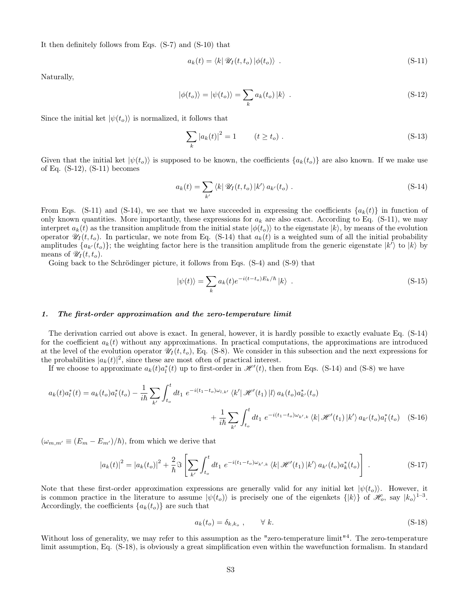It then definitely follows from Eqs. (S-7) and (S-10) that

$$
a_k(t) = \langle k | \mathscr{U}_I(t, t_o) | \phi(t_o) \rangle . \tag{S-11}
$$

Naturally,

$$
|\phi(t_o)\rangle = |\psi(t_o)\rangle = \sum_{k} a_k(t_o) |k\rangle . \qquad (S-12)
$$

Since the initial ket  $|\psi(t_o)\rangle$  is normalized, it follows that

$$
\sum_{k} |a_k(t)|^2 = 1 \qquad (t \ge t_o). \tag{S-13}
$$

Given that the initial ket  $|\psi(t_o)\rangle$  is supposed to be known, the coefficients  $\{a_k(t_o)\}\$  are also known. If we make use of Eq. (S-12), (S-11) becomes

$$
a_k(t) = \sum_{k'} \langle k| \mathscr{U}_I(t, t_o) | k' \rangle a_{k'}(t_o) .
$$
 (S-14)

From Eqs. (S-11) and (S-14), we see that we have succeeded in expressing the coefficients  $\{a_k(t)\}\$ in function of only known quantities. More importantly, these expressions for  $a_k$  are also exact. According to Eq. (S-11), we may interpret  $a_k(t)$  as the transition amplitude from the initial state  $|\phi(t_o)\rangle$  to the eigenstate  $|k\rangle$ , by means of the evolution operator  $\mathscr{U}_I(t, t_o)$ . In particular, we note from Eq. (S-14) that  $a_k(t)$  is a weighted sum of all the initial probability amplitudes  $\{a_{k'}(t_o)\}$ ; the weighting factor here is the transition amplitude from the generic eigenstate  $|k'\rangle$  to  $|k\rangle$  by means of  $\mathscr{U}_I(t,t_o)$ .

Going back to the Schrödinger picture, it follows from Eqs.  $(S-4)$  and  $(S-9)$  that

$$
|\psi(t)\rangle = \sum_{k} a_k(t) e^{-i(t-t_o)E_k/\hbar} |k\rangle . \tag{S-15}
$$

## 1. The first-order approximation and the zero-temperature limit

The derivation carried out above is exact. In general, however, it is hardly possible to exactly evaluate Eq. (S-14) for the coefficient  $a_k(t)$  without any approximations. In practical computations, the approximations are introduced at the level of the evolution operator  $\mathscr{U}_I(t,t_o)$ , Eq. (S-8). We consider in this subsection and the next expressions for the probabilities  $|a_k(t)|^2$ , since these are most often of practical interest.

If we choose to approximate  $a_k(t)a_l^*(t)$  up to first-order in  $\mathcal{H}'(t)$ , then from Eqs. (S-14) and (S-8) we have

$$
a_{k}(t)a_{l}^{*}(t) = a_{k}(t_{o})a_{l}^{*}(t_{o}) - \frac{1}{i\hbar} \sum_{k'} \int_{t_{o}}^{t} dt_{1} e^{-i(t_{1}-t_{o})\omega_{l,k'}} \langle k' | \mathcal{H}'(t_{1}) | l \rangle a_{k}(t_{o})a_{k'}^{*}(t_{o}) + \frac{1}{i\hbar} \sum_{k'} \int_{t_{o}}^{t} dt_{1} e^{-i(t_{1}-t_{o})\omega_{k',k}} \langle k | \mathcal{H}'(t_{1}) | k' \rangle a_{k'}(t_{o})a_{l}^{*}(t_{o}) \quad (S-16)
$$

 $(\omega_{m,m'} \equiv (E_m - E_{m'})/\hbar)$ , from which we derive that

$$
|a_k(t)|^2 = |a_k(t_o)|^2 + \frac{2}{\hbar} \Im \left[ \sum_{k'} \int_{t_o}^t dt_1 \ e^{-i(t_1 - t_o)\omega_{k',k}} \langle k| \mathcal{H}'(t_1) | k' \rangle a_{k'}(t_o) a_k^*(t_o) \right]. \tag{S-17}
$$

Note that these first-order approximation expressions are generally valid for any initial ket  $|\psi(t_o)\rangle$ . However, it is common practice in the literature to assume  $|\psi(t_o)\rangle$  is precisely one of the eigenkets  $\{|k\rangle\}$  of  $\mathcal{H}_o$ , say  $|k_o\rangle^{1-3}$ . Accordingly, the coefficients  ${a_k(t_o)}$  are such that

$$
a_k(t_o) = \delta_{k,k_o} , \qquad \forall k. \tag{S-18}
$$

Without loss of generality, we may refer to this assumption as the "zero-temperature limit"<sup>4</sup>. The zero-temperature limit assumption, Eq. (S-18), is obviously a great simplification even within the wavefunction formalism. In standard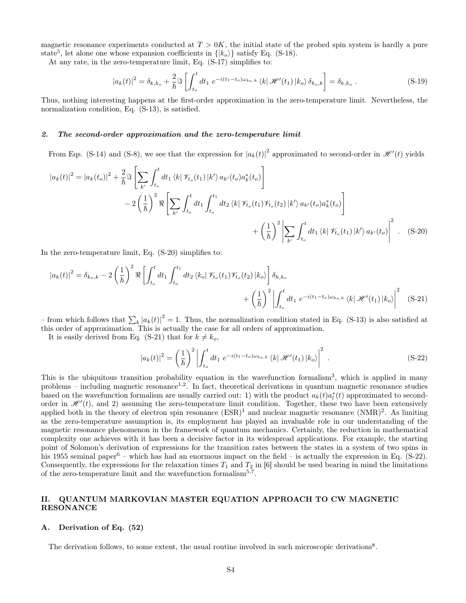magnetic resonance experiments conducted at  $T > 0K$ , the initial state of the probed spin system is hardly a pure state<sup>5</sup>, let alone one whose expansion coefficients in  $\{|k_o\rangle\}$  satisfy Eq. (S-18).

At any rate, in the zero-temperature limit, Eq. (S-17) simplifies to:

$$
|a_k(t)|^2 = \delta_{k,k_o} + \frac{2}{\hbar} \Im \left[ \int_{t_o}^t dt_1 e^{-i(t_1 - t_o)\omega_{k_o,k}} \langle k| \mathcal{H}'(t_1) | k_o \rangle \delta_{k_o,k} \right] = \delta_{k,k_o} . \tag{S-19}
$$

Thus, nothing interesting happens at the first-order approximation in the zero-temperature limit. Nevertheless, the normalization condition, Eq. (S-13), is satisfied.

### 2. The second-order approximation and the zero-temperature limit

From Eqs. (S-14) and (S-8), we see that the expression for  $|a_k(t)|^2$  approximated to second-order in  $\mathcal{H}'(t)$  yields

$$
|a_{k}(t)|^{2} = |a_{k}(t_{o})|^{2} + \frac{2}{\hbar} \Im \left[ \sum_{k'} \int_{t_{o}}^{t} dt_{1} \langle k | \mathcal{V}_{t_{o}}(t_{1}) | k' \rangle a_{k'}(t_{o}) a_{k}^{*}(t_{o}) \right] - 2 \left( \frac{1}{\hbar} \right)^{2} \Re \left[ \sum_{k'} \int_{t_{o}}^{t} dt_{1} \int_{t_{o}}^{t_{1}} dt_{2} \langle k | \mathcal{V}_{t_{o}}(t_{1}) \mathcal{V}_{t_{o}}(t_{2}) | k' \rangle a_{k'}(t_{o}) a_{k}^{*}(t_{o}) \right] + \left( \frac{1}{\hbar} \right)^{2} \left| \sum_{k'} \int_{t_{o}}^{t} dt_{1} \langle k | \mathcal{V}_{t_{o}}(t_{1}) | k' \rangle a_{k'}(t_{o}) \right|^{2} . \quad (S-20)
$$

In the zero-temperature limit, Eq. (S-20) simplifies to:

$$
|a_{k}(t)|^{2} = \delta_{k_{o},k} - 2\left(\frac{1}{\hbar}\right)^{2} \Re \left[ \int_{t_{o}}^{t} dt_{1} \int_{t_{o}}^{t_{1}} dt_{2} \langle k_{o} | \mathcal{V}_{t_{o}}(t_{1}) \mathcal{V}_{t_{o}}(t_{2}) | k_{o} \rangle \right] \delta_{k,k_{o}} + \left(\frac{1}{\hbar}\right)^{2} \left| \int_{t_{o}}^{t} dt_{1} e^{-i(t_{1}-t_{o})\omega_{k_{o},k}} \langle k | \mathcal{H}'(t_{1}) | k_{o} \rangle \right|^{2} (S-21)
$$

– from which follows that  $\sum_{k} |a_k(t)|^2 = 1$ . Thus, the normalization condition stated in Eq. (S-13) is also satisfied at this order of approximation. This is actually the case for all orders of approximation.

It is easily derived from Eq. (S-21) that for  $k \neq k_o$ ,

$$
|a_k(t)|^2 = \left(\frac{1}{\hbar}\right)^2 \left| \int_{t_o}^t dt_1 \ e^{-i(t_1 - t_o)\omega_{k_o,k}} \langle k| \mathcal{H}'(t_1) |k_o \rangle \right|^2 \,. \tag{S-22}
$$

This is the ubiquitous transition probability equation in the wavefunction formalism<sup>3</sup>, which is applied in many problems – including magnetic resonance<sup>1,2</sup>. In fact, theoretical derivations in quantum magnetic resonance studies based on the wavefunction formalism are usually carried out: 1) with the product  $a_k(t)a_l^*(t)$  approximated to secondorder in  $\mathcal{H}'(t)$ , and 2) assuming the zero-temperature limit condition. Together, these two have been extensively applied both in the theory of electron spin resonance  $(ESR)^1$  and nuclear magnetic resonance  $(NMR)^2$ . As limiting as the zero-temperature assumption is, its employment has played an invaluable role in our understanding of the magnetic resonance phenomenon in the framework of quantum mechanics. Certainly, the reduction in mathematical complexity one achieves with it has been a decisive factor in its widespread applications. For example, the starting point of Solomon's derivation of expressions for the transition rates between the states in a system of two spins in his 1955 seminal paper<sup>6</sup> – which has had an enormous impact on the field – is actually the expression in Eq. (S-22). Consequently, the expressions for the relaxation times  $T_1$  and  $T_2$  in [6] should be used bearing in mind the limitations of the zero-temperature limit and the wavefunction formalism<sup>5,7</sup>.

# II. QUANTUM MARKOVIAN MASTER EQUATION APPROACH TO CW MAGNETIC RESONANCE

# A. Derivation of Eq. (52)

The derivation follows, to some extent, the usual routine involved in such microscopic derivations<sup>8</sup>.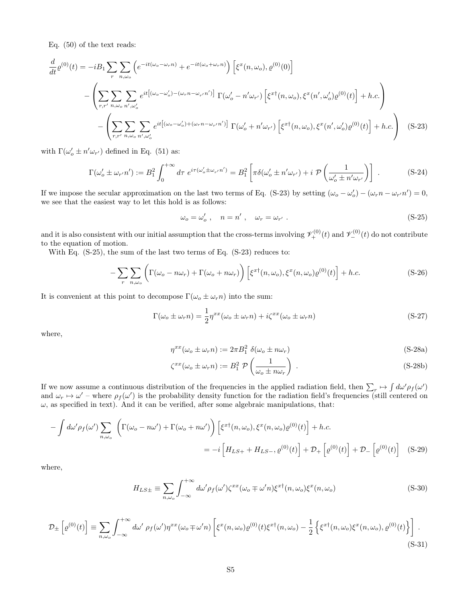Eq. (50) of the text reads:

$$
\frac{d}{dt}\varrho^{(0)}(t) = -iB_1 \sum_{r} \sum_{n,\omega_o} \left( e^{-it(\omega_o - \omega_r n)} + e^{-it(\omega_o + \omega_r n)} \right) \left[ \xi^x(n,\omega_o), \varrho^{(0)}(0) \right]
$$
\n
$$
- \left( \sum_{r,r'} \sum_{n,\omega_o} \sum_{n',\omega_o'} e^{it\left[ (\omega_o - \omega_o') - (\omega_r n - \omega_{r'} n') \right]} \Gamma(\omega_o' - n'\omega_{r'}) \left[ \xi^{xt}(n,\omega_o), \xi^x(n',\omega_o')\varrho^{(0)}(t) \right] + h.c. \right)
$$
\n
$$
- \left( \sum_{r,r'} \sum_{n,\omega_o} \sum_{n',\omega_o'} e^{it\left[ (\omega_o - \omega_o') + (\omega_r n - \omega_{r'} n') \right]} \Gamma(\omega_o' + n'\omega_{r'}) \left[ \xi^{xt}(n,\omega_o), \xi^x(n',\omega_o')\varrho^{(0)}(t) \right] + h.c. \right) \quad (S-23)
$$

with  $\Gamma(\omega'_o \pm n' \omega_{r'})$  defined in Eq. (51) as:

$$
\Gamma(\omega'_{o} \pm \omega_{r'} n') := B_1^2 \int_0^{+\infty} d\tau \ e^{i\tau(\omega'_{o} \pm \omega_{r'} n')} = B_1^2 \left[ \pi \delta(\omega'_{o} \pm n' \omega_{r'}) + i \ \mathcal{P}\left(\frac{1}{\omega'_{o} \pm n' \omega_{r'}}\right) \right] \ . \tag{S-24}
$$

If we impose the secular approximation on the last two terms of Eq. (S-23) by setting  $(\omega_o - \omega'_o) - (\omega_r n - \omega_{r'} n') = 0$ , we see that the easiest way to let this hold is as follows:

$$
\omega_o = \omega'_o \ , \quad n = n' \ , \quad \omega_r = \omega_{r'} \ . \tag{S-25}
$$

and it is also consistent with our initial assumption that the cross-terms involving  $\mathcal{V}_{+}^{(0)}(t)$  and  $\mathcal{V}_{-}^{(0)}(t)$  do not contribute to the equation of motion.

With Eq. (S-25), the sum of the last two terms of Eq. (S-23) reduces to:

$$
-\sum_{r} \sum_{n,\omega_o} \left( \Gamma(\omega_o - n\omega_r) + \Gamma(\omega_o + n\omega_r) \right) \left[ \xi^{x\dagger}(n,\omega_o), \xi^x(n,\omega_o) \varrho^{(0)}(t) \right] + h.c.
$$
 (S-26)

It is convenient at this point to decompose  $\Gamma(\omega_o \pm \omega_r n)$  into the sum:

$$
\Gamma(\omega_o \pm \omega_r n) = \frac{1}{2} \eta^{xx} (\omega_o \pm \omega_r n) + i \zeta^{xx} (\omega_o \pm \omega_r n)
$$
\n(S-27)

where,

$$
\eta^{xx}(\omega_o \pm \omega_r n) := 2\pi B_1^2 \delta(\omega_o \pm n\omega_r)
$$
\n(S-28a)

$$
\zeta^{xx}(\omega_o \pm \omega_r n) := B_1^2 \mathcal{P}\left(\frac{1}{\omega_o \pm n\omega_r}\right) . \tag{S-28b}
$$

If we now assume a continuous distribution of the frequencies in the applied radiation field, then  $\sum_r \mapsto \int d\omega' \rho_f(\omega')$ and  $\omega_r \mapsto \omega'$  – where  $\rho_f(\omega')$  is the probability density function for the radiation field's frequencies (still centered on  $\omega$ , as specified in text). And it can be verified, after some algebraic manipulations, that:

$$
-\int d\omega' \rho_f(\omega') \sum_{n,\omega_o} \left( \Gamma(\omega_o - n\omega') + \Gamma(\omega_o + n\omega') \right) \left[ \xi^{x\dagger}(n,\omega_o), \xi^x(n,\omega_o) \varrho^{(0)}(t) \right] + h.c.
$$
  

$$
= -i \left[ H_{LS+} + H_{LS-}, \varrho^{(0)}(t) \right] + \mathcal{D}_+ \left[ \varrho^{(0)}(t) \right] + \mathcal{D}_- \left[ \varrho^{(0)}(t) \right] \quad (S-29)
$$

where,

$$
H_{LS\pm} \equiv \sum_{n,\omega_o} \int_{-\infty}^{+\infty} d\omega' \rho_f(\omega') \zeta^{xx} (\omega_o \mp \omega' n) \xi^{x\dagger} (n, \omega_o) \xi^x (n, \omega_o)
$$
 (S-30)

$$
\mathcal{D}_{\pm}\left[\varrho^{(0)}(t)\right] \equiv \sum_{n,\omega_o} \int_{-\infty}^{+\infty} d\omega' \, \rho_f(\omega') \eta^{xx}(\omega_o \mp \omega' n) \left[\xi^x(n,\omega_o)\varrho^{(0)}(t)\xi^{x\dagger}(n,\omega_o) - \frac{1}{2}\left\{\xi^x(n,\omega_o)\xi^x(n,\omega_o),\varrho^{(0)}(t)\right\}\right] \,. \tag{S-31}
$$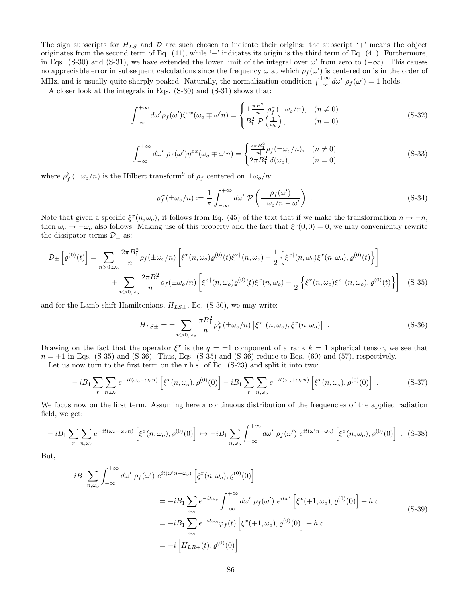The sign subscripts for  $H_{LS}$  and  $D$  are such chosen to indicate their origins: the subscript '+' means the object originates from the second term of Eq. (41), while '−' indicates its origin is the third term of Eq. (41). Furthermore, in Eqs. (S-30) and (S-31), we have extended the lower limit of the integral over  $\omega'$  from zero to ( $-\infty$ ). This causes no appreciable error in subsequent calculations since the frequency  $\omega$  at which  $\rho_f(\omega')$  is centered on is in the order of MHz, and is usually quite sharply peaked. Naturally, the normalization condition  $\int_{-\infty}^{+\infty} d\omega' \rho_f(\omega') = 1$  holds.

A closer look at the integrals in Eqs. (S-30) and (S-31) shows that:

$$
\int_{-\infty}^{+\infty} d\omega' \rho_f(\omega') \zeta^{xx}(\omega_o \mp \omega' n) = \begin{cases} \pm \frac{\pi B_1^2}{n} \rho_f^{\succ}(\pm \omega_o/n), & (n \neq 0) \\ B_1^2 \mathcal{P}\left(\frac{1}{\omega_o}\right), & (n = 0) \end{cases}
$$
(S-32)

$$
\int_{-\infty}^{+\infty} d\omega' \ \rho_f(\omega') \eta^{xx}(\omega_o \mp \omega' n) = \begin{cases} \frac{2\pi B_1^2}{|n|} \rho_f(\pm \omega_o/n), & (n \neq 0) \\ 2\pi B_1^2 \ \delta(\omega_o), & (n = 0) \end{cases}
$$
 (S-33)

where  $\rho_f^{\succ}(\pm \omega_o/n)$  is the Hilbert transform<sup>9</sup> of  $\rho_f$  centered on  $\pm \omega_o/n$ :

$$
\rho_f^{\succ}(\pm \omega_o/n) := \frac{1}{\pi} \int_{-\infty}^{+\infty} d\omega' \ \mathcal{P}\left(\frac{\rho_f(\omega')}{\pm \omega_o/n - \omega'}\right) \ . \tag{S-34}
$$

Note that given a specific  $\xi^x(n, \omega_o)$ , it follows from Eq. (45) of the text that if we make the transformation  $n \mapsto -n$ , then  $\omega_o \mapsto -\omega_o$  also follows. Making use of this property and the fact that  $\xi^x(0,0) = 0$ , we may conveniently rewrite the dissipator terms  $\mathcal{D}_\pm$  as:

$$
\mathcal{D}_{\pm} \left[ \varrho^{(0)}(t) \right] = \sum_{n>0,\omega_o} \frac{2\pi B_1^2}{n} \rho_f(\pm \omega_o/n) \left[ \xi^x(n,\omega_o) \varrho^{(0)}(t) \xi^{x\dagger}(n,\omega_o) - \frac{1}{2} \left\{ \xi^{x\dagger}(n,\omega_o) \xi^x(n,\omega_o), \varrho^{(0)}(t) \right\} \right] \n+ \sum_{n>0,\omega_o} \frac{2\pi B_1^2}{n} \rho_f(\pm \omega_o/n) \left[ \xi^{x\dagger}(n,\omega_o) \varrho^{(0)}(t) \xi^x(n,\omega_o) - \frac{1}{2} \left\{ \xi^x(n,\omega_o) \xi^{x\dagger}(n,\omega_o), \varrho^{(0)}(t) \right\} \right] \tag{S-35}
$$

and for the Lamb shift Hamiltonians,  $H_{LS\pm}$ , Eq. (S-30), we may write:

$$
H_{LS\pm} = \pm \sum_{n>0,\omega_o} \frac{\pi B_1^2}{n} \rho_f^{\succ}(\pm \omega_o/n) \left[ \xi^{x\dagger}(n,\omega_o), \xi^x(n,\omega_o) \right] . \tag{S-36}
$$

Drawing on the fact that the operator  $\xi^x$  is the  $q = \pm 1$  component of a rank  $k = 1$  spherical tensor, we see that  $n = +1$  in Eqs. (S-35) and (S-36). Thus, Eqs. (S-35) and (S-36) reduce to Eqs. (60) and (57), respectively.

Let us now turn to the first term on the r.h.s. of Eq. (S-23) and split it into two:

$$
-iB_1\sum_r\sum_{n,\omega_o}e^{-it(\omega_o-\omega_r n)}\left[\xi^x(n,\omega_o),\varrho^{(0)}(0)\right]-iB_1\sum_r\sum_{n,\omega_o}e^{-it(\omega_o+\omega_r n)}\left[\xi^x(n,\omega_o),\varrho^{(0)}(0)\right].
$$
 (S-37)

We focus now on the first term. Assuming here a continuous distribution of the frequencies of the applied radiation field, we get:

$$
-iB_1\sum_r\sum_{n,\omega_o}e^{-it(\omega_o-\omega_r n)}\left[\xi^x(n,\omega_o),\varrho^{(0)}(0)\right]\n\mapsto -iB_1\sum_{n,\omega_o}\int_{-\infty}^{+\infty}d\omega'\,\rho_f(\omega')\,e^{it(\omega'n-\omega_o)}\left[\xi^x(n,\omega_o),\varrho^{(0)}(0)\right]\ .\tag{S-38}
$$

But,

$$
-iB_1 \sum_{n,\omega_o} \int_{-\infty}^{+\infty} d\omega' \rho_f(\omega') e^{it(\omega' n - \omega_o)} \left[ \xi^x(n,\omega_o), \varrho^{(0)}(0) \right]
$$
  

$$
= -iB_1 \sum_{\omega_o} e^{-it\omega_o} \int_{-\infty}^{+\infty} d\omega' \rho_f(\omega') e^{it\omega'} \left[ \xi^x(+1,\omega_o), \varrho^{(0)}(0) \right] + h.c.
$$
  

$$
= -iB_1 \sum_{\omega_o} e^{-it\omega_o} \varphi_f(t) \left[ \xi^x(+1,\omega_o), \varrho^{(0)}(0) \right] + h.c.
$$
  

$$
= -i \left[ H_{LR+}(t), \varrho^{(0)}(0) \right]
$$
 (S-39)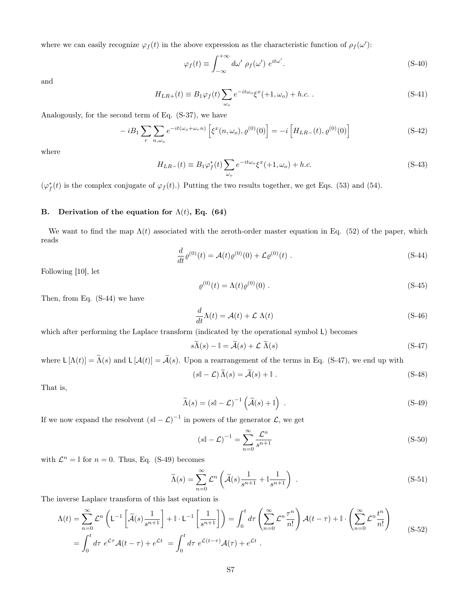where we can easily recognize  $\varphi_f(t)$  in the above expression as the characteristic function of  $\rho_f(\omega')$ :

$$
\varphi_f(t) \equiv \int_{-\infty}^{+\infty} d\omega' \ \rho_f(\omega') \ e^{it\omega'}.
$$
\n(S-40)

and

$$
H_{LR+}(t) \equiv B_1 \varphi_f(t) \sum_{\omega_o} e^{-it\omega_o} \xi^x(+1,\omega_o) + h.c. \tag{S-41}
$$

Analogously, for the second term of Eq. (S-37), we have

$$
-iB_1 \sum_{r} \sum_{n,\omega_o} e^{-it(\omega_o + \omega_r n)} \left[ \xi^x(n,\omega_o), \varrho^{(0)}(0) \right] = -i \left[ H_{LR-}(t), \varrho^{(0)}(0) \right]
$$
(S-42)

where

$$
H_{LR-}(t) \equiv B_1 \varphi_f^*(t) \sum_{\omega_o} e^{-it\omega_o} \xi^x(+1,\omega_o) + h.c.
$$
 (S-43)

 $(\varphi_f^*(t))$  is the complex conjugate of  $\varphi_f(t)$ .) Putting the two results together, we get Eqs. (53) and (54).

# B. Derivation of the equation for  $\Lambda(t)$ , Eq. (64)

We want to find the map  $\Lambda(t)$  associated with the zeroth-order master equation in Eq. (52) of the paper, which reads

$$
\frac{d}{dt}\varrho^{(0)}(t) = \mathcal{A}(t)\varrho^{(0)}(0) + \mathcal{L}\varrho^{(0)}(t) .
$$
\n(S-44)

Following [10], let

$$
\varrho^{(0)}(t) = \Lambda(t)\varrho^{(0)}(0) \tag{S-45}
$$

Then, from Eq. (S-44) we have

$$
\frac{d}{dt}\Lambda(t) = \mathcal{A}(t) + \mathcal{L}\ \Lambda(t) \tag{S-46}
$$

which after performing the Laplace transform (indicated by the operational symbol L) becomes

$$
s\widetilde{\Lambda}(s) - \mathbb{I} = \widetilde{\mathcal{A}}(s) + \mathcal{L} \widetilde{\Lambda}(s)
$$
 (S-47)

where  $\mathsf{L}\left[\Lambda(t)\right] = \widetilde{\Lambda}(s)$  and  $\mathsf{L}\left[\mathcal{A}(t)\right] = \widetilde{\mathcal{A}}(s)$ . Upon a rearrangement of the terms in Eq. (S-47), we end up with

$$
(s\mathbb{I} - \mathcal{L})\Lambda(s) = \mathcal{A}(s) + \mathbb{I} \tag{S-48}
$$

That is,

$$
\widetilde{\Lambda}(s) = (s\mathbb{I} - \mathcal{L})^{-1} \left( \widetilde{\mathcal{A}}(s) + \mathbb{I} \right) . \tag{S-49}
$$

If we now expand the resolvent  $(s\mathbb{I} - \mathcal{L})^{-1}$  in powers of the generator  $\mathcal{L}$ , we get

$$
\left(s\mathbb{I} - \mathcal{L}\right)^{-1} = \sum_{n=0}^{\infty} \frac{\mathcal{L}^n}{s^{n+1}}\tag{S-50}
$$

with  $\mathcal{L}^n = \mathbb{I}$  for  $n = 0$ . Thus, Eq. (S-49) becomes

$$
\widetilde{\Lambda}(s) = \sum_{n=0}^{\infty} \mathcal{L}^n \left( \widetilde{\mathcal{A}}(s) \frac{1}{s^{n+1}} + \mathbb{I} \frac{1}{s^{n+1}} \right) \,. \tag{S-51}
$$

The inverse Laplace transform of this last equation is

$$
\Lambda(t) = \sum_{n=0}^{\infty} \mathcal{L}^n \left( L^{-1} \left[ \tilde{\mathcal{A}}(s) \frac{1}{s^{n+1}} \right] + \mathbb{I} \cdot L^{-1} \left[ \frac{1}{s^{n+1}} \right] \right) = \int_0^t d\tau \left( \sum_{n=0}^{\infty} \mathcal{L}^n \frac{\tau^n}{n!} \right) \mathcal{A}(t-\tau) + \mathbb{I} \cdot \left( \sum_{n=0}^{\infty} \mathcal{L}^n \frac{t^n}{n!} \right)
$$
  
= 
$$
\int_0^t d\tau \ e^{\mathcal{L}\tau} \mathcal{A}(t-\tau) + e^{\mathcal{L}t} = \int_0^t d\tau \ e^{\mathcal{L}(t-\tau)} \mathcal{A}(\tau) + e^{\mathcal{L}t} .
$$
 (S-52)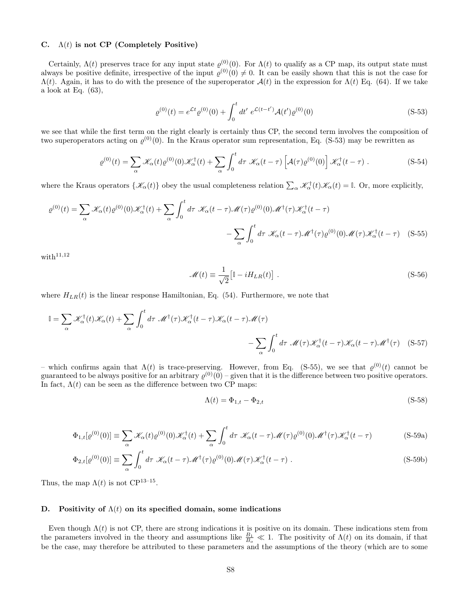# C.  $\Lambda(t)$  is not CP (Completely Positive)

Certainly,  $\Lambda(t)$  preserves trace for any input state  $\varrho^{(0)}(0)$ . For  $\Lambda(t)$  to qualify as a CP map, its output state must always be positive definite, irrespective of the input  $\varrho^{(0)}(0) \neq 0$ . It can be easily shown that this is not the case for  $\Lambda(t)$ . Again, it has to do with the presence of the superoperator  $\mathcal{A}(t)$  in the expression for  $\Lambda(t)$  Eq. (64). If we take a look at Eq. (63),

$$
\varrho^{(0)}(t) = e^{\mathcal{L}t} \varrho^{(0)}(0) + \int_0^t dt' \ e^{\mathcal{L}(t-t')} \mathcal{A}(t') \varrho^{(0)}(0) \tag{S-53}
$$

we see that while the first term on the right clearly is certainly thus CP, the second term involves the composition of two superoperators acting on  $\varrho^{(0)}(0)$ . In the Kraus operator sum representation, Eq. (S-53) may be rewritten as

$$
\varrho^{(0)}(t) = \sum_{\alpha} \mathcal{K}_{\alpha}(t) \varrho^{(0)}(0) \mathcal{K}_{\alpha}^{\dagger}(t) + \sum_{\alpha} \int_{0}^{t} d\tau \; \mathcal{K}_{\alpha}(t-\tau) \left[ \mathcal{A}(\tau) \varrho^{(0)}(0) \right] \mathcal{K}_{\alpha}^{\dagger}(t-\tau) \; . \tag{S-54}
$$

where the Kraus operators  $\{\mathscr{K}_{\alpha}(t)\}\)$  obey the usual completeness relation  $\sum_{\alpha}\mathscr{K}_{\alpha}^{\dagger}(t)\mathscr{K}_{\alpha}(t)=\mathbb{I}$ . Or, more explicitly,

$$
\varrho^{(0)}(t) = \sum_{\alpha} \mathcal{K}_{\alpha}(t) \varrho^{(0)}(0) \mathcal{K}_{\alpha}^{\dagger}(t) + \sum_{\alpha} \int_{0}^{t} d\tau \; \mathcal{K}_{\alpha}(t-\tau) \mathcal{M}(\tau) \varrho^{(0)}(0) \mathcal{M}^{\dagger}(\tau) \mathcal{K}_{\alpha}^{\dagger}(t-\tau) - \sum_{\alpha} \int_{0}^{t} d\tau \; \mathcal{K}_{\alpha}(t-\tau) \mathcal{M}^{\dagger}(\tau) \varrho^{(0)}(0) \mathcal{M}(\tau) \mathcal{K}_{\alpha}^{\dagger}(t-\tau) \quad (S-55)
$$

with $11,12$ 

$$
\mathcal{M}(t) \equiv \frac{1}{\sqrt{2}} \left[ \mathbb{I} - i H_{LR}(t) \right] . \tag{S-56}
$$

where  $H_{LR}(t)$  is the linear response Hamiltonian, Eq. (54). Furthermore, we note that

$$
\mathbb{I} = \sum_{\alpha} \mathcal{K}_{\alpha}^{\dagger}(t) \mathcal{K}_{\alpha}(t) + \sum_{\alpha} \int_{0}^{t} d\tau \, \mathcal{M}^{\dagger}(\tau) \mathcal{K}_{\alpha}^{\dagger}(t-\tau) \mathcal{K}_{\alpha}(t-\tau) \mathcal{M}(\tau) - \sum_{\alpha} \int_{0}^{t} d\tau \, \mathcal{M}(\tau) \mathcal{K}_{\alpha}^{\dagger}(t-\tau) \mathcal{K}_{\alpha}(t-\tau) \mathcal{M}^{\dagger}(\tau) \quad (S-57)
$$

– which confirms again that  $\Lambda(t)$  is trace-preserving. However, from Eq. (S-55), we see that  $\varrho^{(0)}(t)$  cannot be guaranteed to be always positive for an arbitrary  $\varrho^{(0)}(0)$  – given that it is the difference between two positive operators. In fact,  $\Lambda(t)$  can be seen as the difference between two CP maps:

$$
\Lambda(t) = \Phi_{1,t} - \Phi_{2,t} \tag{S-58}
$$

$$
\Phi_{1,t}[\varrho^{(0)}(0)] \equiv \sum_{\alpha} \mathcal{K}_{\alpha}(t)\varrho^{(0)}(0)\mathcal{K}_{\alpha}^{\dagger}(t) + \sum_{\alpha} \int_{0}^{t} d\tau \; \mathcal{K}_{\alpha}(t-\tau)\mathcal{M}(\tau)\varrho^{(0)}(0)\mathcal{M}^{\dagger}(\tau)\mathcal{K}_{\alpha}^{\dagger}(t-\tau) \tag{S-59a}
$$

$$
\Phi_{2,t}[\varrho^{(0)}(0)] \equiv \sum_{\alpha} \int_0^t d\tau \, \mathcal{K}_{\alpha}(t-\tau) \mathcal{M}^{\dagger}(\tau) \varrho^{(0)}(0) \mathcal{M}(\tau) \mathcal{K}_{\alpha}^{\dagger}(t-\tau) \,.
$$
\n(S-59b)

Thus, the map  $\Lambda(t)$  is not  $\mathbb{CP}^{13-15}$ .

#### D. Positivity of  $\Lambda(t)$  on its specified domain, some indications

Even though  $\Lambda(t)$  is not CP, there are strong indications it is positive on its domain. These indications stem from the parameters involved in the theory and assumptions like  $\frac{B_1}{B_o} \ll 1$ . The positivity of  $\Lambda(t)$  on its domain, if that be the case, may therefore be attributed to these parameters and the assumptions of the theory (which are to some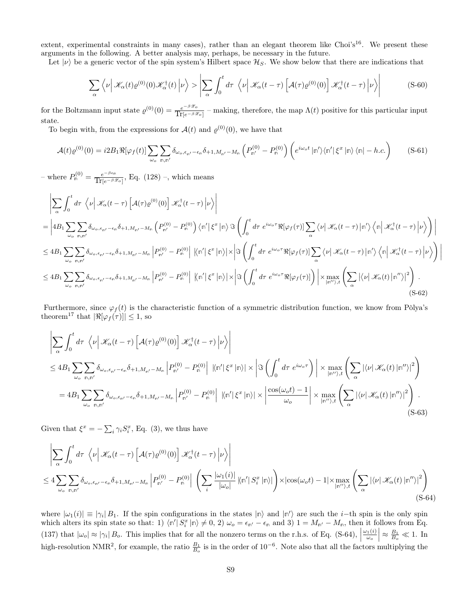extent, experimental constraints in many cases), rather than an elegant theorem like Choi's<sup>16</sup>. We present these arguments in the following. A better analysis may, perhaps, be necessary in the future.

Let  $|v\rangle$  be a generic vector of the spin system's Hilbert space  $\mathcal{H}_S$ . We show below that there are indications that

$$
\sum_{\alpha} \left\langle \nu \left| \mathcal{K}_{\alpha}(t) \varrho^{(0)}(0) \mathcal{K}_{\alpha}^{\dagger}(t) \right| \nu \right\rangle > \left| \sum_{\alpha} \int_{0}^{t} d\tau \left\langle \nu \right| \mathcal{K}_{\alpha}(t-\tau) \left[ \mathcal{A}(\tau) \varrho^{(0)}(0) \right] \mathcal{K}_{\alpha}^{\dagger}(t-\tau) \left| \nu \right\rangle \right| \tag{S-60}
$$

for the Boltzmann input state  $\varrho^{(0)}(0) = \frac{e^{-\beta \mathscr{Z}_0}}{\text{Tr}(-\beta \mathscr{Z})}$  $\frac{e^{-\beta \omega} \sigma}{\text{Tr}[e^{-\beta \mathscr{L}_o}]}$  – making, therefore, the map  $\Lambda(t)$  positive for this particular input state.

To begin with, from the expressions for  $\mathcal{A}(t)$  and  $\varrho^{(0)}(0)$ , we have that

$$
\mathcal{A}(t)\varrho^{(0)}(0) = i2B_1\Re[\varphi_f(t)]\sum_{\omega_o} \sum_{\mathbf{n},\mathbf{n}'} \delta_{\omega_o,\epsilon_{\mathbf{n}'}-\epsilon_{\mathbf{n}}} \delta_{+1,M_{\mathbf{n}'}-M_{\mathbf{n}}} \left(P_{\mathbf{n}'}^{(0)} - P_{\mathbf{n}}^{(0)}\right) \left(e^{i\omega_o t} \left|\mathbf{n}'\right\rangle\left\langle\mathbf{n}'\right|\xi^x \left|\mathbf{n}\right\rangle\left\langle\mathbf{n}\right| - h.c.\right) \tag{S-61}
$$

 $-\text{ where } P_{\mathbb{p}}^{(0)} = \frac{e^{-\beta \epsilon_{\mathbb{p}}}}{\text{Tr}[\epsilon - \beta \epsilon]}$  $\frac{e^{-\beta \epsilon_0 t}}{\text{Tr}[e^{-\beta \mathscr{Z}_o}]}, \text{ Eq. (128)} -$ , which means

$$
\begin{split}\n&\left|\sum_{\alpha}\int_{0}^{t}d\tau\,\left\langle\nu\right|\mathscr{K}_{\alpha}(t-\tau)\left[\mathcal{A}(\tau)\varrho^{(0)}(0)\right]\mathscr{K}_{\alpha}^{\dagger}(t-\tau)\left|\nu\right\rangle\right| \\
&=\left|4B_{1}\sum_{\omega_{o}}\sum_{\mathbf{n},\mathbf{n}'}\delta_{\omega_{o},\epsilon_{\mathbf{n}'}-\epsilon_{\mathbf{n}}}\delta_{+1,M_{\mathbf{n}'}-M_{\mathbf{n}}}\left(P_{\mathbf{n}'}^{(0)}-P_{\mathbf{n}}^{(0)}\right)\langle\mathbf{n}'|\xi^{x}\left|\mathbf{n}\right\rangle\Im\left(\int_{0}^{t}d\tau\,e^{i\omega_{o}\tau}\Re[\varphi_{f}(\tau)]\sum_{\alpha}\langle\nu|\mathscr{K}_{\alpha}(t-\tau)\left|\mathbf{n}'\right\rangle\langle\mathbf{n}\right|\mathscr{K}_{\alpha}^{\dagger}(t-\tau)\left|\nu\right\rangle\right)\right| \\
&\leq 4B_{1}\sum_{\omega_{o}}\sum_{\mathbf{n},\mathbf{n}'}\delta_{\omega_{o},\epsilon_{\mathbf{n}'}-\epsilon_{\mathbf{n}}}\delta_{+1,M_{\mathbf{n}'}-M_{\mathbf{n}}}\left|P_{\mathbf{n}'}^{(0)}-P_{\mathbf{n}}^{(0)}\right|\left|\langle\mathbf{n}'|\xi^{x}\left|\mathbf{n}\right\rangle\right|\times\left|\Im\left(\int_{0}^{t}d\tau\,e^{i\omega_{o}\tau}\Re[\varphi_{f}(\tau)]\sum_{\alpha}\langle\nu|\mathscr{K}_{\alpha}(t-\tau)\left|\mathbf{n}'\right\rangle\langle\mathbf{n}\right|\mathscr{K}_{\alpha}^{\dagger}(t-\tau)\left|\nu\right\rangle\right)\right| \\
&\leq 4B_{1}\sum_{\omega_{o}}\sum_{\mathbf{n},\mathbf{n}'}\delta_{\omega_{o},\epsilon_{\mathbf{n}'}-\epsilon_{\mathbf{n}}}\delta_{+1,M_{\mathbf{n}'}-M_{\mathbf{n}}}\left|P_{\mathbf{n}'}^{(0)}-P_{\mathbf{n}}^{(0)}\right|\left|\langle\mathbf{n}'|\xi^{x}\left|\mathbf{n}\right\rangle\right|\times\left|\Im\left(\int_{0}^{t}d\tau\,e^{i\omega_{o}\tau}\Re[\varphi_{f}(\tau)]\right)\right|\times\max_{\left|\mathbf{n}
$$

 $\mathsf{I}$  $\overline{\phantom{a}}$  $\mathsf{I}$ 

Furthermore, since  $\varphi_f(t)$  is the characteristic function of a symmetric distribution function, we know from Pòlya's theorem<sup>17</sup> that  $|\Re[\varphi_f(\tau)]| \leq 1$ , so

$$
\left| \sum_{\alpha} \int_{0}^{t} d\tau \left\langle \nu \right| \mathcal{K}_{\alpha}(t-\tau) \left[ \mathcal{A}(\tau) \varrho^{(0)}(0) \right] \mathcal{K}_{\alpha}^{\dagger}(t-\tau) \left| \nu \right\rangle \right|
$$
  
\n
$$
\leq 4B_{1} \sum_{\omega_{o}} \sum_{\mathbf{n},\mathbf{n}'} \delta_{\omega_{o},\epsilon_{\mathbf{n}'}-\epsilon_{\mathbf{n}}} \delta_{+1,M_{\mathbf{n}'}-M_{\mathbf{n}}} \left| P_{\mathbf{n}'}^{(0)} - P_{\mathbf{n}}^{(0)} \right| \left| \langle \mathbf{n}' | \xi^{x} | \mathbf{n} \rangle \right| \times \left| \Im \left( \int_{0}^{t} d\tau \ e^{i\omega_{o}\tau} \right) \right| \times \max_{|\mathbf{n}'\rangle,t} \left( \sum_{\alpha} |\langle \nu | \mathcal{K}_{\alpha}(t) | \mathbf{n}'' \rangle|^{2} \right)
$$
  
\n
$$
= 4B_{1} \sum_{\omega_{o}} \sum_{\mathbf{n},\mathbf{n}'} \delta_{\omega_{o},\epsilon_{\mathbf{n}'}-\epsilon_{\mathbf{n}}} \delta_{+1,M_{\mathbf{n}'}-M_{\mathbf{n}}} \left| P_{\mathbf{n}'}^{(0)} - P_{\mathbf{n}}^{(0)} \right| \left| \langle \mathbf{n}' | \xi^{x} | \mathbf{n} \rangle \right| \times \left| \frac{\cos(\omega_{o}t)-1}{\omega_{o}} \right| \times \max_{|\mathbf{n}''\rangle,t} \left( \sum_{\alpha} |\langle \nu | \mathcal{K}_{\alpha}(t) | \mathbf{n}'' \rangle|^{2} \right). \tag{S-63}
$$

Given that  $\xi^x = -\sum_i \gamma_i S_i^x$ , Eq. (3), we thus have

$$
\left| \sum_{\alpha} \int_{0}^{t} d\tau \left\langle \nu \right| \mathcal{K}_{\alpha}(t-\tau) \left[ \mathcal{A}(\tau) \varrho^{(0)}(0) \right] \mathcal{K}_{\alpha}^{\dagger}(t-\tau) \left| \nu \right\rangle \right|
$$
  
\n
$$
\leq 4 \sum_{\omega_{o}} \sum_{\mathbf{m}, \mathbf{n}'} \delta_{\omega_{o}, \epsilon_{\mathbf{n}'} - \epsilon_{\mathbf{n}}} \delta_{+1, M_{\mathbf{n}'}-M_{\mathbf{n}}} \left| P_{\mathbf{n}'}^{(0)} - P_{\mathbf{n}}^{(0)} \right| \left( \sum_{i} \frac{|\omega_{1}(i)|}{|\omega_{o}|} \left| \langle \mathbf{n}' | S_{i}^{x} | \mathbf{n} \rangle \right| \right) \times \left| \cos(\omega_{o} t) - 1 \right| \times \max_{|\mathbf{n}'\rangle, t} \left( \sum_{\alpha} \left| \langle \nu | \mathcal{K}_{\alpha}(t) | \mathbf{n}'' \rangle \right|^{2} \right) \tag{S-64}
$$

where  $|\omega_1(i)| \equiv |\gamma_i| B_1$ . If the spin configurations in the states  $|\mathsf{n}\rangle$  and  $|\mathsf{n}'\rangle$  are such the *i*-th spin is the only spin which alters its spin state so that: 1)  $\langle n' | S_i^x | n \rangle \neq 0, 2$   $\omega_o = \epsilon_{n'} - \epsilon_n$  and 3)  $1 = M_{n'} - M_n$ , then it follows from Eq. (137) that  $|\omega_o| \approx |\gamma_i| B_o$ . This implies that for all the nonzero terms on the r.h.s. of Eq. (S-64),  $\omega_1(i)$  $\omega_o$  $\approx \frac{B_1}{B_o} \ll 1.$  In high-resolution NMR<sup>2</sup>, for example, the ratio  $\frac{B_1}{B_o}$  is in the order of 10<sup>-6</sup>. Note also that all the factors multiplying the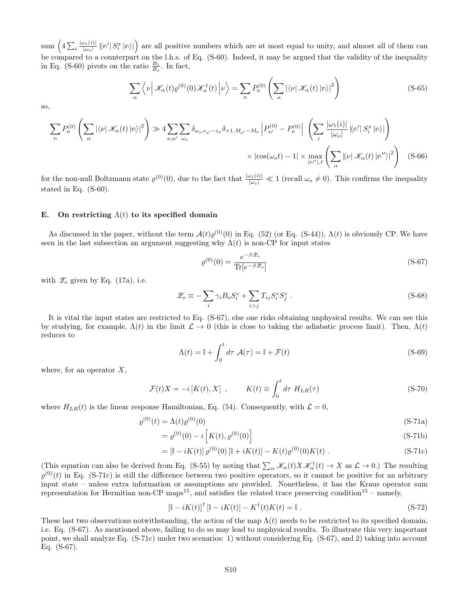sum  $\left(4\sum_i\frac{|\omega_1(i)|}{|\omega_o|}\right)$  $\frac{\partial u_1(i)}{|\omega_o|} |\langle \mathbf{n}'| S_i^x | \mathbf{n} \rangle|$  are all positive numbers which are at most equal to unity, and almost all of them can be compared to a counterpart on the l.h.s. of Eq. (S-60). Indeed, it may be argued that the validity of the inequality in Eq. (S-60) pivots on the ratio  $\frac{B_1}{B_o}$ . In fact,

$$
\sum_{\alpha} \left\langle \nu \left| \mathcal{K}_{\alpha}(t) \varrho^{(0)}(0) \mathcal{K}_{\alpha}^{\dagger}(t) \right| \nu \right\rangle = \sum_{\mathfrak{m}} P_{\mathfrak{m}}^{(0)} \left( \sum_{\alpha} \left| \langle \nu \right| \mathcal{K}_{\alpha}(t) \left| \mathfrak{m} \right\rangle \right|^{2} \right)
$$
(S-65)

so,

$$
\sum_{\mathbf{m}} P_{\mathbf{m}}^{(0)} \left( \sum_{\alpha} |\langle \nu | \mathcal{K}_{\alpha}(t) | \mathbf{m} \rangle|^2 \right) \gg 4 \sum_{\mathbf{m}, \mathbf{m'}} \sum_{\omega_o} \delta_{\omega_o, \epsilon_{\mathbf{n'}} - \epsilon_{\mathbf{m}}} \delta_{+1, M_{\mathbf{m'}} - M_{\mathbf{m}}} \left| P_{\mathbf{m'}}^{(0)} - P_{\mathbf{m}}^{(0)} \right| \left( \sum_{i} \frac{|\omega_1(i)|}{|\omega_o|} \left| \langle \mathbf{m'} | S_i^x | \mathbf{m} \rangle \right| \right) \times \left| \cos(\omega_o t) - 1 \right| \times \max_{|\mathbf{m'} \rangle, t} \left( \sum_{\alpha} |\langle \nu | \mathcal{K}_{\alpha}(t) | \mathbf{m'} \rangle|^2 \right) \tag{S-66}
$$

for the non-null Boltzmann state  $\varrho^{(0)}(0)$ , due to the fact that  $\frac{|\omega_1(i)|}{|\omega_0|} \ll 1$  (recall  $\omega_0 \neq 0$ ). This confirms the inequality stated in Eq. (S-60).

#### E. On restricting  $\Lambda(t)$  to its specified domain

As discussed in the paper, without the term  $\mathcal{A}(t)\varrho^{(0)}(0)$  in Eq. (52) (or Eq. (S-44)),  $\Lambda(t)$  is obviously CP. We have seen in the last subsection an argument suggesting why  $\Lambda(t)$  is non-CP for input states

$$
\varrho^{(0)}(0) = \frac{e^{-\beta \mathcal{Z}_o}}{\text{Tr}[e^{-\beta \mathcal{Z}_o}]}
$$
\n(S-67)

with  $\mathscr{Z}_o$  given by Eq. (17a), i.e.

$$
\mathscr{Z}_o \equiv -\sum_i \gamma_i B_o S_i^z + \sum_{i>j} T_{ij} S_i^z S_j^z . \tag{S-68}
$$

It is vital the input states are restricted to Eq. (S-67), else one risks obtaining unphysical results. We can see this by studying, for example,  $\Lambda(t)$  in the limit  $\mathcal{L} \to 0$  (this is close to taking the adiabatic process limit). Then,  $\Lambda(t)$ reduces to

$$
\Lambda(t) = \mathbb{I} + \int_0^t d\tau \ \mathcal{A}(\tau) = \mathbb{I} + \mathcal{F}(t)
$$
\n(S-69)

where, for an operator  $X$ ,

$$
\mathcal{F}(t)X = -i\left[K(t), X\right], \qquad K(t) \equiv \int_0^t d\tau \ H_{LR}(\tau) \tag{S-70}
$$

where  $H_{LR}(t)$  is the linear response Hamiltonian, Eq. (54). Consequently, with  $\mathcal{L} = 0$ ,

$$
\varrho^{(0)}(t) = \Lambda(t)\varrho^{(0)}(0) \tag{S-71a}
$$

$$
= \varrho^{(0)}(0) - i \left[ K(t), \varrho^{(0)}(0) \right] \tag{S-71b}
$$

$$
= \left[\mathbb{I} - iK(t)\right] \varrho^{(0)}(0) \left[\mathbb{I} + iK(t)\right] - K(t)\varrho^{(0)}(0)K(t) .
$$
 (S-71c)

(This equation can also be derived from Eq. (S-55) by noting that  $\sum_{\alpha} \mathcal{K}_{\alpha}(t) X \mathcal{K}_{\alpha}^{\dagger}(t) \rightarrow X$  as  $\mathcal{L} \rightarrow 0$ .) The resulting  $\varrho^{(0)}(t)$  in Eq. (S-71c) is still the difference between two positive operators, so it cannot be positive for an arbitrary input state – unless extra information or assumptions are provided. Nonetheless, it has the Kraus operator sum representation for Hermitian non-CP maps<sup>15</sup>, and satisfies the related trace preserving condition<sup>15</sup> – namely,

$$
\left[\mathbb{I} - iK(t)\right]^{\dagger} \left[\mathbb{I} - iK(t)\right] - K^{\dagger}(t)K(t) = \mathbb{I} \tag{S-72}
$$

These last two observations notwithstanding, the action of the map  $\Lambda(t)$  needs to be restricted to its specified domain, i.e. Eq. (S-67). As mentioned above, failing to do so may lead to unphysical results. To illustrate this very important point, we shall analyze Eq. (S-71c) under two scenarios: 1) without considering Eq. (S-67), and 2) taking into account Eq. (S-67).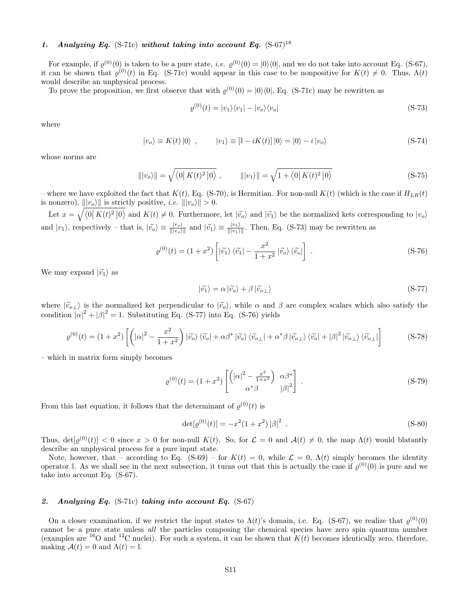# 1. Analyzing Eq. (S-71c) without taking into account Eq.  $(S-67)^{18}$

For example, if  $\varrho^{(0)}(0)$  is taken to be a pure state, *i.e.*  $\varrho^{(0)}(0) = |0\rangle\langle 0|$ , and we do not take into account Eq. (S-67), it can be shown that  $\varrho^{(0)}(t)$  in Eq. (S-71c) would appear in this case to be nonpositive for  $K(t) \neq 0$ . Thus,  $\Lambda(t)$ would describe an unphysical process.

To prove the proposition, we first observe that with  $\varrho^{(0)}(0) = |0\rangle\langle 0|$ , Eq. (S-71c) may be rewritten as

$$
\varrho^{(0)}(t) = |v_1\rangle\langle v_1| - |v_o\rangle\langle v_o| \tag{S-73}
$$

where

$$
|v_o\rangle \equiv K(t) |0\rangle \quad , \qquad |v_1\rangle \equiv [1 - iK(t)] |0\rangle = |0\rangle - i |v_o\rangle \tag{S-74}
$$

whose norms are

$$
\| |v_o\rangle \| = \sqrt{\langle 0| K(t)^2 |0 \rangle} , \qquad \| |v_1\rangle \| = \sqrt{1 + \langle 0| K(t)^2 |0 \rangle}
$$
 (S-75)

– where we have exploited the fact that  $K(t)$ , Eq. (S-70), is Hermitian. For non-null  $K(t)$  (which is the case if  $H_{LR}(t)$ ) is nonzero),  $||v_o\rangle||$  is strictly positive, *i.e.*  $||v_o\rangle|| > 0$ .

Let  $x = \sqrt{\langle 0| K(t)^2 |0 \rangle}$  and  $K(t) \neq 0$ . Furthermore, let  $|\tilde{v}_0\rangle$  and  $|\tilde{v}_1\rangle$  be the normalized kets corresponding to  $|v_o\rangle$ and  $|v_1\rangle$ , respectively – that is,  $|\tilde{v}_o\rangle \equiv \frac{|v_o\rangle}{|||v_o\rangle||}$  and  $|\tilde{v}_1\rangle \equiv \frac{|v_1\rangle}{|||v_1\rangle||}$ . Then, Eq. (S-73) may be rewritten as

$$
\varrho^{(0)}(t) = (1+x^2) \left[ \left| \tilde{v_1} \right\rangle \left\langle \tilde{v_1} \right| - \frac{x^2}{1+x^2} \left| \tilde{v_0} \right\rangle \left\langle \tilde{v_0} \right| \right] \tag{S-76}
$$

We may expand  $|\tilde{v_1}\rangle$  as

$$
|\widetilde{v_1}\rangle = \alpha |\widetilde{v_0}\rangle + \beta |\widetilde{v_{o\perp}}\rangle
$$
 (S-77)

where  $|\tilde{v}_{\alpha}\rangle$  is the normalized ket perpendicular to  $|\tilde{v}_{\alpha}\rangle$ , while  $\alpha$  and  $\beta$  are complex scalars which also satisfy the condition  $|\alpha|^2 + |\beta|^2 = 1$ . Substituting Eq. (S-77) into Eq. (S-76) yields

$$
\varrho^{(0)}(t) = (1+x^2) \left[ \left( |\alpha|^2 - \frac{x^2}{1+x^2} \right) |\widetilde{v}_o\rangle \langle \widetilde{v}_o| + \alpha \beta^* |\widetilde{v}_o\rangle \langle \widetilde{v}_{o\perp}| + \alpha^* \beta |\widetilde{v}_{o\perp}\rangle \langle \widetilde{v}_o| + |\beta|^2 |\widetilde{v}_{o\perp}\rangle \langle \widetilde{v}_{o\perp}| \right] \tag{S-78}
$$

– which in matrix form simply becomes

$$
\varrho^{(0)}(t) = (1+x^2) \begin{bmatrix} \left( |\alpha|^2 - \frac{x^2}{1+x^2} \right) & \alpha \beta^* \\ \alpha^* \beta & |\beta|^2 \end{bmatrix} . \tag{S-79}
$$

From this last equation, it follows that the determinant of  $\varrho^{(0)}(t)$  is

$$
\det[\varrho^{(0)}(t)] = -x^2(1+x^2)|\beta|^2.
$$
 (S-80)

Thus,  $det[\varrho^{(0)}(t)] < 0$  since  $x > 0$  for non-null  $K(t)$ . So, for  $\mathcal{L} = 0$  and  $\mathcal{A}(t) \neq 0$ , the map  $\Lambda(t)$  would blatantly describe an unphysical process for a pure input state.

Note, however, that – according to Eq. (S-69) – for  $K(t) = 0$ , while  $\mathcal{L} = 0$ ,  $\Lambda(t)$  simply becomes the identity operator I. As we shall see in the next subsection, it turns out that this is actually the case if  $\varrho^{(0)}(0)$  is pure and we take into account Eq. (S-67).

# 2. Analyzing Eq.  $(S-71c)$  taking into account Eq.  $(S-67)$

On a closer examination, if we restrict the input states to  $\Lambda(t)$ 's domain, i.e. Eq. (S-67), we realize that  $\varrho^{(0)}(0)$ cannot be a pure state unless all the particles composing the chemical species have zero spin quantum number (examples are <sup>16</sup>O and <sup>12</sup>C nuclei). For such a system, it can be shown that  $K(t)$  becomes identically zero, therefore, making  $A(t) = 0$  and  $\Lambda(t) = \mathbb{I}$ .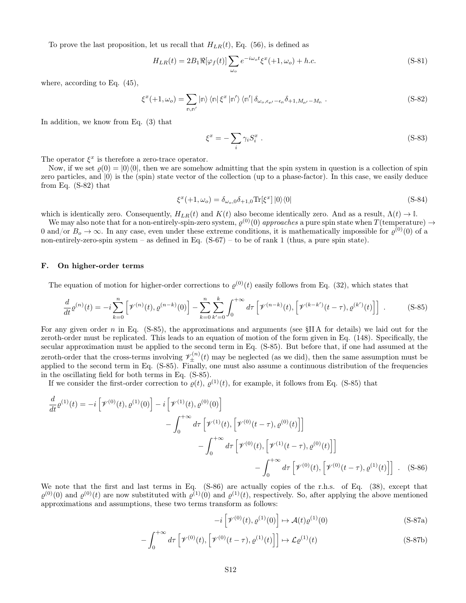To prove the last proposition, let us recall that  $H_{LR}(t)$ , Eq. (56), is defined as

$$
H_{LR}(t) = 2B_1 \Re[\varphi_f(t)] \sum_{\omega_o} e^{-i\omega_o t} \xi^x(+1, \omega_o) + h.c.
$$
 (S-81)

where, according to Eq. (45),

$$
\xi^{x}(+1,\omega_{o}) = \sum_{\mathbf{m},\mathbf{n}'} |\mathbf{n}\rangle \langle \mathbf{n}|\xi^{x}|\mathbf{n}'\rangle \langle \mathbf{n}'|\delta_{\omega_{o},\epsilon_{\mathbf{n}'}-\epsilon_{\mathbf{n}}}\delta_{+1,M_{\mathbf{n}'}-M_{\mathbf{n}}}.
$$
\n(S-82)

In addition, we know from Eq. (3) that

$$
\xi^x = -\sum_i \gamma_i S_i^x \tag{S-83}
$$

The operator  $\xi^x$  is therefore a zero-trace operator.

Now, if we set  $\rho(0) = |0\rangle\langle 0|$ , then we are somehow admitting that the spin system in question is a collection of spin zero particles, and  $|0\rangle$  is the (spin) state vector of the collection (up to a phase-factor). In this case, we easily deduce from Eq. (S-82) that

$$
\xi^{x}(+1,\omega_{o}) = \delta_{\omega_{o},0}\delta_{+1,0}\text{Tr}[\xi^{x}]|0\rangle\langle0|
$$
\n(S-84)

which is identically zero. Consequently,  $H_{LR}(t)$  and  $K(t)$  also become identically zero. And as a result,  $\Lambda(t) \to \mathbb{I}$ .

We may also note that for a non-entirely-spin-zero system,  $\varrho^{(0)}(0)$  approaches a pure spin state when  $T(\text{temperature}) \to$ 0 and/or  $B_o \to \infty$ . In any case, even under these extreme conditions, it is mathematically impossible for  $\varrho^{(0)}(0)$  of a non-entirely-zero-spin system – as defined in Eq.  $(S-67)$  – to be of rank 1 (thus, a pure spin state).

# F. On higher-order terms

The equation of motion for higher-order corrections to  $\varrho^{(0)}(t)$  easily follows from Eq. (32), which states that

$$
\frac{d}{dt}\varrho^{(n)}(t) = -i\sum_{k=0}^{n} \left[ \mathcal{V}^{(n)}(t), \varrho^{(n-k)}(0) \right] - \sum_{k=0}^{n} \sum_{k'=0}^{k} \int_{0}^{+\infty} d\tau \left[ \mathcal{V}^{(n-k)}(t), \left[ \mathcal{V}^{(k-k')}(t-\tau), \varrho^{(k')}(t) \right] \right] \tag{S-85}
$$

For any given order n in Eq.  $(S-85)$ , the approximations and arguments (see §IIA for details) we laid out for the zeroth-order must be replicated. This leads to an equation of motion of the form given in Eq. (148). Specifically, the secular approximation must be applied to the second term in Eq. (S-85). But before that, if one had assumed at the zeroth-order that the cross-terms involving  $\mathscr{V}_{\pm}^{(n)}(t)$  may be neglected (as we did), then the same assumption must be applied to the second term in Eq. (S-85). Finally, one must also assume a continuous distributi in the oscillating field for both terms in Eq. (S-85).

If we consider the first-order correction to  $\varrho(t)$ ,  $\varrho^{(1)}(t)$ , for example, it follows from Eq. (S-85) that

$$
\frac{d}{dt} \varrho^{(1)}(t) = -i \left[ \mathcal{V}^{(0)}(t), \varrho^{(1)}(0) \right] - i \left[ \mathcal{V}^{(1)}(t), \varrho^{(0)}(0) \right] \n- \int_0^{+\infty} d\tau \left[ \mathcal{V}^{(1)}(t), \left[ \mathcal{V}^{(0)}(t-\tau), \varrho^{(0)}(t) \right] \right] \n- \int_0^{+\infty} d\tau \left[ \mathcal{V}^{(0)}(t), \left[ \mathcal{V}^{(1)}(t-\tau), \varrho^{(0)}(t) \right] \right] \n- \int_0^{+\infty} d\tau \left[ \mathcal{V}^{(0)}(t), \left[ \mathcal{V}^{(0)}(t-\tau), \varrho^{(1)}(t) \right] \right] . \quad (S-86)
$$

We note that the first and last terms in Eq. (S-86) are actually copies of the r.h.s. of Eq. (38), except that  $\varrho^{(0)}(0)$  and  $\varrho^{(0)}(t)$  are now substituted with  $\varrho^{(1)}(0)$  and  $\varrho^{(1)}(t)$ , respectively. So, after applying the above mentioned approximations and assumptions, these two terms transform as follows:

$$
-i\left[\mathcal{V}^{(0)}(t),\varrho^{(1)}(0)\right] \mapsto \mathcal{A}(t)\varrho^{(1)}(0) \tag{S-87a}
$$

$$
-\int_0^{+\infty} d\tau \left[ \mathcal{V}^{(0)}(t), \left[ \mathcal{V}^{(0)}(t-\tau), \varrho^{(1)}(t) \right] \right] \mapsto \mathcal{L}\varrho^{(1)}(t) \tag{S-87b}
$$